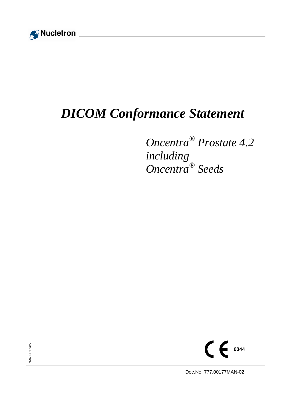

# *DICOM Conformance Statement*

*Oncentra® Prostate 4.2 including Oncentra® Seeds*





Doc.No. 777.00177MAN-02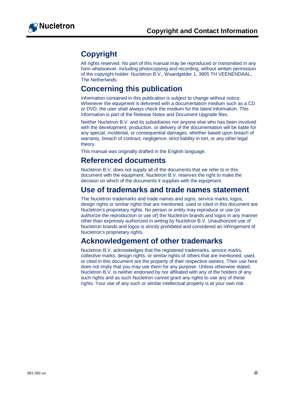

## **Copyright**

All rights reserved. No part of this manual may be reproduced or transmitted in any form whatsoever, including photocopying and recording, without written permission of the copyright holder: Nucletron B.V., Waardgelder 1, 3905 TH VEENENDAAL, The Netherlands.

## **Concerning this publication**

Information contained in this publication is subject to change without notice. Whenever the equipment is delivered with a documentation medium such as a CD or DVD, the user shall always check the medium for the latest information. This information is part of the Release Notes and Document Upgrade files.

Neither Nucletron B.V. and its subsidiaries nor anyone else who has been involved with the development, production, or delivery of the documentation will be liable for any special, incidental, or consequential damages, whether based upon breach of warranty, breach of contract, negligence, strict liability in tort, or any other legal theory.

This manual was originally drafted in the English language.

## **Referenced documents**

Nucletron B.V. does not supply all of the documents that we refer to in this document with the equipment. Nucletron B.V. reserves the right to make the decision on which of the documents it supplies with the equipment.

## **Use of trademarks and trade names statement**

The Nucletron trademarks and trade names and signs, service marks, logos, design rights or similar rights that are mentioned, used or cited in this document are Nucletron's proprietary rights. No person or entity may reproduce or use (or authorize the reproduction or use of) the Nucletron brands and logos in any manner other than expressly authorized in writing by Nucletron B.V. Unauthorized use of Nucletron brands and logos is strictly prohibited and considered an infringement of Nucletron's proprietary rights.

## **Acknowledgement of other trademarks**

Nucletron B.V. acknowledges that the registered trademarks, service marks, collective marks, design rights, or similar rights of others that are mentioned, used, or cited in this document are the property of their respective owners. Their use here does not imply that you may use them for any purpose. Unless otherwise stated, Nucletron B.V. is neither endorsed by nor affiliated with any of the holders of any such rights and as such Nucletron cannot grant any rights to use any of these rights. Your use of any such or similar intellectual property is at your own risk.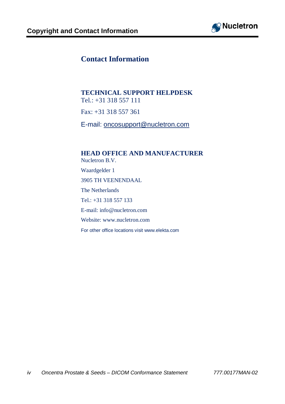

## **Contact Information**

### **TECHNICAL SUPPORT HELPDESK** Tel.: +31 318 557 111

Fax: +31 318 557 361

E-mail: [oncosupport@nucletron.com](mailto:oncosupport@nucletron.com)

### **HEAD OFFICE AND MANUFACTURER**

Nucletron B.V. Waardgelder 1 3905 TH VEENENDAAL The Netherlands Tel.: +31 318 557 133 E-mail: info@nucletron.com Website: www.nucletron.com For other office locations visit www.elekta.com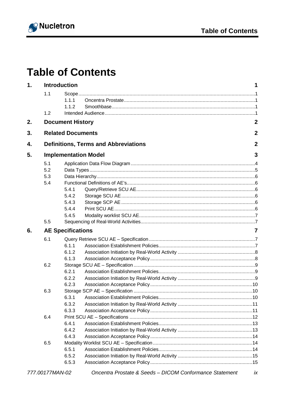

## **Table of Contents**

| $\mathbf{1}$ . |                 | <b>Introduction</b><br>1 |                                                         |                  |  |
|----------------|-----------------|--------------------------|---------------------------------------------------------|------------------|--|
|                | 1.1             |                          |                                                         |                  |  |
|                |                 | 1.1.1                    |                                                         |                  |  |
|                |                 | 1.1.2                    |                                                         |                  |  |
|                | 1.2             |                          |                                                         |                  |  |
| 2.             |                 | <b>Document History</b>  |                                                         | $\boldsymbol{2}$ |  |
| 3.             |                 | <b>Related Documents</b> |                                                         | $\mathbf{2}$     |  |
| 4.             |                 |                          | <b>Definitions, Terms and Abbreviations</b>             | $\mathbf{2}$     |  |
| 5.             |                 |                          | <b>Implementation Model</b>                             | 3                |  |
|                | 5.1             |                          |                                                         |                  |  |
|                | 5.2             |                          |                                                         |                  |  |
|                | 5.3             |                          |                                                         |                  |  |
|                | 5.4             |                          |                                                         |                  |  |
|                |                 | 5.4.1                    |                                                         |                  |  |
|                |                 | 5.4.2                    |                                                         |                  |  |
|                |                 | 5.4.3                    |                                                         |                  |  |
|                |                 | 5.4.4                    |                                                         |                  |  |
|                |                 | 5.4.5                    |                                                         |                  |  |
|                | 5.5             |                          |                                                         |                  |  |
| 6.             |                 | <b>AE Specifications</b> |                                                         | 7                |  |
|                | 6.1             |                          |                                                         |                  |  |
|                |                 | 6.1.1                    |                                                         |                  |  |
|                |                 | 6.1.2                    |                                                         |                  |  |
|                |                 | 6.1.3                    |                                                         |                  |  |
|                | 6.2             |                          |                                                         |                  |  |
|                |                 | 6.2.1                    |                                                         |                  |  |
|                |                 | 6.2.2                    |                                                         |                  |  |
|                |                 | 6.2.3                    |                                                         |                  |  |
|                | 6.3             |                          |                                                         |                  |  |
|                |                 |                          |                                                         |                  |  |
|                |                 | 6.3.2                    |                                                         |                  |  |
|                |                 | 6.3.3                    |                                                         |                  |  |
|                | 6.4             |                          |                                                         |                  |  |
|                |                 | 6.4.1                    |                                                         |                  |  |
|                |                 | 6.4.2                    |                                                         |                  |  |
|                |                 | 6.4.3                    |                                                         |                  |  |
|                | 6.5             |                          |                                                         |                  |  |
|                |                 | 6.5.1                    |                                                         |                  |  |
|                |                 | 6.5.2                    |                                                         |                  |  |
|                |                 | 6.5.3                    |                                                         |                  |  |
|                | 777.00177MAN-02 |                          | Oncentra Prostate & Seeds - DICOM Conformance Statement | İХ               |  |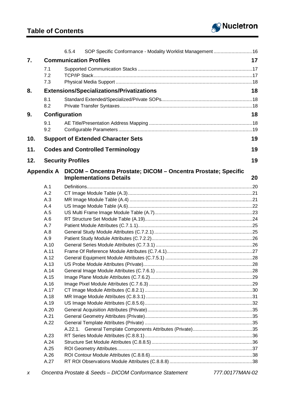

|     |                   | SOP Specific Conformance - Modality Worklist Management 16<br>6.5.4 |    |
|-----|-------------------|---------------------------------------------------------------------|----|
| 7.  |                   | <b>Communication Profiles</b>                                       | 17 |
|     | 7.1               |                                                                     |    |
|     | 7.2               |                                                                     |    |
|     | 7.3               |                                                                     |    |
| 8.  |                   | <b>Extensions/Specializations/Privatizations</b>                    | 18 |
|     | 8.1               |                                                                     |    |
|     | 8.2               |                                                                     |    |
| 9.  |                   | Configuration                                                       | 18 |
|     | 9.1               |                                                                     |    |
|     | 9.2               |                                                                     |    |
| 10. |                   | <b>Support of Extended Character Sets</b>                           | 19 |
| 11. |                   | <b>Codes and Controlled Terminology</b>                             | 19 |
| 12. |                   | <b>Security Profiles</b>                                            | 19 |
|     | <b>Appendix A</b> | DICOM – Oncentra Prostate; DICOM – Oncentra Prostate; Specific      |    |
|     |                   | <b>Implementations Details</b>                                      | 20 |
|     | A.1               |                                                                     |    |
|     | A.2               |                                                                     |    |
|     | A.3               |                                                                     |    |
|     | A.4               |                                                                     |    |
|     | A.5               |                                                                     |    |
|     | A.6               |                                                                     |    |
|     | A.7               |                                                                     |    |
|     | A.8               |                                                                     |    |
|     | A.9               |                                                                     |    |
|     | A.10              |                                                                     |    |
|     | A.11              |                                                                     |    |
|     | A.12              |                                                                     |    |
|     | A.13              |                                                                     |    |
|     | A.14              |                                                                     |    |
|     | A.15              |                                                                     |    |
|     | A.16              |                                                                     |    |
|     | A.17              |                                                                     |    |
|     | A.18              |                                                                     |    |
|     | A.19              |                                                                     |    |
|     | A.20              |                                                                     |    |
|     | A.21              |                                                                     |    |
|     | A.22              |                                                                     |    |
|     |                   |                                                                     |    |
|     | A.23              |                                                                     |    |
|     | A.24              |                                                                     |    |
|     | A.25              |                                                                     |    |
|     | A.26              |                                                                     |    |
|     | A.27              |                                                                     |    |

*x Oncentra Prostate & Seeds – DICOM Conformance Statement 777.00177MAN-02*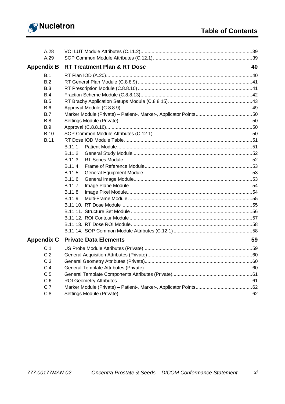

| A.28<br>A.29      |                                        |    |
|-------------------|----------------------------------------|----|
|                   |                                        |    |
| <b>Appendix B</b> | <b>RT Treatment Plan &amp; RT Dose</b> | 40 |
| B.1               |                                        |    |
| B.2               |                                        |    |
| B.3               |                                        |    |
| B.4               |                                        |    |
| <b>B.5</b>        |                                        |    |
| <b>B.6</b>        |                                        |    |
| <b>B.7</b>        |                                        |    |
| B.8               |                                        |    |
| <b>B.9</b>        |                                        |    |
| <b>B.10</b>       |                                        |    |
| <b>B.11</b>       |                                        |    |
|                   | B.11.1.                                |    |
|                   | B.11.2.                                |    |
|                   | B.11.3.                                |    |
|                   | B.11.4.                                |    |
|                   | B.11.5.                                |    |
|                   | B.11.6.                                |    |
|                   | B.11.7.                                |    |
|                   | B.11.8.                                |    |
|                   | B.11.9.                                |    |
|                   |                                        |    |
|                   |                                        |    |
|                   |                                        |    |
|                   |                                        |    |
|                   |                                        |    |
| <b>Appendix C</b> | <b>Private Data Elements</b>           | 59 |
| C.1               |                                        |    |
| C.2               |                                        |    |
| C.3               |                                        |    |
| C.4               |                                        |    |
| C.5               |                                        |    |
| C.6               |                                        |    |
| C.7               |                                        |    |
| C.8               |                                        |    |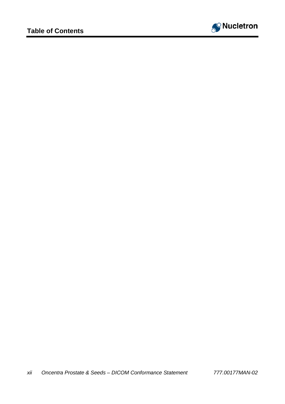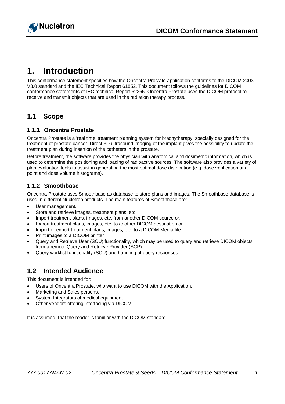

## <span id="page-8-0"></span>**1. Introduction**

This conformance statement specifies how the Oncentra Prostate application conforms to the DICOM 2003 V3.0 standard and the IEC Technical Report 61852. This document follows the guidelines for DICOM conformance statements of IEC technical Report 62266. Oncentra Prostate uses the DICOM protocol to receive and transmit objects that are used in the radiation therapy process.

## <span id="page-8-1"></span>**1.1 Scope**

#### <span id="page-8-2"></span>**1.1.1 Oncentra Prostate**

Oncentra Prostate is a 'real time' treatment planning system for brachytherapy, specially designed for the treatment of prostate cancer. Direct 3D ultrasound imaging of the implant gives the possibility to update the treatment plan during insertion of the catheters in the prostate.

Before treatment, the software provides the physician with anatomical and dosimetric information, which is used to determine the positioning and loading of radioactive sources. The software also provides a variety of plan evaluation tools to assist in generating the most optimal dose distribution (e.g. dose verification at a point and dose volume histograms).

#### <span id="page-8-3"></span>**1.1.2 Smoothbase**

Oncentra Prostate uses Smoothbase as database to store plans and images. The Smoothbase database is used in different Nucletron products. The main features of Smoothbase are:

- User management.
- Store and retrieve images, treatment plans, etc.
- Import treatment plans, images, etc. from another DICOM source or,
- Export treatment plans, images, etc. to another DICOM destination or,
- Import or export treatment plans, images, etc. to a DICOM Media file.
- Print images to a DICOM printer
- Query and Retrieve User (SCU) functionality, which may be used to query and retrieve DICOM objects from a remote Query and Retrieve Provider (SCP).
- <span id="page-8-4"></span>Query worklist functionality (SCU) and handling of query responses.

### **1.2 Intended Audience**

This document is intended for:

- Users of Oncentra Prostate, who want to use DICOM with the Application.
- Marketing and Sales persons.
- System Integrators of medical equipment.
- Other vendors offering interfacing via DICOM.

It is assumed, that the reader is familiar with the DICOM standard.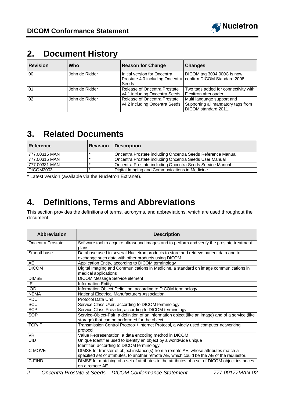

## <span id="page-9-0"></span>**2. Document History**

| <b>Revision</b> | Who            | <b>Reason for Change</b>                                      | <b>Changes</b>                                                                               |
|-----------------|----------------|---------------------------------------------------------------|----------------------------------------------------------------------------------------------|
| 00              | John de Ridder | Initial version for Oncentra<br>Seeds                         | DICOM tag 3004,000C is now<br>Prostate 4.0 including Oncentra   confirm DICOM Standard 2008. |
| 01              | John de Ridder | Release of Oncentra Prostate<br>v4.1 including Oncentra Seeds | Two tags added for connectivity with<br>Flexitron afterloader.                               |
| 02              | John de Ridder | Release of Oncentra Prostate<br>v4.2 including Oncentra Seeds | Multi language support and<br>Supporting all mandatory tags from<br>DICOM standard 2011.     |

## <span id="page-9-1"></span>**3. Related Documents**

| Reference      | <b>Revision</b> | <b>Description</b>                                          |
|----------------|-----------------|-------------------------------------------------------------|
| 1777.00315 MAN |                 | Oncentra Prostate including Oncentra Seeds Reference Manual |
| 777.00316 MAN  |                 | Oncentra Prostate including Oncentra Seeds User Manual      |
| 777.00331 MAN  |                 | Oncentra Prostate including Oncentra Seeds Service Manual   |
| DICOM2003      |                 | Digital Imaging and Communications in Medicine              |

<span id="page-9-2"></span>\* Latest version (available via the Nucletron Extranet).

## **4. Definitions, Terms and Abbreviations**

This section provides the definitions of terms, acronyms, and abbreviations, which are used throughout the document.

| <b>Abbreviation</b> | <b>Description</b>                                                                                                                                                                |  |  |  |  |
|---------------------|-----------------------------------------------------------------------------------------------------------------------------------------------------------------------------------|--|--|--|--|
| Oncentra Prostate   | Software tool to acquire ultrasound images and to perform and verify the prostate treatment<br>plans.                                                                             |  |  |  |  |
| Smoothbase          | Database used in several Nucletron products to store and retrieve patient data and to<br>exchange such data with other products using DICOM.                                      |  |  |  |  |
| AE <sup></sup>      | Application Entity, according to DICOM terminology                                                                                                                                |  |  |  |  |
| <b>DICOM</b>        | Digital Imaging and Communications in Medicine, a standard on image communications in<br>medical applications                                                                     |  |  |  |  |
| <b>DIMSE</b>        | <b>DICOM Message Service element</b>                                                                                                                                              |  |  |  |  |
| IE                  | <b>Information Entity</b>                                                                                                                                                         |  |  |  |  |
| <b>IOD</b>          | Information Object Definition, according to DICOM terminology                                                                                                                     |  |  |  |  |
| <b>NEMA</b>         | National Electrical Manufacturers Association                                                                                                                                     |  |  |  |  |
| <b>PDU</b>          | Protocol Data Unit                                                                                                                                                                |  |  |  |  |
| SCU                 | Service Class User, according to DICOM terminology                                                                                                                                |  |  |  |  |
| <b>SCP</b>          | Service Class Provider, according to DICOM terminology                                                                                                                            |  |  |  |  |
| <b>SOP</b>          | Service-Object-Pair, a definition of an information object (like an image) and of a service (like<br>storage) that can be performed for the object                                |  |  |  |  |
| TCP/IP              | Transmission Control Protocol / Internet Protocol, a widely used computer networking<br>protocol                                                                                  |  |  |  |  |
| <b>VR</b>           | Value Representation, a data encoding method in DICOM                                                                                                                             |  |  |  |  |
| UID                 | Unique Identifier used to identify an object by a worldwide unique<br>Identifier, according to DICOM terminology.                                                                 |  |  |  |  |
| C-MOVE              | DIMSE for transfer of object instance(s) from a remote AE, whose attributes match a<br>specified set of attributes, to another remote AE, which could be the AE of the requestor. |  |  |  |  |
| C-FIND              | DIMSE for matching of a set of attributes to the attributes of a set of DICOM object instances<br>on a remote AE.                                                                 |  |  |  |  |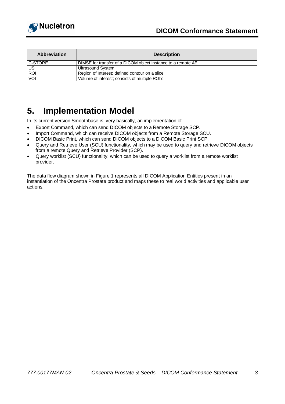

| <b>Abbreviation</b> | <b>Description</b>                                            |
|---------------------|---------------------------------------------------------------|
| <b>C-STORE</b>      | DIMSE for transfer of a DICOM object instance to a remote AE. |
| <b>US</b>           | <b>Ultrasound System</b>                                      |
| <b>ROI</b>          | Region of Interest; defined contour on a slice                |
| VOI                 | Volume of interest; consists of multiple ROI's                |

## <span id="page-10-0"></span>**5. Implementation Model**

In its current version Smoothbase is, very basically, an implementation of

- Export Command, which can send DICOM objects to a Remote Storage SCP.
- Import Command, which can receive DICOM objects from a Remote Storage SCU.
- DICOM Basic Print, which can send DICOM objects to a DICOM Basic Print SCP.
- Query and Retrieve User (SCU) functionality, which may be used to query and retrieve DICOM objects from a remote Query and Retrieve Provider (SCP).
- Query worklist (SCU) functionality, which can be used to query a worklist from a remote worklist provider.

The data flow diagram shown in [Figure 1](#page-11-1) represents all DICOM Application Entities present in an instantiation of the Oncentra Prostate product and maps these to real world activities and applicable user actions.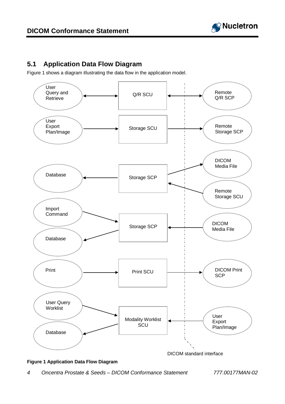

### <span id="page-11-0"></span>**5.1 Application Data Flow Diagram**

Figure 1 shows a diagram illustrating the data flow in the application model.



<span id="page-11-1"></span>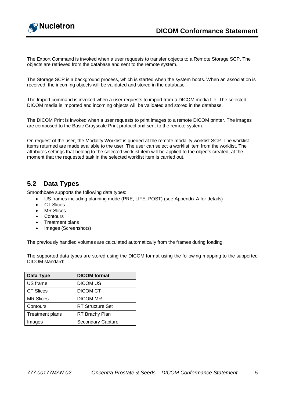

The Export Command is invoked when a user requests to transfer objects to a Remote Storage SCP. The objects are retrieved from the database and sent to the remote system.

The Storage SCP is a background process, which is started when the system boots. When an association is received, the incoming objects will be validated and stored in the database.

The Import command is invoked when a user requests to import from a DICOM media file. The selected DICOM media is imported and incoming objects will be validated and stored in the database.

The DICOM Print is invoked when a user requests to print images to a remote DICOM printer. The images are composed to the Basic Grayscale Print protocol and sent to the remote system.

On request of the user, the Modality Worklist is queried at the remote modality worklist SCP. The worklist items returned are made available to the user. The user can select a worklist item from the worklist. The attributes settings that belong to the selected worklist item will be applied to the objects created, at the moment that the requested task in the selected worklist item is carried out.

### <span id="page-12-0"></span>**5.2 Data Types**

Smoothbase supports the following data types:

- US frames including planning mode (PRE, LIFE, POST) (see Appendix A for details)
- CT Slices
- MR Slices
- Contours
- Treatment plans
- Images (Screenshots)

The previously handled volumes are calculated automatically from the frames during loading.

The supported data types are stored using the DICOM format using the following mapping to the supported DICOM standard:

| Data Type              | <b>DICOM</b> format     |
|------------------------|-------------------------|
| US frame               | <b>DICOM US</b>         |
| <b>CT Slices</b>       | <b>DICOM CT</b>         |
| <b>MR Slices</b>       | <b>DICOM MR</b>         |
| Contours               | <b>RT Structure Set</b> |
| <b>Treatment plans</b> | RT Brachy Plan          |
| Images                 | Secondary Capture       |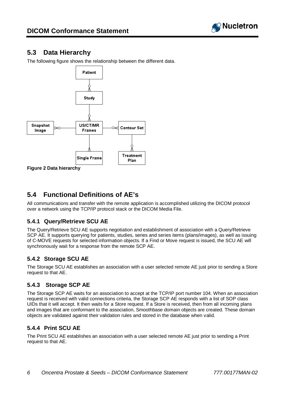



### <span id="page-13-0"></span>**5.3 Data Hierarchy**

The following figure shows the relationship between the different data.



**Figure 2 Data hierarchy**

### <span id="page-13-1"></span>**5.4 Functional Definitions of AE's**

All communications and transfer with the remote application is accomplished utilizing the DICOM protocol over a network using the TCP/IP protocol stack or the DICOM Media File.

#### <span id="page-13-2"></span>**5.4.1 Query/Retrieve SCU AE**

The Query/Retrieve SCU AE supports negotiation and establishment of association with a Query/Retrieve SCP AE. It supports querying for patients, studies, series and series items (plans/images), as well as issuing of C-MOVE requests for selected information objects. If a Find or Move request is issued, the SCU AE will synchronously wait for a response from the remote SCP AE.

#### <span id="page-13-3"></span>**5.4.2 Storage SCU AE**

The Storage SCU AE establishes an association with a user selected remote AE just prior to sending a Store request to that AE.

#### <span id="page-13-4"></span>**5.4.3 Storage SCP AE**

The Storage SCP AE waits for an association to accept at the TCP/IP port number 104. When an association request is received with valid connections criteria, the Storage SCP AE responds with a list of SOP class UIDs that it will accept. It then waits for a Store request. If a Store is received, then from all incoming plans and images that are conformant to the association, Smoothbase domain objects are created. These domain objects are validated against their validation rules and stored in the database when valid.

#### <span id="page-13-5"></span>**5.4.4 Print SCU AE**

The Print SCU AE establishes an association with a user selected remote AE just prior to sending a Print request to that AE.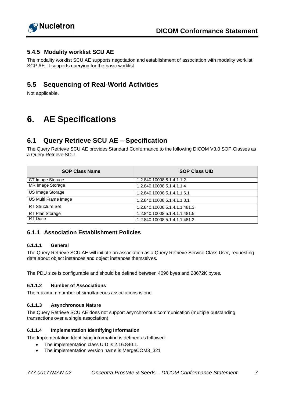

#### <span id="page-14-0"></span>**5.4.5 Modality worklist SCU AE**

The modality worklist SCU AE supports negotiation and establishment of association with modality worklist SCP AE. It supports querying for the basic worklist.

### <span id="page-14-1"></span>**5.5 Sequencing of Real-World Activities**

<span id="page-14-2"></span>Not applicable.

## <span id="page-14-3"></span>**6. AE Specifications**

### **6.1 Query Retrieve SCU AE – Specification**

The Query Retrieve SCU AE provides Standard Conformance to the following DICOM V3.0 SOP Classes as a Query Retrieve SCU.

| <b>SOP Class Name</b>   | <b>SOP Class UID</b>          |
|-------------------------|-------------------------------|
| CT Image Storage        | 1.2.840.10008.5.1.4.1.1.2     |
| MR Image Storage        | 1.2.840.10008.5.1.4.1.1.4     |
| US Image Storage        | 1.2.840.10008.5.1.4.1.1.6.1   |
| US Multi Frame Image    | 1.2.840.10008.5.1.4.1.1.3.1   |
| <b>RT Structure Set</b> | 1.2.840.10008.5.1.4.1.1.481.3 |
| RT Plan Storage         | 1.2.840.10008.5.1.4.1.1.481.5 |
| RT Dose                 | 1.2.840.10008.5.1.4.1.1.481.2 |

#### <span id="page-14-4"></span>**6.1.1 Association Establishment Policies**

#### **6.1.1.1 General**

The Query Retrieve SCU AE will initiate an association as a Query Retrieve Service Class User, requesting data about object instances and object instances themselves.

The PDU size is configurable and should be defined between 4096 byes and 28672K bytes.

#### **6.1.1.2 Number of Associations**

The maximum number of simultaneous associations is one.

#### **6.1.1.3 Asynchronous Nature**

The Query Retrieve SCU AE does not support asynchronous communication (multiple outstanding transactions over a single association).

#### **6.1.1.4 Implementation Identifying Information**

The Implementation Identifying information is defined as followed:

- The implementation class UID is 2.16.840.1.
- The implementation version name is MergeCOM3\_321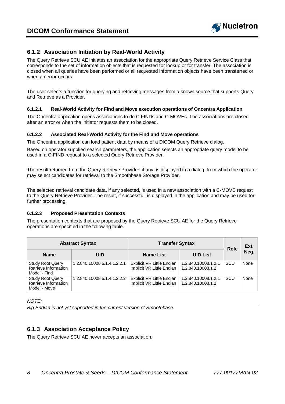

#### <span id="page-15-0"></span>**6.1.2 Association Initiation by Real-World Activity**

The Query Retrieve SCU AE initiates an association for the appropriate Query Retrieve Service Class that corresponds to the set of information objects that is requested for lookup or for transfer. The association is closed when all queries have been performed or all requested information objects have been transferred or when an error occurs.

The user selects a function for querying and retrieving messages from a known source that supports Query and Retrieve as a Provider.

#### **6.1.2.1 Real-World Activity for Find and Move execution operations of Oncentra Application**

The Oncentra application opens associations to do C-FINDs and C-MOVEs. The associations are closed after an error or when the initiator requests them to be closed.

#### **6.1.2.2 Associated Real-World Activity for the Find and Move operations**

The Oncentra application can load patient data by means of a DICOM Query Retrieve dialog.

Based on operator supplied search parameters, the application selects an appropriate query model to be used in a C-FIND request to a selected Query Retrieve Provider.

The result returned from the Query Retrieve Provider, if any, is displayed in a dialog, from which the operator may select candidates for retrieval to the Smoothbase Storage Provider.

The selected retrieval candidate data, if any selected, is used in a new association with a C-MOVE request to the Query Retrieve Provider. The result, if successful, is displayed in the application and may be used for further processing.

#### **6.1.2.3 Proposed Presentation Contexts**

The presentation contexts that are proposed by the Query Retrieve SCU AE for the Query Retrieve operations are specified in the following table.

|                                                                 | <b>Abstract Syntax</b>      | <b>Transfer Syntax</b>                                 | <b>Role</b>                              | Ext. |             |
|-----------------------------------------------------------------|-----------------------------|--------------------------------------------------------|------------------------------------------|------|-------------|
| <b>Name</b>                                                     | UID                         | <b>Name List</b>                                       | <b>UID List</b>                          |      | Neg.        |
| <b>Study Root Query</b><br>Retrieve Information<br>Model - Find | 1.2.840.10008.5.1.4.1.2.2.1 | Explicit VR Little Endian<br>Implicit VR Little Endian | 1.2.840.10008.1.2.1<br>1.2.840.10008.1.2 | SCU  | None        |
| <b>Study Root Query</b><br>Retrieve Information<br>Model - Move | 1.2.840.10008.5.1.4.1.2.2.2 | Explicit VR Little Endian<br>Implicit VR Little Endian | 1.2.840.10008.1.2.1<br>1.2.840.10008.1.2 | SCU  | <b>None</b> |

*NOTE:*

*Big Endian is not yet supported in the current version of Smoothbase.*

#### <span id="page-15-1"></span>**6.1.3 Association Acceptance Policy**

The Query Retrieve SCU AE never accepts an association.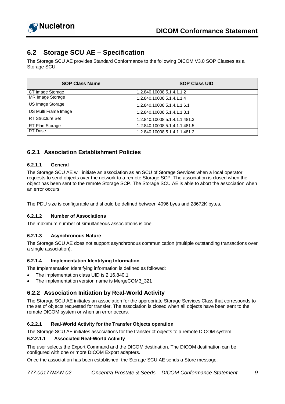

### <span id="page-16-0"></span>**6.2 Storage SCU AE – Specification**

The Storage SCU AE provides Standard Conformance to the following DICOM V3.0 SOP Classes as a Storage SCU.

| <b>SOP Class Name</b>   | <b>SOP Class UID</b>          |
|-------------------------|-------------------------------|
| CT Image Storage        | 1.2.840.10008.5.1.4.1.1.2     |
| MR Image Storage        | 1.2.840.10008.5.1.4.1.1.4     |
| US Image Storage        | 1.2.840.10008.5.1.4.1.1.6.1   |
| US Multi Frame Image    | 1.2.840.10008.5.1.4.1.1.3.1   |
| <b>RT Structure Set</b> | 1.2.840.10008.5.1.4.1.1.481.3 |
| RT Plan Storage         | 1.2.840.10008.5.1.4.1.1.481.5 |
| RT Dose                 | 1.2.840.10008.5.1.4.1.1.481.2 |

#### <span id="page-16-1"></span>**6.2.1 Association Establishment Policies**

#### **6.2.1.1 General**

The Storage SCU AE will initiate an association as an SCU of Storage Services when a local operator requests to send objects over the network to a remote Storage SCP. The association is closed when the object has been sent to the remote Storage SCP. The Storage SCU AE is able to abort the association when an error occurs.

The PDU size is configurable and should be defined between 4096 byes and 28672K bytes.

#### **6.2.1.2 Number of Associations**

The maximum number of simultaneous associations is one.

#### **6.2.1.3 Asynchronous Nature**

The Storage SCU AE does not support asynchronous communication (multiple outstanding transactions over a single association).

#### **6.2.1.4 Implementation Identifying Information**

The Implementation Identifying information is defined as followed:

- The implementation class UID is 2.16.840.1.
- <span id="page-16-2"></span>The implementation version name is MergeCOM3 321

#### **6.2.2 Association Initiation by Real-World Activity**

The Storage SCU AE initiates an association for the appropriate Storage Services Class that corresponds to the set of objects requested for transfer. The association is closed when all objects have been sent to the remote DICOM system or when an error occurs.

#### **6.2.2.1 Real-World Activity for the Transfer Objects operation**

The Storage SCU AE initiates associations for the transfer of objects to a remote DICOM system.

#### **6.2.2.1.1 Associated Real-World Activity**

The user selects the Export Command and the DICOM destination. The DICOM destination can be configured with one or more DICOM Export adapters.

Once the association has been established, the Storage SCU AE sends a Store message.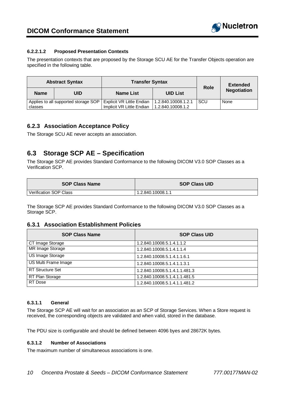



#### **6.2.2.1.2 Proposed Presentation Contexts**

The presentation contexts that are proposed by the Storage SCU AE for the Transfer Objects operation are specified in the following table.

|                                                 | <b>Abstract Syntax</b> | <b>Transfer Syntax</b>                                        | <b>Role</b>                              | <b>Extended</b><br><b>Negotiation</b> |      |
|-------------------------------------------------|------------------------|---------------------------------------------------------------|------------------------------------------|---------------------------------------|------|
| UID<br><b>Name</b>                              |                        | <b>Name List</b>                                              | <b>UID List</b>                          |                                       |      |
| Applies to all supported storage SOP<br>classes |                        | <b>Explicit VR Little Endian</b><br>Implicit VR Little Endian | 1.2.840.10008.1.2.1<br>1.2.840.10008.1.2 | SCU                                   | None |

#### <span id="page-17-0"></span>**6.2.3 Association Acceptance Policy**

<span id="page-17-1"></span>The Storage SCU AE never accepts an association.

### **6.3 Storage SCP AE – Specification**

The Storage SCP AE provides Standard Conformance to the following DICOM V3.0 SOP Classes as a Verification SCP.

| <b>SOP Class Name</b>    | <b>SOP Class UID</b> |
|--------------------------|----------------------|
| l Verification SOP Class | 1.2.840.10008.1.1    |

The Storage SCP AE provides Standard Conformance to the following DICOM V3.0 SOP Classes as a Storage SCP.

#### <span id="page-17-2"></span>**6.3.1 Association Establishment Policies**

| <b>SOP Class Name</b>   | <b>SOP Class UID</b>          |
|-------------------------|-------------------------------|
| CT Image Storage        | 1.2.840.10008.5.1.4.1.1.2     |
| MR Image Storage        | 1.2.840.10008.5.1.4.1.1.4     |
| US Image Storage        | 1.2.840.10008.5.1.4.1.1.6.1   |
| US Multi Frame Image    | 1.2.840.10008.5.1.4.1.1.3.1   |
| <b>RT Structure Set</b> | 1.2.840.10008.5.1.4.1.1.481.3 |
| RT Plan Storage         | 1.2.840.10008.5.1.4.1.1.481.5 |
| RT Dose                 | 1.2.840.10008.5.1.4.1.1.481.2 |

#### **6.3.1.1 General**

The Storage SCP AE will wait for an association as an SCP of Storage Services. When a Store request is received, the corresponding objects are validated and when valid, stored in the database.

The PDU size is configurable and should be defined between 4096 byes and 28672K bytes.

#### **6.3.1.2 Number of Associations**

The maximum number of simultaneous associations is one.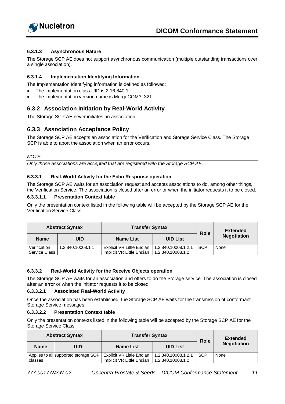

#### **6.3.1.3 Asynchronous Nature**

The Storage SCP AE does not support asynchronous communication (multiple outstanding transactions over a single association).

#### **6.3.1.4 Implementation Identifying Information**

The Implementation Identifying information is defined as followed:

- The implementation class UID is 2.16.840.1.
- The implementation version name is MergeCOM3 321

#### <span id="page-18-0"></span>**6.3.2 Association Initiation by Real-World Activity**

The Storage SCP AE never initiates an association.

#### <span id="page-18-1"></span>**6.3.3 Association Acceptance Policy**

The Storage SCP AE accepts an association for the Verification and Storage Service Class. The Storage SCP is able to abort the association when an error occurs.

#### *NOTE:*

*Only those associations are accepted that are registered with the Storage SCP AE.*

#### **6.3.3.1 Real-World Activity for the Echo Response operation**

The Storage SCP AE waits for an association request and accepts associations to do, among other things, the Verification Service. The association is closed after an error or when the initiator requests it to be closed.

#### **6.3.3.1.1 Presentation Context table**

Only the presentation context listed in the following table will be accepted by the Storage SCP AE for the Verification Service Class.

| <b>Abstract Syntax</b>        |                   | <b>Transfer Syntax</b>                                 |                                          | Role       | <b>Extended</b>    |
|-------------------------------|-------------------|--------------------------------------------------------|------------------------------------------|------------|--------------------|
| <b>Name</b>                   | UID               | <b>Name List</b><br><b>UID List</b>                    |                                          |            | <b>Negotiation</b> |
| Verification<br>Service Class | 1.2.840.10008.1.1 | Explicit VR Little Endian<br>Implicit VR Little Endian | 1.2.840.10008.1.2.1<br>1.2.840.10008.1.2 | <b>SCP</b> | None               |

#### **6.3.3.2 Real-World Activity for the Receive Objects operation**

The Storage SCP AE waits for an association and offers to do the Storage service. The association is closed after an error or when the initiator requests it to be closed.

#### **6.3.3.2.1 Associated Real-World Activity**

Once the association has been established, the Storage SCP AE waits for the transmission of conformant Storage Service messages.

#### **6.3.3.2.2 Presentation Context table**

Only the presentation contexts listed in the following table will be accepted by the Storage SCP AE for the Storage Service Class.

| <b>Abstract Syntax</b> |                                      | <b>Transfer Syntax</b>                                 |                                          | <b>Role</b> | <b>Extended</b>    |
|------------------------|--------------------------------------|--------------------------------------------------------|------------------------------------------|-------------|--------------------|
| <b>Name</b>            | UID                                  | <b>UID List</b><br><b>Name List</b>                    |                                          |             | <b>Negotiation</b> |
| classes                | Applies to all supported storage SOP | Explicit VR Little Endian<br>Implicit VR Little Endian | 1.2.840.10008.1.2.1<br>1.2.840.10008.1.2 | <b>SCP</b>  | None               |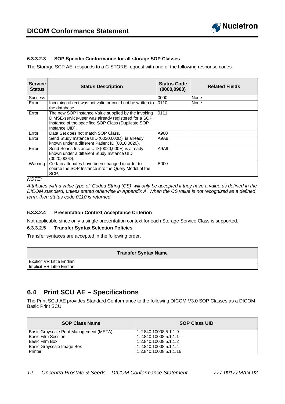

#### **6.3.3.2.3 SOP Specific Conformance for all storage SOP Classes**

The Storage SCP AE, responds to a C-STORE request with one of the following response codes.

| <b>Service</b><br><b>Status</b> | <b>Status Description</b>                                                                                                                                                          | <b>Status Code</b><br>(0000, 0900) | <b>Related Fields</b> |
|---------------------------------|------------------------------------------------------------------------------------------------------------------------------------------------------------------------------------|------------------------------------|-----------------------|
| <b>Success</b>                  |                                                                                                                                                                                    | 0000                               | None                  |
| Error                           | Incoming object was not valid or could not be written to<br>the database.                                                                                                          | 0110                               | None                  |
| Error                           | The new SOP Instance Value supplied by the invoking<br>DIMSE-service-user was already registered for a SOP<br>Instance of the specified SOP Class (Duplicate SOP<br>Instance UID). | 0111                               |                       |
| Error                           | Data Set does not match SOP Class.                                                                                                                                                 | A900                               |                       |
| Error                           | Send Study Instance UID (0020,000D) is already<br>known under a different Patient ID (0010,0020).                                                                                  | A9A8                               |                       |
| Error                           | Send Series Instance UID (0020,000E) is already<br>known under a different Study Instance UID<br>(0020,000D).                                                                      | A9A9                               |                       |
| Warning                         | Certain attributes have been changed in order to<br>coerce the SOP Instance into the Query Model of the<br>SCP.                                                                    | <b>B000</b>                        |                       |
| <i>NOTE:</i>                    |                                                                                                                                                                                    |                                    |                       |

*Attributes with a value type of 'Coded String (CS)' will only be accepted if they have a value as defined in the DICOM standard, unless stated otherwise in Appendix A. When the CS value is not recognized as a defined term, then status code 0110 is returned.*

#### **6.3.3.2.4 Presentation Context Acceptance Criterion**

Not applicable since only a single presentation context for each Storage Service Class is supported.

#### **6.3.3.2.5 Transfer Syntax Selection Policies**

Transfer syntaxes are accepted in the following order.

| <b>Transfer Syntax Name</b> |
|-----------------------------|
| Explicit VR Little Endian   |
| Implicit VR Little Endian   |

### <span id="page-19-0"></span>**6.4 Print SCU AE – Specifications**

The Print SCU AE provides Standard Conformance to the following DICOM V3.0 SOP Classes as a DICOM Basic Print SCU.

| <b>SOP Class Name</b>                   | <b>SOP Class UID</b>   |
|-----------------------------------------|------------------------|
| Basic Grayscale Print Management (META) | 1.2.840.10008.5.1.1.9  |
| l Basic Film Session                    | 1.2.840.10008.5.1.1.1  |
| l Basic Film Box                        | 1.2.840.10008.5.1.1.2  |
| Basic Grayscale Image Box               | 1.2.840.10008.5.1.1.4  |
| Printer                                 | 1.2.840.10008.5.1.1.16 |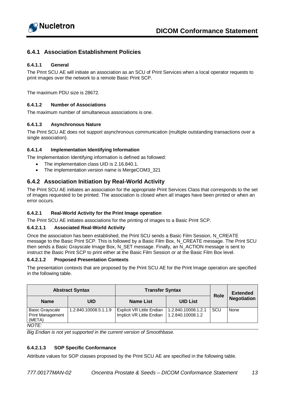

#### <span id="page-20-0"></span>**6.4.1 Association Establishment Policies**

#### **6.4.1.1 General**

The Print SCU AE will initiate an association as an SCU of Print Services when a local operator requests to print images over the network to a remote Basic Print SCP.

The maximum PDU size is 28672.

#### **6.4.1.2 Number of Associations**

The maximum number of simultaneous associations is one.

#### **6.4.1.3 Asynchronous Nature**

The Print SCU AE does not support asynchronous communication (multiple outstanding transactions over a single association).

#### **6.4.1.4 Implementation Identifying Information**

The Implementation Identifying information is defined as followed:

- The implementation class UID is 2.16.840.1.
- The implementation version name is MergeCOM3\_321

#### <span id="page-20-1"></span>**6.4.2 Association Initiation by Real-World Activity**

The Print SCU AE initiates an association for the appropriate Print Services Class that corresponds to the set of images requested to be printed. The association is closed when all images have been printed or when an error occurs.

#### **6.4.2.1 Real-World Activity for the Print Image operation**

The Print SCU AE initiates associations for the printing of images to a Basic Print SCP.

#### **6.4.2.1.1 Associated Real-World Activity**

Once the association has been established, the Print SCU sends a Basic Film Session, N\_CREATE message to the Basic Print SCP. This is followed by a Basic Film Box, N\_CREATE message. The Print SCU then sends a Basic Grayscale Image Box, N\_SET message. Finally, an N\_ACTION message is sent to instruct the Basic Print SCP to print either at the Basic Film Session or at the Basic Film Box level.

#### **6.4.2.1.2 Proposed Presentation Contexts**

The presentation contexts that are proposed by the Print SCU AE for the Print Image operation are specified in the following table.

|                                                             | <b>Abstract Syntax</b> | <b>Transfer Syntax</b>                                 |                                          |     |                    | <b>Extended</b><br><b>Role</b> |
|-------------------------------------------------------------|------------------------|--------------------------------------------------------|------------------------------------------|-----|--------------------|--------------------------------|
| <b>Name</b>                                                 | UID                    | <b>Name List</b>                                       | <b>UID List</b>                          |     | <b>Negotiation</b> |                                |
| <b>Basic Grayscale</b><br><b>Print Management</b><br>(META) | 1.2.840.10008.5.1.1.9  | Explicit VR Little Endian<br>Implicit VR Little Endian | 1.2.840.10008.1.2.1<br>1.2.840.10008.1.2 | SCU | None               |                                |
| NOTE:                                                       |                        |                                                        |                                          |     |                    |                                |

*Big Endian is not yet supported in the current version of Smoothbase.*

#### **6.4.2.1.3 SOP Specific Conformance**

Attribute values for SOP classes proposed by the Print SCU AE are specified in the following table.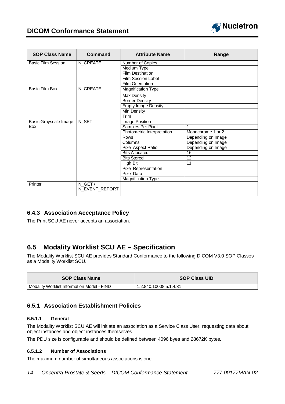

| <b>SOP Class Name</b>     | <b>Command</b>           | <b>Attribute Name</b>       | Range              |
|---------------------------|--------------------------|-----------------------------|--------------------|
| <b>Basic Film Session</b> | N_CREATE                 | Number of Copies            |                    |
|                           |                          | Medium Type                 |                    |
|                           |                          | <b>Film Destination</b>     |                    |
|                           |                          | <b>Film Session Label</b>   |                    |
|                           |                          | <b>Film Orientation</b>     |                    |
| Basic Film Box            | N_CREATE                 | <b>Magnification Type</b>   |                    |
|                           |                          | Max Density                 |                    |
|                           |                          | <b>Border Density</b>       |                    |
|                           |                          | <b>Empty Image Density</b>  |                    |
|                           |                          | Min Density                 |                    |
|                           |                          | Trim                        |                    |
| Basic Grayscale Image     | N SET                    | Image Position              |                    |
| <b>Box</b>                |                          | Samples Per Pixel           |                    |
|                           |                          | Photometric Interpretation  | Monochrome 1 or 2  |
|                           |                          | <b>Rows</b>                 | Depending on Image |
|                           |                          | Columns                     | Depending on Image |
|                           |                          | Pixel Aspect Ratio          | Depending on Image |
|                           |                          | <b>Bits Allocated</b>       | 16                 |
|                           |                          | <b>Bits Stored</b>          | 12                 |
|                           |                          | High Bit                    | 11                 |
|                           |                          | <b>Pixel Representation</b> |                    |
|                           |                          | Pixel Data                  |                    |
|                           |                          | <b>Magnification Type</b>   |                    |
| Printer                   | N_GET/<br>N_EVENT_REPORT |                             |                    |

#### <span id="page-21-0"></span>**6.4.3 Association Acceptance Policy**

The Print SCU AE never accepts an association.

## <span id="page-21-1"></span>**6.5 Modality Worklist SCU AE – Specification**

The Modality Worklist SCU AE provides Standard Conformance to the following DICOM V3.0 SOP Classes as a Modality Worklist SCU.

| <b>SOP Class Name</b>                      | <b>SOP Class UID</b>   |
|--------------------------------------------|------------------------|
| Modality Worklist Information Model - FIND | 1.2.840.10008.5.1.4.31 |

#### <span id="page-21-2"></span>**6.5.1 Association Establishment Policies**

#### **6.5.1.1 General**

The Modality Worklist SCU AE will initiate an association as a Service Class User, requesting data about object instances and object instances themselves.

The PDU size is configurable and should be defined between 4096 byes and 28672K bytes.

#### **6.5.1.2 Number of Associations**

The maximum number of simultaneous associations is one.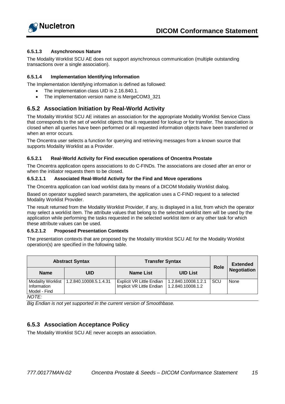

#### **6.5.1.3 Asynchronous Nature**

The Modality Worklist SCU AE does not support asynchronous communication (multiple outstanding transactions over a single association).

#### **6.5.1.4 Implementation Identifying Information**

The Implementation Identifying information is defined as followed:

- The implementation class UID is 2.16.840.1.
- The implementation version name is MergeCOM3\_321

#### <span id="page-22-0"></span>**6.5.2 Association Initiation by Real-World Activity**

The Modality Worklist SCU AE initiates an association for the appropriate Modality Worklist Service Class that corresponds to the set of worklist objects that is requested for lookup or for transfer. The association is closed when all queries have been performed or all requested information objects have been transferred or when an error occurs.

The Oncentra user selects a function for querying and retrieving messages from a known source that supports Modality Worklist as a Provider.

#### **6.5.2.1 Real-World Activity for Find execution operations of Oncentra Prostate**

The Oncentra application opens associations to do C-FINDs. The associations are closed after an error or when the initiator requests them to be closed.

#### **6.5.2.1.1 Associated Real-World Activity for the Find and Move operations**

The Oncentra application can load worklist data by means of a DICOM Modality Worklist dialog.

Based on operator supplied search parameters, the application uses a C-FIND request to a selected Modality Worklist Provider.

The result returned from the Modality Worklist Provider, if any, is displayed in a list, from which the operator may select a worklist item. The attribute values that belong to the selected worklist item will be used by the application while performing the tasks requested in the selected worklist item or any other task for which these attribute values can be used.

#### **6.5.2.1.2 Proposed Presentation Contexts**

The presentation contexts that are proposed by the Modality Worklist SCU AE for the Modality Worklist operation(s) are specified in the following table.

| <b>Abstract Syntax</b>                                  |                        | <b>Transfer Syntax</b>                                 |                                          |     |                    | <b>Role</b> | <b>Extended</b> |
|---------------------------------------------------------|------------------------|--------------------------------------------------------|------------------------------------------|-----|--------------------|-------------|-----------------|
| <b>Name</b>                                             | UID                    | <b>Name List</b>                                       | <b>UID List</b>                          |     | <b>Negotiation</b> |             |                 |
| <b>Modality Worklist</b><br>Information<br>Model - Find | 1.2.840.10008.5.1.4.31 | Explicit VR Little Endian<br>Implicit VR Little Endian | 1.2.840.10008.1.2.1<br>1.2.840.10008.1.2 | SCU | None               |             |                 |
| NOTE:                                                   |                        |                                                        |                                          |     |                    |             |                 |

*NOTE:*

*Big Endian is not yet supported in the current version of Smoothbase.*

#### <span id="page-22-1"></span>**6.5.3 Association Acceptance Policy**

The Modality Worklist SCU AE never accepts an association.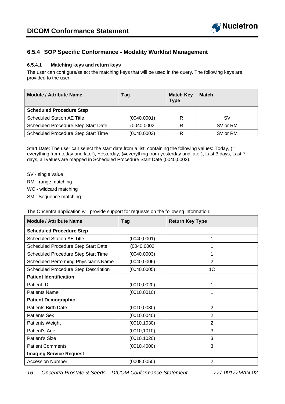

#### <span id="page-23-0"></span>**6.5.4 SOP Specific Conformance - Modality Worklist Management**

#### **6.5.4.1 Matching keys and return keys**

The user can configure/select the matching keys that will be used in the query. The following keys are provided to the user:

| <b>Module / Attribute Name</b>             | Tag          | <b>Match Key</b><br><b>Type</b> | <b>Match</b> |
|--------------------------------------------|--------------|---------------------------------|--------------|
| <b>Scheduled Procedure Step</b>            |              |                                 |              |
| <b>Scheduled Station AE Title</b>          | (0040,0001)  | R                               | sv           |
| <b>Scheduled Procedure Step Start Date</b> | (0040, 0002) | R                               | SV or RM     |
| <b>Scheduled Procedure Step Start Time</b> | (0040,0003)  | R                               | SV or RM     |

Start Date: The user can select the start date from a list, containing the following values: Today, (= everything from today and later), Yesterday, (=everything from yesterday and later), Last 3 days, Last 7 days, all values are mapped in Scheduled Procedure Start Date (0040,0002).

- SV single value
- RM range matching
- WC wildcard matching
- SM Sequence matching

The Oncentra application will provide support for requests on the following information:

| <b>Module / Attribute Name</b>              | <b>Tag</b>   | <b>Return Key Type</b> |
|---------------------------------------------|--------------|------------------------|
| <b>Scheduled Procedure Step</b>             |              |                        |
| <b>Scheduled Station AE Title</b>           | (0040,0001)  | 1                      |
| Scheduled Procedure Step Start Date         | (0040, 0002) |                        |
| Scheduled Procedure Step Start Time         | (0040, 0003) | 1                      |
| Scheduled Performing Physician's Name       | (0040, 0006) | $\overline{2}$         |
| <b>Scheduled Procedure Step Description</b> | (0040, 0005) | 1C                     |
| <b>Patient Identification</b>               |              |                        |
| Patient ID                                  | (0010, 0020) | 1                      |
| <b>Patients Name</b>                        | (0010, 0010) |                        |
| <b>Patient Demographic</b>                  |              |                        |
| <b>Patients Birth Date</b>                  | (0010, 0030) | 2                      |
| <b>Patients Sex</b>                         | (0010, 0040) | $\overline{2}$         |
| Patients Weight                             | (0010, 1030) | $\overline{2}$         |
| Patient's Age                               | (0010, 1010) | 3                      |
| Patient's Size                              | (0010, 1020) | 3                      |
| <b>Patient Comments</b>                     | (0010, 4000) | 3                      |
| <b>Imaging Service Request</b>              |              |                        |
| <b>Accession Number</b>                     | (0008, 0050) | 2                      |

*16 Oncentra Prostate & Seeds – DICOM Conformance Statement 777.00177MAN-02*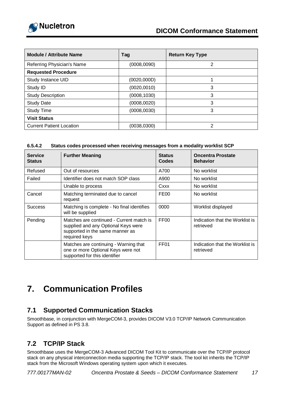

| <b>Module / Attribute Name</b>  | Tag          | <b>Return Key Type</b> |
|---------------------------------|--------------|------------------------|
| Referring Physician's Name      | (0008,0090)  | 2                      |
| <b>Requested Procedure</b>      |              |                        |
| Study Instance UID              | (0020, 000D) |                        |
| Study ID                        | (0020, 0010) | 3                      |
| <b>Study Description</b>        | (0008, 1030) | 3                      |
| <b>Study Date</b>               | (0008, 0020) | 3                      |
| <b>Study Time</b>               | (0008, 0030) | 3                      |
| <b>Visit Status</b>             |              |                        |
| <b>Current Patient Location</b> | (0038, 0300) | 2                      |

#### **6.5.4.2 Status codes processed when receiving messages from a modality worklist SCP**

| <b>Service</b><br><b>Status</b> | <b>Further Meaning</b>                                                                                                              | <b>Status</b><br>Codes | <b>Oncentra Prostate</b><br><b>Behavior</b>  |
|---------------------------------|-------------------------------------------------------------------------------------------------------------------------------------|------------------------|----------------------------------------------|
| Refused                         | Out of resources                                                                                                                    | A700                   | No worklist                                  |
| Failed                          | Identifier does not match SOP class                                                                                                 | A900                   | No worklist                                  |
|                                 | Unable to process                                                                                                                   | Cxxx                   | No worklist                                  |
| Cancel                          | Matching terminated due to cancel<br>request                                                                                        | FE <sub>00</sub>       | No worklist                                  |
| <b>Success</b>                  | Matching is complete - No final identifies<br>will be supplied                                                                      | 0000                   | Worklist displayed                           |
| Pending                         | Matches are continued - Current match is<br>supplied and any Optional Keys were<br>supported in the same manner as<br>required keys | FF <sub>00</sub>       | Indication that the Worklist is<br>retrieved |
|                                 | Matches are continuing - Warning that<br>one or more Optional Keys were not<br>supported for this identifier                        | FF <sub>01</sub>       | Indication that the Worklist is<br>retrieved |

## <span id="page-24-1"></span><span id="page-24-0"></span>**7. Communication Profiles**

### **7.1 Supported Communication Stacks**

Smoothbase, in conjunction with MergeCOM-3, provides DICOM V3.0 TCP/IP Network Communication Support as defined in PS 3.8.

## <span id="page-24-2"></span>**7.2 TCP/IP Stack**

Smoothbase uses the MergeCOM-3 Advanced DICOM Tool Kit to communicate over the TCP/IP protocol stack on any physical interconnection media supporting the TCP/IP stack. The tool kit inherits the TCP/IP stack from the Microsoft Windows operating system upon which it executes.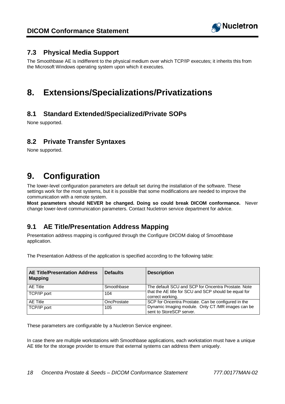

### <span id="page-25-0"></span>**7.3 Physical Media Support**

<span id="page-25-1"></span>The Smoothbase AE is indifferent to the physical medium over which TCP/IP executes; it inherits this from the Microsoft Windows operating system upon which it executes.

## <span id="page-25-2"></span>**8. Extensions/Specializations/Privatizations**

### **8.1 Standard Extended/Specialized/Private SOPs**

<span id="page-25-3"></span>None supported.

#### **8.2 Private Transfer Syntaxes**

<span id="page-25-4"></span>None supported.

## **9. Configuration**

The lower-level configuration parameters are default set during the installation of the software. These settings work for the most systems, but it is possible that some modifications are needed to improve the communication with a remote system.

<span id="page-25-5"></span>**Most parameters should NEVER be changed. Doing so could break DICOM conformance.** Never change lower-level communication parameters. Contact Nucletron service department for advice.

### **9.1 AE Title/Presentation Address Mapping**

Presentation address mapping is configured through the Configure DICOM dialog of Smoothbase application.

The Presentation Address of the application is specified according to the following table:

| <b>AE Title/Presentation Address</b><br><b>Mapping</b> | <b>Defaults</b> | <b>Description</b>                                                            |
|--------------------------------------------------------|-----------------|-------------------------------------------------------------------------------|
| AE Title                                               | Smoothbase      | The default SCU and SCP for Oncentra Prostate. Note                           |
| TCP/IP port                                            | 104             | that the AE title for SCU and SCP should be equal for<br>correct working.     |
| AE Title                                               | OncProstate     | SCP for Oncentra Prostate. Can be configured in the                           |
| TCP/IP port                                            | 105             | Dynamic Imaging module. Only CT /MR images can be<br>sent to StoreSCP server. |

These parameters are configurable by a Nucletron Service engineer.

In case there are multiple workstations with Smoothbase applications, each workstation must have a unique AE title for the storage provider to ensure that external systems can address them uniquely.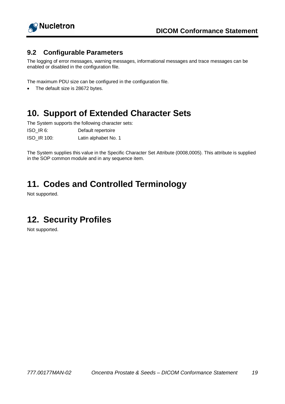

### <span id="page-26-0"></span>**9.2 Configurable Parameters**

The logging of error messages, warning messages, informational messages and trace messages can be enabled or disabled in the configuration file.

The maximum PDU size can be configured in the configuration file.

<span id="page-26-1"></span>• The default size is 28672 bytes.

## **10. Support of Extended Character Sets**

The System supports the following character sets:

ISO\_IR 6: Default repertoire ISO\_IR 100: Latin alphabet No. 1

<span id="page-26-2"></span>The System supplies this value in the Specific Character Set Attribute (0008,0005). This attribute is supplied in the SOP common module and in any sequence item.

## **11. Codes and Controlled Terminology**

<span id="page-26-3"></span>Not supported.

## **12. Security Profiles**

Not supported.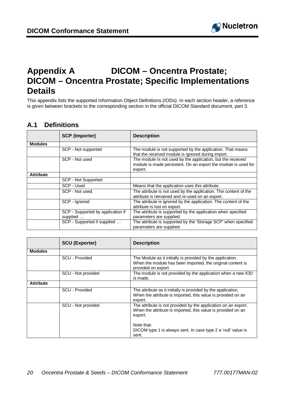

## <span id="page-27-0"></span>**Appendix A DICOM – Oncentra Prostate; DICOM – Oncentra Prostate; Specific Implementations Details**

This appendix lists the supported Information Object Definitions (IODs). In each section header, a reference is given between brackets to the corresponding section in the official DICOM Standard document, part 3.

### <span id="page-27-1"></span>**A.1 Definitions**

|                  | <b>SCP</b> (Importer)                         | <b>Description</b>                                                                                                                       |
|------------------|-----------------------------------------------|------------------------------------------------------------------------------------------------------------------------------------------|
| <b>Modules</b>   |                                               |                                                                                                                                          |
|                  | SCP - Not supported                           | The module is not supported by the application. That means<br>that the received module is ignored during import.                         |
|                  | SCP - Not used                                | The module Is not used by the application, but the received<br>module is made persistent. On an export the module is used for<br>export. |
| <b>Attribute</b> |                                               |                                                                                                                                          |
|                  | SCP - Not Supported                           |                                                                                                                                          |
|                  | SCP - Used                                    | Means that the application uses this attribute.                                                                                          |
|                  | SCP - Not used.                               | The attribute is not used by the application. The content of the<br>attribute is remained and re-used on an export.                      |
|                  | SCP - Ignored                                 | The attribute is ignored by the application. The content of the<br>attribute is lost on export.                                          |
|                  | SCP - Supported by application if<br>supplied | The attribute is supported by the application when specified<br>parameters are supplied.                                                 |
|                  | SCP - Supported if supplied                   | The attribute is supported by the 'Storage SCP' when specified<br>parameters are supplied.                                               |

|                  | <b>SCU (Exporter)</b> | <b>Description</b>                                                                                                                              |
|------------------|-----------------------|-------------------------------------------------------------------------------------------------------------------------------------------------|
| <b>Modules</b>   |                       |                                                                                                                                                 |
|                  | SCU - Provided        | The Module as it initially is provided by the application.<br>When the module has been imported, the original content is<br>provided on export. |
|                  | SCU - Not provided    | The module is not provided by the application when a new IOD<br>is made.                                                                        |
| <b>Attribute</b> |                       |                                                                                                                                                 |
|                  | SCU - Provided        | The attribute as it initially is provided by the application.<br>When the attribute is imported, this value is provided on an<br>export.        |
|                  | SCU - Not provided    | The attribute is not provided by the application on an export.<br>When the attribute is imported, this value is provided on an<br>export.       |
|                  |                       | Note that:<br>DICOM type 1 is always sent. In case type 2 a 'null' value is<br>sent.                                                            |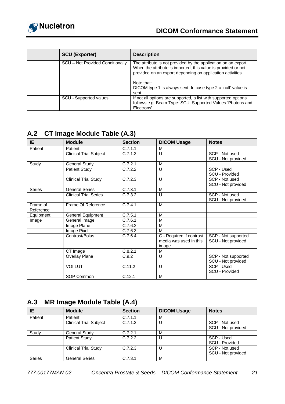

| <b>SCU (Exporter)</b>            | <b>Description</b>                                                                                                                                                                                                                                                           |
|----------------------------------|------------------------------------------------------------------------------------------------------------------------------------------------------------------------------------------------------------------------------------------------------------------------------|
| SCU - Not Provided Conditionally | The attribute is not provided by the application on an export.<br>When the attribute is imported, this value is provided or not<br>provided on an export depending on application activities.<br>Note that:<br>DICOM type 1 is always sent. In case type 2 a 'null' value is |
|                                  | sent.                                                                                                                                                                                                                                                                        |
| SCU - Supported values           | If not all options are supported, a list with supported options<br>follows e.g. Beam Type: SCU: Supported Values 'Photons and<br>Electrons'                                                                                                                                  |

## <span id="page-28-0"></span>**A.2 CT Image Module Table (A.3)**

| IE.           | <b>Module</b>                 | <b>Section</b>       | <b>DICOM Usage</b>       | <b>Notes</b>        |
|---------------|-------------------------------|----------------------|--------------------------|---------------------|
| Patient       | Patient                       | C.7.1.1              | м                        |                     |
|               | <b>Clinical Trial Subject</b> | C.7.1.3              | U                        | SCP - Not used      |
|               |                               |                      |                          | SCU - Not provided  |
| Study         | General Study                 | C.7.2.1              | M                        |                     |
|               | <b>Patient Study</b>          | C.7.2.2              | U                        | SCP - Used          |
|               |                               |                      |                          | SCU - Provided      |
|               | Clinical Trial Study          | C.7.2.3              | U                        | SCP - Not used      |
|               |                               |                      |                          | SCU - Not provided  |
| <b>Series</b> | <b>General Series</b>         | C.7.3.1              | M                        |                     |
|               | <b>Clinical Trial Series</b>  | C.7.3.2              | U                        | SCP - Not used      |
|               |                               |                      |                          | SCU - Not provided  |
| Frame of      | Frame Of Reference            | C.7.4.1              | M                        |                     |
| Reference     |                               |                      |                          |                     |
| Equipment     | General Equipment             | C.7.5.1              | M                        |                     |
| Image         | General Image                 | C.7.6.1              | M                        |                     |
|               | Image Plane                   | C.7.6.2              | M                        |                     |
|               | <b>Image Pixel</b>            | C.7.6.3              | M                        |                     |
|               | Contrast/Bolus                | $\overline{C.7.6}.4$ | C - Required if contrast | SCP - Not supported |
|               |                               |                      | media was used in this   | SCU - Not provided  |
|               |                               |                      | image                    |                     |
|               | CT Image                      | C.8.2.1              | M                        |                     |
|               | Overlay Plane                 | C.9.2                | U                        | SCP - Not supported |
|               |                               |                      |                          | SCU - Not provided  |
|               | <b>VOI LUT</b>                | C.11.2               | U                        | SCP - Used          |
|               |                               |                      |                          | SCU - Provided      |
|               | SOP Common                    | C.12.1               | M                        |                     |

## <span id="page-28-1"></span>**A.3 MR Image Module Table (A.4)**

| IE            | <b>Module</b>                 | <b>Section</b> | <b>DICOM Usage</b> | <b>Notes</b>       |
|---------------|-------------------------------|----------------|--------------------|--------------------|
| Patient       | Patient                       | C.7.1.1        | м                  |                    |
|               | <b>Clinical Trial Subject</b> | C.7.1.3        |                    | SCP - Not used     |
|               |                               |                |                    | SCU - Not provided |
| Study         | <b>General Study</b>          | C.7.2.1        | M                  |                    |
|               | <b>Patient Study</b>          | C.7.2.2        |                    | SCP - Used         |
|               |                               |                |                    | SCU - Provided     |
|               | <b>Clinical Trial Study</b>   | C.7.2.3        |                    | SCP - Not used     |
|               |                               |                |                    | SCU - Not provided |
| <b>Series</b> | <b>General Series</b>         | C.7.3.1        | м                  |                    |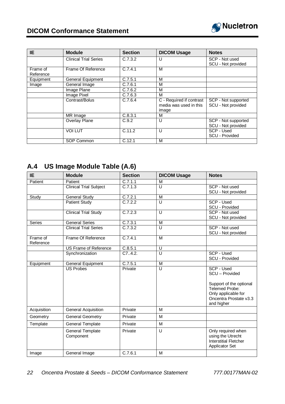

| IE                    | <b>Module</b>                | <b>Section</b> | <b>DICOM Usage</b>                                          | <b>Notes</b>                              |
|-----------------------|------------------------------|----------------|-------------------------------------------------------------|-------------------------------------------|
|                       | <b>Clinical Trial Series</b> | C.7.3.2        | U                                                           | SCP - Not used<br>SCU - Not provided      |
| Frame of<br>Reference | Frame Of Reference           | C.7.4.1        | м                                                           |                                           |
| Equipment             | General Equipment            | C.7.5.1        | м                                                           |                                           |
| Image                 | General Image                | C.7.6.1        | м                                                           |                                           |
|                       | Image Plane                  | C.7.6.2        | м                                                           |                                           |
|                       | Image Pixel                  | C.7.6.3        | м                                                           |                                           |
|                       | Contrast/Bolus               | C.7.6.4        | C - Required if contrast<br>media was used in this<br>image | SCP - Not supported<br>SCU - Not provided |
|                       | MR Image                     | C.8.3.1        | М                                                           |                                           |
|                       | Overlay Plane                | C.9.2          | U                                                           | SCP - Not supported<br>SCU - Not provided |
|                       | <b>VOI LUT</b>               | C.11.2         | U                                                           | SCP - Used<br>SCU - Provided              |
|                       | SOP Common                   | C.12.1         | м                                                           |                                           |

## <span id="page-29-0"></span>**A.4 US Image Module Table (A.6)**

| IE.         | <b>Module</b>                 | <b>Section</b>     | <b>DICOM Usage</b> | <b>Notes</b>                 |
|-------------|-------------------------------|--------------------|--------------------|------------------------------|
| Patient     | Patient                       | C.7.1.1            | M                  |                              |
|             | <b>Clinical Trial Subject</b> | C.7.1.3            | U                  | SCP - Not used               |
|             |                               |                    |                    | SCU - Not provided           |
| Study       | General Study                 | C.7.2.1            | M                  |                              |
|             | <b>Patient Study</b>          | C.7.2.2            | U                  | <b>SCP - Used</b>            |
|             |                               |                    |                    | SCU - Provided               |
|             | <b>Clinical Trial Study</b>   | C.7.2.3            | U                  | SCP - Not used               |
|             |                               |                    |                    | SCU - Not provided           |
| Series      | <b>General Series</b>         | C.7.3.1<br>C.7.3.2 | M                  |                              |
|             | <b>Clinical Trial Series</b>  |                    | U                  | SCP - Not used               |
| Frame of    | Frame Of Reference            | C.7.4.1            | M                  | SCU - Not provided           |
| Reference   |                               |                    |                    |                              |
|             | US Frame of Reference         | C.8.5.1            | U                  |                              |
|             | Synchronization               | C74.2.             | $\cup$             | SCP - Used                   |
|             |                               |                    |                    | SCU - Provided               |
| Equipment   | General Equipment             | C.7.5.1            | M                  |                              |
|             | <b>US Probes</b>              | Private            | U                  | SCP - Used                   |
|             |                               |                    |                    | SCU - Provided               |
|             |                               |                    |                    | Support of the optional      |
|             |                               |                    |                    | Telemed Probe:               |
|             |                               |                    |                    | Only applicable for          |
|             |                               |                    |                    | Oncentra Prostate v3.3       |
|             |                               |                    |                    | and higher                   |
| Acquisition | <b>General Acquisition</b>    | Private            | M                  |                              |
| Geometry    | <b>General Geometry</b>       | Private            | M                  |                              |
| Template    | <b>General Template</b>       | Private            | M                  |                              |
|             | <b>General Template</b>       | Private            | U                  | Only required when           |
|             | Component                     |                    |                    | using the Utrecht            |
|             |                               |                    |                    | <b>Interstitial Fletcher</b> |
|             |                               |                    |                    | <b>Applicator Set</b>        |
| Image       | General Image                 | C.7.6.1            | M                  |                              |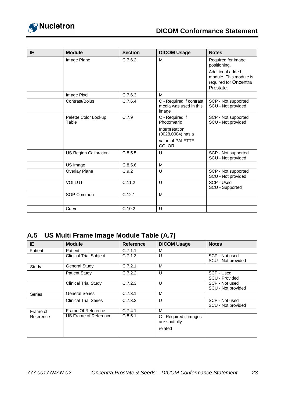

| IE. | <b>Module</b>                 | <b>Section</b> | <b>DICOM Usage</b>                                          | <b>Notes</b>                                                                     |
|-----|-------------------------------|----------------|-------------------------------------------------------------|----------------------------------------------------------------------------------|
|     | Image Plane                   | C.7.6.2        | M                                                           | Required for image<br>positioning.                                               |
|     |                               |                |                                                             | Additional added<br>module. This module is<br>required for Oncentra<br>Prostate. |
|     | Image Pixel                   | C.7.6.3        | M                                                           |                                                                                  |
|     | Contrast/Bolus                | C.7.6.4        | C - Required if contrast<br>media was used in this<br>image | SCP - Not supported<br>SCU - Not provided                                        |
|     | Palette Color Lookup<br>Table | C.7.9          | C - Required if<br>Photometric                              | SCP - Not supported<br>SCU - Not provided                                        |
|     |                               |                | Interpretation<br>(0028,0004) has a                         |                                                                                  |
|     |                               |                | value of PALETTE<br><b>COLOR</b>                            |                                                                                  |
|     | <b>US Region Calibration</b>  | C.8.5.5        | U                                                           | SCP - Not supported<br>SCU - Not provided                                        |
|     | US Image                      | C.8.5.6        | M                                                           |                                                                                  |
|     | <b>Overlay Plane</b>          | C.9.2          | Ū                                                           | SCP - Not supported<br>SCU - Not provided                                        |
|     | <b>VOI LUT</b>                | C.11.2         | U                                                           | SCP - Used<br>SCU - Supported                                                    |
|     | SOP Common                    | C.12.1         | M                                                           |                                                                                  |
|     |                               |                |                                                             |                                                                                  |
|     | Curve                         | C.10.2         | U                                                           |                                                                                  |

## <span id="page-30-0"></span>**A.5 US Multi Frame Image Module Table (A.7)**

| IE.           | <b>Module</b>                | <b>Reference</b> | <b>DICOM Usage</b>     | <b>Notes</b>       |
|---------------|------------------------------|------------------|------------------------|--------------------|
| Patient       | Patient                      | C.7.1.1          | м                      |                    |
|               | Clinical Trial Subject       | C.7.1.3          | U                      | SCP - Not used     |
|               |                              |                  |                        | SCU - Not provided |
| Study         | General Study                | C.7.2.1          | M                      |                    |
|               | <b>Patient Study</b>         | C.7.2.2          | U                      | SCP - Used         |
|               |                              |                  |                        | SCU - Provided     |
|               | <b>Clinical Trial Study</b>  | C.7.2.3          | U                      | SCP - Not used     |
|               |                              |                  |                        | SCU - Not provided |
| <b>Series</b> | <b>General Series</b>        | C.7.3.1          | M                      |                    |
|               | <b>Clinical Trial Series</b> | C.7.3.2          | U                      | SCP - Not used     |
|               |                              |                  |                        | SCU - Not provided |
| Frame of      | Frame Of Reference           | C.7.4.1          | м                      |                    |
| Reference     | US Frame of Reference        | C.8.5.1          | C - Required if images |                    |
|               |                              |                  | are spatially          |                    |
|               |                              |                  | related                |                    |
|               |                              |                  |                        |                    |
|               |                              |                  |                        |                    |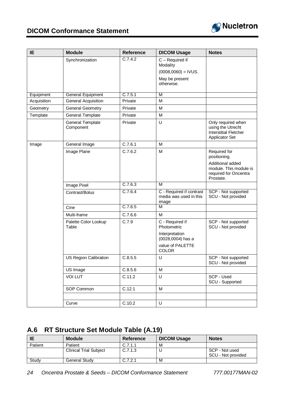

## <span id="page-31-0"></span>**A.6 RT Structure Set Module Table (A.19)**

| IE      | <b>Module</b>                 | Reference | <b>DICOM Usage</b> | <b>Notes</b>                         |
|---------|-------------------------------|-----------|--------------------|--------------------------------------|
| Patient | Patient                       | C.7.1.1   | м                  |                                      |
|         | <b>Clinical Trial Subject</b> | C.7.1.3   |                    | SCP - Not used<br>SCU - Not provided |
| Study   | General Study                 | C.7.2.1   | м                  |                                      |

*24 Oncentra Prostate & Seeds – DICOM Conformance Statement 777.00177MAN-02*

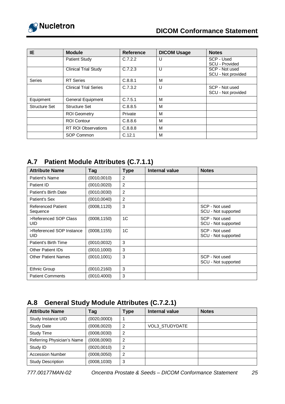

| IE.                  | <b>Module</b>                | <b>Reference</b> | <b>DICOM Usage</b> | <b>Notes</b>                         |
|----------------------|------------------------------|------------------|--------------------|--------------------------------------|
|                      | <b>Patient Study</b>         | C.7.2.2          | U                  | SCP - Used<br>SCU - Provided         |
|                      | <b>Clinical Trial Study</b>  | C.7.2.3          | U                  | SCP - Not used<br>SCU - Not provided |
| <b>Series</b>        | <b>RT</b> Series             | C.8.8.1          | M                  |                                      |
|                      | <b>Clinical Trial Series</b> | C.7.3.2          | U                  | SCP - Not used<br>SCU - Not provided |
| Equipment            | General Equipment            | C.7.5.1          | M                  |                                      |
| <b>Structure Set</b> | <b>Structure Set</b>         | C.8.8.5          | M                  |                                      |
|                      | <b>ROI</b> Geometry          | Private          | M                  |                                      |
|                      | <b>ROI Contour</b>           | C.8.8.6          | M                  |                                      |
|                      | <b>RT ROI Observations</b>   | C.8.8.8          | M                  |                                      |
|                      | SOP Common                   | C.12.1           | M                  |                                      |

## <span id="page-32-0"></span>**A.7 Patient Module Attributes (C.7.1.1)**

| <b>Attribute Name</b>                  | Tag          | <b>Type</b>    | Internal value | <b>Notes</b>                          |
|----------------------------------------|--------------|----------------|----------------|---------------------------------------|
| Patient's Name                         | (0010, 0010) | 2              |                |                                       |
| Patient ID                             | (0010, 0020) | $\overline{2}$ |                |                                       |
| Patient's Birth Date                   | (0010, 0030) | $\overline{2}$ |                |                                       |
| Patient's Sex                          | (0010, 0040) | 2              |                |                                       |
| <b>Referenced Patient</b><br>Sequence  | (0008, 1120) | 3              |                | SCP - Not used<br>SCU - Not supported |
| >Referenced SOP Class<br><b>UID</b>    | (0008, 1150) | 1C             |                | SCP - Not used<br>SCU - Not supported |
| >Referenced SOP Instance<br><b>UID</b> | (0008, 1155) | 1C             |                | SCP - Not used<br>SCU - Not supported |
| Patient's Birth Time                   | (0010, 0032) | 3              |                |                                       |
| <b>Other Patient IDs</b>               | (0010, 1000) | 3              |                |                                       |
| <b>Other Patient Names</b>             | (0010, 1001) | 3              |                | SCP - Not used<br>SCU - Not supported |
| <b>Ethnic Group</b>                    | (0010, 2160) | 3              |                |                                       |
| <b>Patient Comments</b>                | (0010, 4000) | 3              |                |                                       |

## <span id="page-32-1"></span>**A.8 General Study Module Attributes (C.7.2.1)**

| <b>Attribute Name</b>      | Tag          | <b>Type</b>    | Internal value | <b>Notes</b> |
|----------------------------|--------------|----------------|----------------|--------------|
| Study Instance UID         | (0020,000D)  |                |                |              |
| <b>Study Date</b>          | (0008, 0020) | 2              | VOL3_STUDYDATE |              |
| <b>Study Time</b>          | (0008, 0030) | 2              |                |              |
| Referring Physician's Name | (0008, 0090) | 2              |                |              |
| Study ID                   | (0020, 0010) | 2              |                |              |
| <b>Accession Number</b>    | (0008, 0050) | $\overline{2}$ |                |              |
| <b>Study Description</b>   | (0008, 1030) | 3              |                |              |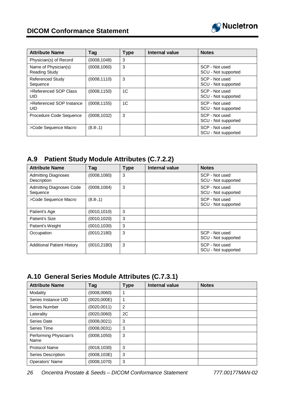

## <span id="page-33-0"></span>**A.9 Patient Study Module Attributes (C.7.2.2)**

| <b>Attribute Name</b>                       | Tag          | <b>Type</b> | Internal value | <b>Notes</b>                          |
|---------------------------------------------|--------------|-------------|----------------|---------------------------------------|
| <b>Admitting Diagnoses</b><br>Description   | (0008, 1080) | 3           |                | SCP - Not used<br>SCU - Not supported |
| <b>Admitting Diagnoses Code</b><br>Sequence | (0008, 1084) | 3           |                | SCP - Not used<br>SCU - Not supported |
| >Code Sequence Macro                        | $(8.8-1)$    |             |                | SCP - Not used<br>SCU - Not supported |
| Patient's Age                               | (0010, 1010) | 3           |                |                                       |
| Patient's Size                              | (0010, 1020) | 3           |                |                                       |
| Patient's Weight                            | (0010, 1030) | 3           |                |                                       |
| Occupation                                  | (0010, 2180) | 3           |                | SCP - Not used<br>SCU - Not supported |
| <b>Additional Patient History</b>           | (0010, 21B0) | 3           |                | SCP - Not used<br>SCU - Not supported |

## <span id="page-33-1"></span>**A.10 General Series Module Attributes (C.7.3.1)**

| <b>Attribute Name</b>          | Tag          | <b>Type</b> | Internal value | <b>Notes</b> |
|--------------------------------|--------------|-------------|----------------|--------------|
| Modality                       | (0008, 0060) |             |                |              |
| Series Instance UID            | (0020,000E)  |             |                |              |
| Series Number                  | (0020, 0011) | 2           |                |              |
| Laterality                     | (0020, 0060) | 2C          |                |              |
| Series Date                    | (0008, 0021) | 3           |                |              |
| Series Time                    | (0008, 0031) | 3           |                |              |
| Performing Physician's<br>Name | (0008, 1050) | 3           |                |              |
| <b>Protocol Name</b>           | (0018, 1030) | 3           |                |              |
| Series Description             | (0008, 103E) | 3           |                |              |
| Operators' Name                | (0008, 1070) | 3           |                |              |

**O**Nucletron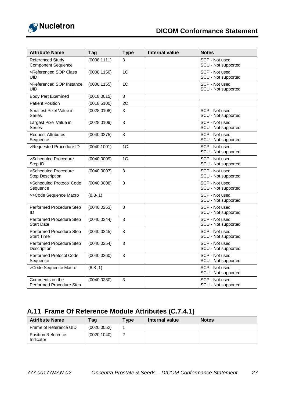

| <b>Attribute Name</b>                                | Tag          | <b>Type</b>    | <b>Internal value</b> | <b>Notes</b>                          |
|------------------------------------------------------|--------------|----------------|-----------------------|---------------------------------------|
| <b>Referenced Study</b><br><b>Component Sequence</b> | (0008, 1111) | 3              |                       | SCP - Not used<br>SCU - Not supported |
| >Referenced SOP Class<br>UID                         | (0008, 1150) | 1 <sup>C</sup> |                       | SCP - Not used<br>SCU - Not supported |
| >Referenced SOP Instance<br>UID                      | (0008, 1155) | 1 <sup>C</sup> |                       | SCP - Not used<br>SCU - Not supported |
| <b>Body Part Examined</b>                            | (0018, 0015) | 3              |                       |                                       |
| <b>Patient Position</b>                              | (0018, 5100) | 2C             |                       |                                       |
| Smallest Pixel Value in<br><b>Series</b>             | (0028, 0108) | 3              |                       | SCP - Not used<br>SCU - Not supported |
| Largest Pixel Value in<br>Series                     | (0028, 0109) | 3              |                       | SCP - Not used<br>SCU - Not supported |
| <b>Request Attributes</b><br>Sequence                | (0040, 0275) | 3              |                       | SCP - Not used<br>SCU - Not supported |
| >Requested Procedure ID                              | (0040, 1001) | 1 <sup>C</sup> |                       | SCP - Not used<br>SCU - Not supported |
| >Scheduled Procedure<br>Step ID                      | (0040,0009)  | 1 <sup>C</sup> |                       | SCP - Not used<br>SCU - Not supported |
| >Scheduled Procedure<br><b>Step Description</b>      | (0040,0007)  | 3              |                       | SCP - Not used<br>SCU - Not supported |
| >Scheduled Protocol Code<br>Sequence                 | (0040,0008)  | 3              |                       | SCP - Not used<br>SCU - Not supported |
| >>Code Sequence Macro                                | $(8.8-,1)$   |                |                       | SCP - Not used<br>SCU - Not supported |
| Performed Procedure Step<br>ID                       | (0040, 0253) | 3              |                       | SCP - Not used<br>SCU - Not supported |
| Performed Procedure Step<br><b>Start Date</b>        | (0040, 0244) | 3              |                       | SCP - Not used<br>SCU - Not supported |
| Performed Procedure Step<br><b>Start Time</b>        | (0040, 0245) | 3              |                       | SCP - Not used<br>SCU - Not supported |
| Performed Procedure Step<br>Description              | (0040, 0254) | 3              |                       | SCP - Not used<br>SCU - Not supported |
| Performed Protocol Code<br>Sequence                  | (0040, 0260) | 3              |                       | SCP - Not used<br>SCU - Not supported |
| >Code Sequence Macro                                 | $(8.8-,1)$   |                |                       | SCP - Not used<br>SCU - Not supported |
| Comments on the<br>Performed Procedure Step          | (0040, 0280) | 3              |                       | SCP - Not used<br>SCU - Not supported |

## <span id="page-34-0"></span>**A.11 Frame Of Reference Module Attributes (C.7.4.1)**

| <b>Attribute Name</b>                  | Tag          | Type | Internal value | <b>Notes</b> |
|----------------------------------------|--------------|------|----------------|--------------|
| Frame of Reference UID                 | (0020.0052)  |      |                |              |
| <b>Position Reference</b><br>Indicator | (0020, 1040) | ∠    |                |              |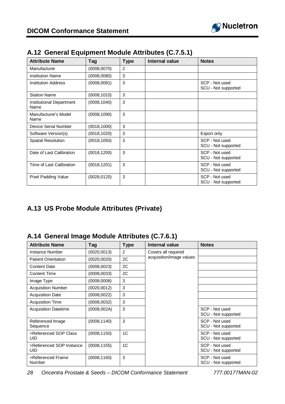

## <span id="page-35-0"></span>**A.12 General Equipment Module Attributes (C.7.5.1)**

## <span id="page-35-1"></span>**A.13 US Probe Module Attributes (Private)**

### <span id="page-35-2"></span>**A.14 General Image Module Attributes (C.7.6.1)**

| <b>Attribute Name</b>                  | Tag          | <b>Type</b>    | <b>Internal value</b>    | <b>Notes</b>                          |
|----------------------------------------|--------------|----------------|--------------------------|---------------------------------------|
| Instance Number                        | (0020, 0013) | 2              | Covers all required      |                                       |
| <b>Patient Orientation</b>             | (0020, 0020) | 2C             | acquisition/image values |                                       |
| <b>Content Date</b>                    | (0008, 0023) | 2C             |                          |                                       |
| <b>Content Time</b>                    | (0008, 0033) | 2C             |                          |                                       |
| Image Type                             | (0008,0008)  | 3              |                          |                                       |
| <b>Acquisition Number</b>              | (0020, 0012) | 3              |                          |                                       |
| <b>Acquisition Date</b>                | (0008, 0022) | 3              |                          |                                       |
| <b>Acquisition Time</b>                | (0008, 0032) | 3              |                          |                                       |
| <b>Acquisition Datetime</b>            | (0008,002A)  | 3              |                          | SCP - Not used<br>SCU - Not supported |
| Referenced Image<br>Sequence           | (0008, 1140) | 3              |                          | SCP - Not used<br>SCU - Not supported |
| >Referenced SOP Class<br>UID           | (0008, 1150) | 1 <sup>C</sup> |                          | SCP - Not used<br>SCU - Not supported |
| >Referenced SOP Instance<br><b>UID</b> | (0008, 1155) | 1 <sup>C</sup> |                          | SCP - Not used<br>SCU - Not supported |
| >Referenced Frame<br><b>Number</b>     | (0008, 1160) | 3              |                          | SCP - Not used<br>SCU - Not supported |

*28 Oncentra Prostate & Seeds – DICOM Conformance Statement 777.00177MAN-02*

**O**Nucletron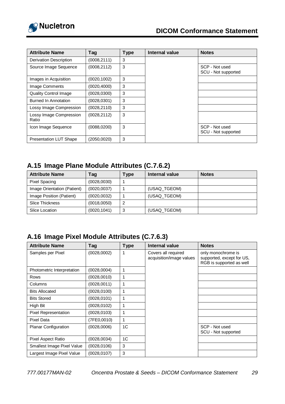

| <b>Attribute Name</b>            | Tag          | <b>Type</b> | <b>Internal value</b> | <b>Notes</b>                          |
|----------------------------------|--------------|-------------|-----------------------|---------------------------------------|
| Derivation Description           | (0008, 2111) | 3           |                       |                                       |
| Source Image Sequence            | (0008, 2112) | 3           |                       | SCP - Not used<br>SCU - Not supported |
| Images in Acquisition            | (0020, 1002) | 3           |                       |                                       |
| Image Comments                   | (0020, 4000) | 3           |                       |                                       |
| <b>Quality Control Image</b>     | (0028, 0300) | 3           |                       |                                       |
| <b>Burned In Annotation</b>      | (0028, 0301) | 3           |                       |                                       |
| Lossy Image Compression          | (0028, 2110) | 3           |                       |                                       |
| Lossy Image Compression<br>Ratio | (0028, 2112) | 3           |                       |                                       |
| Icon Image Sequence              | (0088, 0200) | 3           |                       | SCP - Not used<br>SCU - Not supported |
| <b>Presentation LUT Shape</b>    | (2050,0020)  | 3           |                       |                                       |

# **A.15 Image Plane Module Attributes (C.7.6.2)**

| <b>Attribute Name</b>       | Taq          | <b>Type</b> | Internal value | <b>Notes</b> |
|-----------------------------|--------------|-------------|----------------|--------------|
| <b>Pixel Spacing</b>        | (0028,0030)  |             |                |              |
| Image Orientation (Patient) | (0020, 0037) |             | (USAQ_TGEOM)   |              |
| Image Position (Patient)    | (0020, 0032) |             | (USAQ TGEOM)   |              |
| <b>Slice Thickness</b>      | (0018,0050)  | 2           |                |              |
| Slice Location              | (0020, 1041) | 3           | (USAQ_TGEOM)   |              |

# **A.16 Image Pixel Module Attributes (C.7.6.3)**

| <b>Attribute Name</b>       | Tag          | <b>Type</b>    | <b>Internal value</b>                           | <b>Notes</b>                                                                |
|-----------------------------|--------------|----------------|-------------------------------------------------|-----------------------------------------------------------------------------|
| Samples per Pixel           | (0028,0002)  |                | Covers all required<br>acquisition/image values | only monochrome is<br>supported, except for US,<br>RGB is supported as well |
| Photometric Interpretation  | (0028,0004)  | 1              |                                                 |                                                                             |
| <b>Rows</b>                 | (0028,0010)  |                |                                                 |                                                                             |
| Columns                     | (0028,0011)  |                |                                                 |                                                                             |
| <b>Bits Allocated</b>       | (0028, 0100) |                |                                                 |                                                                             |
| <b>Bits Stored</b>          | (0028, 0101) |                |                                                 |                                                                             |
| High Bit                    | (0028, 0102) |                |                                                 |                                                                             |
| <b>Pixel Representation</b> | (0028, 0103) |                |                                                 |                                                                             |
| Pixel Data                  | (7FE0,0010)  |                |                                                 |                                                                             |
| <b>Planar Configuration</b> | (0028,0006)  | 1 <sup>C</sup> |                                                 | SCP - Not used<br>SCU - Not supported                                       |
| Pixel Aspect Ratio          | (0028, 0034) | 1C             |                                                 |                                                                             |
| Smallest Image Pixel Value  | (0028, 0106) | 3              |                                                 |                                                                             |
| Largest Image Pixel Value   | (0028, 0107) | 3              |                                                 |                                                                             |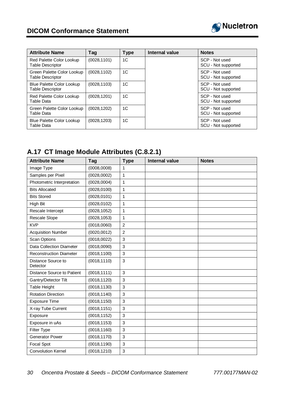

| <b>Attribute Name</b>                                       | Tag          | <b>Type</b>    | Internal value | <b>Notes</b>                          |
|-------------------------------------------------------------|--------------|----------------|----------------|---------------------------------------|
| Red Palette Color Lookup<br><b>Table Descriptor</b>         | (0028, 1101) | 1C             |                | SCP - Not used<br>SCU - Not supported |
| Green Palette Color Lookup<br><b>Table Descriptor</b>       | (0028, 1102) | 1C             |                | SCP - Not used<br>SCU - Not supported |
| <b>Blue Palette Color Lookup</b><br><b>Table Descriptor</b> | (0028, 1103) | 1 <sup>C</sup> |                | SCP - Not used<br>SCU - Not supported |
| Red Palette Color Lookup<br>Table Data                      | (0028, 1201) | 1 <sup>C</sup> |                | SCP - Not used<br>SCU - Not supported |
| Green Palette Color Lookup<br>Table Data                    | (0028, 1202) | 1C             |                | SCP - Not used<br>SCU - Not supported |
| Blue Palette Color Lookup<br>Table Data                     | (0028, 1203) | 1C             |                | SCP - Not used<br>SCU - Not supported |

# **A.17 CT Image Module Attributes (C.8.2.1)**

| <b>Attribute Name</b>             | Tag          | <b>Type</b>    | <b>Internal value</b> | <b>Notes</b> |
|-----------------------------------|--------------|----------------|-----------------------|--------------|
| Image Type                        | (0008,0008)  | $\mathbf{1}$   |                       |              |
| Samples per Pixel                 | (0028, 0002) | 1              |                       |              |
| Photometric Interpretation        | (0028,0004)  | $\mathbf{1}$   |                       |              |
| <b>Bits Allocated</b>             | (0028, 0100) | $\mathbf{1}$   |                       |              |
| <b>Bits Stored</b>                | (0028, 0101) | $\mathbf{1}$   |                       |              |
| High Bit                          | (0028, 0102) | $\mathbf 1$    |                       |              |
| Rescale Intercept                 | (0028, 1052) | $\mathbf{1}$   |                       |              |
| <b>Rescale Slope</b>              | (0028, 1053) | $\mathbf{1}$   |                       |              |
| <b>KVP</b>                        | (0018,0060)  | $\overline{2}$ |                       |              |
| <b>Acquisition Number</b>         | (0020, 0012) | $\overline{2}$ |                       |              |
| <b>Scan Options</b>               | (0018, 0022) | 3              |                       |              |
| Data Collection Diameter          | (0018,0090)  | 3              |                       |              |
| <b>Reconstruction Diameter</b>    | (0018, 1100) | 3              |                       |              |
| Distance Source to<br>Detector    | (0018, 1110) | 3              |                       |              |
| <b>Distance Source to Patient</b> | (0018, 1111) | 3              |                       |              |
| Gantry/Detector Tilt              | (0018, 1120) | 3              |                       |              |
| <b>Table Height</b>               | (0018, 1130) | 3              |                       |              |
| <b>Rotation Direction</b>         | (0018, 1140) | 3              |                       |              |
| <b>Exposure Time</b>              | (0018, 1150) | 3              |                       |              |
| X-ray Tube Current                | (0018, 1151) | 3              |                       |              |
| Exposure                          | (0018, 1152) | 3              |                       |              |
| Exposure in uAs                   | (0018, 1153) | 3              |                       |              |
| Filter Type                       | (0018, 1160) | 3              |                       |              |
| <b>Generator Power</b>            | (0018, 1170) | 3              |                       |              |
| <b>Focal Spot</b>                 | (0018, 1190) | 3              |                       |              |
| <b>Convolution Kernel</b>         | (0018, 1210) | 3              |                       |              |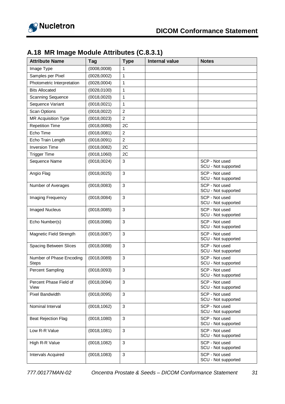# **A.18 MR Image Module Attributes (C.8.3.1)**

| <b>Attribute Name</b>                    | Tag          | <b>Type</b>    | <b>Internal value</b> | <b>Notes</b>                          |
|------------------------------------------|--------------|----------------|-----------------------|---------------------------------------|
| Image Type                               | (0008,0008)  | 1              |                       |                                       |
| Samples per Pixel                        | (0028,0002)  | $\mathbf{1}$   |                       |                                       |
| Photometric Interpretation               | (0028,0004)  | 1              |                       |                                       |
| <b>Bits Allocated</b>                    | (0028, 0100) | $\mathbf{1}$   |                       |                                       |
| <b>Scanning Sequence</b>                 | (0018, 0020) | 1              |                       |                                       |
| Sequence Variant                         | (0018,0021)  | 1              |                       |                                       |
| <b>Scan Options</b>                      | (0018, 0022) | $\overline{2}$ |                       |                                       |
| MR Acquisition Type                      | (0018, 0023) | $\overline{2}$ |                       |                                       |
| <b>Repetition Time</b>                   | (0018,0080)  | 2C             |                       |                                       |
| Echo Time                                | (0018,0081)  | $\overline{2}$ |                       |                                       |
| Echo Train Length                        | (0018,0091)  | $\overline{2}$ |                       |                                       |
| <b>Inversion Time</b>                    | (0018,0082)  | 2C             |                       |                                       |
| <b>Trigger Time</b>                      | (0018, 1060) | 2C             |                       |                                       |
| Sequence Name                            | (0018, 0024) | 3              |                       | SCP - Not used<br>SCU - Not supported |
| Angio Flag                               | (0018, 0025) | 3              |                       | SCP - Not used<br>SCU - Not supported |
| Number of Averages                       | (0018,0083)  | 3              |                       | SCP - Not used<br>SCU - Not supported |
| Imaging Frequency                        | (0018,0084)  | 3              |                       | SCP - Not used<br>SCU - Not supported |
| <b>Imaged Nucleus</b>                    | (0018,0085)  | $\mathbf{3}$   |                       | SCP - Not used<br>SCU - Not supported |
| Echo Number(s)                           | (0018,0086)  | 3              |                       | SCP - Not used<br>SCU - Not supported |
| Magnetic Field Strength                  | (0018,0087)  | 3              |                       | SCP - Not used<br>SCU - Not supported |
| Spacing Between Slices                   | (0018,0088)  | 3              |                       | SCP - Not used<br>SCU - Not supported |
| Number of Phase Encoding<br><b>Steps</b> | (0018,0089)  | 3              |                       | SCP - Not used<br>SCU - Not supported |
| <b>Percent Sampling</b>                  | (0018,0093)  | 3              |                       | SCP - Not used<br>SCU - Not supported |
| Percent Phase Field of<br>View           | (0018,0094)  | 3              |                       | SCP - Not used<br>SCU - Not supported |
| <b>Pixel Bandwidth</b>                   | (0018,0095)  | 3              |                       | SCP - Not used<br>SCU - Not supported |
| Nominal Interval                         | (0018, 1062) | 3              |                       | SCP - Not used<br>SCU - Not supported |
| <b>Beat Rejection Flag</b>               | (0018, 1080) | 3              |                       | SCP - Not used<br>SCU - Not supported |
| Low R-R Value                            | (0018, 1081) | 3              |                       | SCP - Not used<br>SCU - Not supported |
| High R-R Value                           | (0018, 1082) | $\mathbf{3}$   |                       | SCP - Not used<br>SCU - Not supported |
| Intervals Acquired                       | (0018, 1083) | $\mathbf{3}$   |                       | SCP - Not used<br>SCU - Not supported |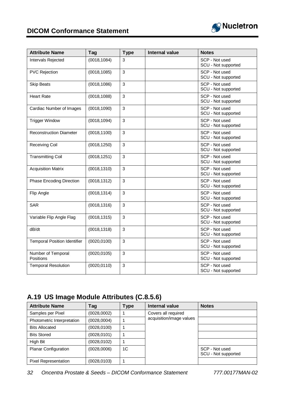

| <b>Attribute Name</b>               | Tag          | <b>Type</b> | <b>Internal value</b> | <b>Notes</b>                          |
|-------------------------------------|--------------|-------------|-----------------------|---------------------------------------|
| Intervals Rejected                  | (0018, 1084) | 3           |                       | SCP - Not used<br>SCU - Not supported |
| <b>PVC Rejection</b>                | (0018, 1085) | 3           |                       | SCP - Not used<br>SCU - Not supported |
| <b>Skip Beats</b>                   | (0018, 1086) | 3           |                       | SCP - Not used<br>SCU - Not supported |
| <b>Heart Rate</b>                   | (0018, 1088) | 3           |                       | SCP - Not used<br>SCU - Not supported |
| Cardiac Number of Images            | (0018, 1090) | 3           |                       | SCP - Not used<br>SCU - Not supported |
| <b>Trigger Window</b>               | (0018, 1094) | 3           |                       | SCP - Not used<br>SCU - Not supported |
| <b>Reconstruction Diameter</b>      | (0018, 1100) | 3           |                       | SCP - Not used<br>SCU - Not supported |
| Receiving Coil                      | (0018, 1250) | 3           |                       | SCP - Not used<br>SCU - Not supported |
| <b>Transmitting Coil</b>            | (0018, 1251) | 3           |                       | SCP - Not used<br>SCU - Not supported |
| <b>Acquisition Matrix</b>           | (0018, 1310) | 3           |                       | SCP - Not used<br>SCU - Not supported |
| <b>Phase Encoding Direction</b>     | (0018, 1312) | 3           |                       | SCP - Not used<br>SCU - Not supported |
| Flip Angle                          | (0018, 1314) | 3           |                       | SCP - Not used<br>SCU - Not supported |
| <b>SAR</b>                          | (0018, 1316) | 3           |                       | SCP - Not used<br>SCU - Not supported |
| Variable Flip Angle Flag            | (0018, 1315) | 3           |                       | SCP - Not used<br>SCU - Not supported |
| dB/dt                               | (0018, 1318) | 3           |                       | SCP - Not used<br>SCU - Not supported |
| <b>Temporal Position Identifier</b> | (0020, 0100) | 3           |                       | SCP - Not used<br>SCU - Not supported |
| Number of Temporal<br>Positions     | (0020, 0105) | 3           |                       | SCP - Not used<br>SCU - Not supported |
| <b>Temporal Resolution</b>          | (0020, 0110) | 3           |                       | SCP - Not used<br>SCU - Not supported |

# **A.19 US Image Module Attributes (C.8.5.6)**

| <b>Attribute Name</b>       | Tag          | <b>Type</b> | Internal value           | <b>Notes</b>                          |
|-----------------------------|--------------|-------------|--------------------------|---------------------------------------|
| Samples per Pixel           | (0028,0002)  |             | Covers all required      |                                       |
| Photometric Interpretation  | (0028,0004)  |             | acquisition/image values |                                       |
| <b>Bits Allocated</b>       | (0028, 0100) |             |                          |                                       |
| <b>Bits Stored</b>          | (0028, 0101) |             |                          |                                       |
| High Bit                    | (0028, 0102) |             |                          |                                       |
| <b>Planar Configuration</b> | (0028,0006)  | 1C          |                          | SCP - Not used<br>SCU - Not supported |
| <b>Pixel Representation</b> | (0028, 0103) |             |                          |                                       |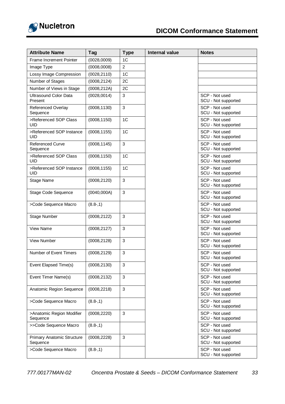

| <b>Attribute Name</b>                   | Tag          | <b>Type</b>    | <b>Internal value</b> | <b>Notes</b>                          |
|-----------------------------------------|--------------|----------------|-----------------------|---------------------------------------|
| <b>Frame Increment Pointer</b>          | (0028,0009)  | 1 <sup>C</sup> |                       |                                       |
| Image Type                              | (0008,0008)  | $\overline{2}$ |                       |                                       |
| Lossy Image Compression                 | (0028, 2110) | 1 <sup>C</sup> |                       |                                       |
| Number of Stages                        | (0008, 2124) | 2C             |                       |                                       |
| Number of Views in Stage                | (0008, 212A) | 2C             |                       |                                       |
| <b>Ultrasound Color Data</b><br>Present | (0028, 0014) | 3              |                       | SCP - Not used<br>SCU - Not supported |
| <b>Referenced Overlay</b><br>Sequence   | (0008, 1130) | 3              |                       | SCP - Not used<br>SCU - Not supported |
| >Referenced SOP Class<br>UID            | (0008, 1150) | 1 <sup>C</sup> |                       | SCP - Not used<br>SCU - Not supported |
| >Referenced SOP Instance<br>UID         | (0008, 1155) | 1 <sup>C</sup> |                       | SCP - Not used<br>SCU - Not supported |
| Referenced Curve<br>Sequence            | (0008, 1145) | 3              |                       | SCP - Not used<br>SCU - Not supported |
| >Referenced SOP Class<br><b>UID</b>     | (0008, 1150) | 1 <sup>C</sup> |                       | SCP - Not used<br>SCU - Not supported |
| >Referenced SOP Instance<br><b>UID</b>  | (0008, 1155) | 1 <sup>C</sup> |                       | SCP - Not used<br>SCU - Not supported |
| Stage Name                              | (0008, 2120) | 3              |                       | SCP - Not used<br>SCU - Not supported |
| <b>Stage Code Sequence</b>              | (0040,000A)  | 3              |                       | SCP - Not used<br>SCU - Not supported |
| >Code Sequence Macro                    | $(8.8-,1)$   |                |                       | SCP - Not used<br>SCU - Not supported |
| <b>Stage Number</b>                     | (0008, 2122) | 3              |                       | SCP - Not used<br>SCU - Not supported |
| <b>View Name</b>                        | (0008, 2127) | 3              |                       | SCP - Not used<br>SCU - Not supported |
| <b>View Number</b>                      | (0008, 2128) | 3              |                       | SCP - Not used<br>SCU - Not supported |
| Number of Event Timers                  | (0008, 2129) | 3              |                       | SCP - Not used<br>SCU - Not supported |
| Event Elapsed Time(s)                   | (0008, 2130) | 3              |                       | SCP - Not used<br>SCU - Not supported |
| Event Timer Name(s)                     | (0008, 2132) | 3              |                       | SCP - Not used<br>SCU - Not supported |
| Anatomic Region Sequence                | (0008, 2218) | 3              |                       | SCP - Not used<br>SCU - Not supported |
| >Code Sequence Macro                    | $(8.8-,1)$   |                |                       | SCP - Not used<br>SCU - Not supported |
| >Anatomic Region Modifier<br>Sequence   | (0008, 2220) | 3              |                       | SCP - Not used<br>SCU - Not supported |
| >>Code Sequence Macro                   | $(8.8-,1)$   |                |                       | SCP - Not used<br>SCU - Not supported |
| Primary Anatomic Structure<br>Sequence  | (0008, 2228) | 3              |                       | SCP - Not used<br>SCU - Not supported |
| >Code Sequence Macro                    | $(8.8-,1)$   |                |                       | SCP - Not used<br>SCU - Not supported |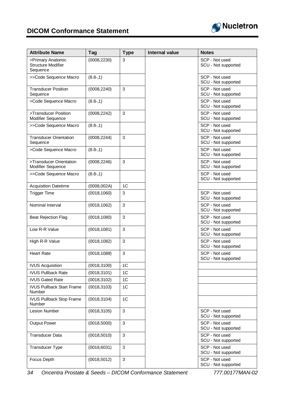

| <b>Attribute Name</b>                               | Tag          | <b>Type</b>    | <b>Internal value</b> | <b>Notes</b>                          |
|-----------------------------------------------------|--------------|----------------|-----------------------|---------------------------------------|
| >Primary Anatomic<br>Structure Modifier<br>Sequence | (0008, 2230) | 3              |                       | SCP - Not used<br>SCU - Not supported |
| >>Code Sequence Macro                               | $(8.8-,1)$   |                |                       | SCP - Not used<br>SCU - Not supported |
| <b>Transducer Position</b><br>Sequence              | (0008, 2240) | 3              |                       | SCP - Not used<br>SCU - Not supported |
| >Code Sequence Macro                                | $(8.8-,1)$   |                |                       | SCP - Not used<br>SCU - Not supported |
| >Transducer Position<br>Modifier Sequence           | (0008, 2242) | 3              |                       | SCP - Not used<br>SCU - Not supported |
| >>Code Sequence Macro                               | $(8.8-,1)$   |                |                       | SCP - Not used<br>SCU - Not supported |
| <b>Transducer Orientation</b><br>Sequence           | (0008, 2244) | 3              |                       | SCP - Not used<br>SCU - Not supported |
| >Code Sequence Macro                                | $(8.8-,1)$   |                |                       | SCP - Not used<br>SCU - Not supported |
| >Transducer Orientation<br>Modifier Sequence        | (0008, 2246) | 3              |                       | SCP - Not used<br>SCU - Not supported |
| >>Code Sequence Macro                               | $(8.8-,1)$   |                |                       | SCP - Not used<br>SCU - Not supported |
| <b>Acquisition Datetime</b>                         | (0008, 002A) | 1 <sup>C</sup> |                       |                                       |
| <b>Trigger Time</b>                                 | (0018, 1060) | 3              |                       | SCP - Not used<br>SCU - Not supported |
| Nominal Interval                                    | (0018, 1062) | 3              |                       | SCP - Not used<br>SCU - Not supported |
| <b>Beat Rejection Flag</b>                          | (0018, 1080) | 3              |                       | SCP - Not used<br>SCU - Not supported |
| Low R-R Value                                       | (0018, 1081) | 3              |                       | SCP - Not used<br>SCU - Not supported |
| High R-R Value                                      | (0018, 1082) | 3              |                       | SCP - Not used<br>SCU - Not supported |
| <b>Heart Rate</b>                                   | (0018, 1088) | 3              |                       | SCP - Not used<br>SCU - Not supported |
| <b>IVUS Acquisition</b>                             | (0018, 3100) | 1 <sup>C</sup> |                       |                                       |
| <b>IVUS Pullback Rate</b>                           | (0018, 3101) | 1C             |                       |                                       |
| <b>IVUS Gated Rate</b>                              | (0018, 3102) | 1 <sup>C</sup> |                       |                                       |
| <b>IVUS Pullback Start Frame</b><br>Number          | (0018, 3103) | 1 <sup>C</sup> |                       |                                       |
| <b>IVUS Pullback Stop Frame</b><br>Number           | (0018, 3104) | 1 <sup>C</sup> |                       |                                       |
| Lesion Number                                       | (0018, 3105) | 3              |                       | SCP - Not used<br>SCU - Not supported |
| <b>Output Power</b>                                 | (0018, 5000) | 3              |                       | SCP - Not used<br>SCU - Not supported |
| <b>Transducer Data</b>                              | (0018, 5010) | 3              |                       | SCP - Not used<br>SCU - Not supported |
| <b>Transducer Type</b>                              | (0018, 6031) | 3              |                       | SCP - Not used<br>SCU - Not supported |
| Focus Depth                                         | (0018, 5012) | 3              |                       | SCP - Not used<br>SCU - Not supported |

*34 Oncentra Prostate & Seeds – DICOM Conformance Statement 777.00177MAN-02*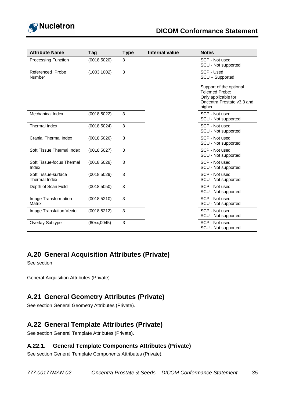

| <b>Attribute Name</b>                       | Tag          | <b>Type</b> | <b>Internal value</b> | <b>Notes</b>                                                                                              |
|---------------------------------------------|--------------|-------------|-----------------------|-----------------------------------------------------------------------------------------------------------|
| <b>Processing Function</b>                  | (0018, 5020) | 3           |                       | SCP - Not used<br>SCU - Not supported                                                                     |
| Referenced Probe<br>Number                  | (1003, 1002) | 3           |                       | SCP - Used<br>SCU - Supported                                                                             |
|                                             |              |             |                       | Support of the optional<br>Telemed Probe:<br>Only applicable for<br>Oncentra Prostate v3.3 and<br>higher. |
| Mechanical Index                            | (0018, 5022) | 3           |                       | SCP - Not used<br>SCU - Not supported                                                                     |
| Thermal Index                               | (0018, 5024) | 3           |                       | SCP - Not used<br>SCU - Not supported                                                                     |
| <b>Cranial Thermal Index</b>                | (0018, 5026) | 3           |                       | SCP - Not used<br>SCU - Not supported                                                                     |
| Soft Tissue Thermal Index                   | (0018, 5027) | 3           |                       | SCP - Not used<br>SCU - Not supported                                                                     |
| Soft Tissue-focus Thermal<br>Index          | (0018, 5028) | 3           |                       | SCP - Not used<br>SCU - Not supported                                                                     |
| Soft Tissue-surface<br><b>Thermal Index</b> | (0018, 5029) | 3           |                       | SCP - Not used<br>SCU - Not supported                                                                     |
| Depth of Scan Field                         | (0018, 5050) | 3           |                       | SCP - Not used<br>SCU - Not supported                                                                     |
| Image Transformation<br>Matrix              | (0018, 5210) | 3           |                       | SCP - Not used<br>SCU - Not supported                                                                     |
| Image Translation Vector                    | (0018, 5212) | 3           |                       | SCP - Not used<br>SCU - Not supported                                                                     |
| Overlay Subtype                             | (60xx, 0045) | 3           |                       | SCP - Not used<br>SCU - Not supported                                                                     |

### **A.20 General Acquisition Attributes (Private)**

See sectio[n](#page-66-0) 

[General Acquisition Attributes \(Private\).](#page-66-0)

#### **A.21 General Geometry Attributes (Private)**

See sectio[n General Geometry Attributes \(Private\).](#page-67-0)

### **A.22 General Template Attributes (Private)**

See sectio[n General Template Attributes \(Private\).](#page-67-1)

#### **A.22.1. General Template Components Attributes (Private)**

See sectio[n General Template Components Attributes \(Private\).](#page-68-0)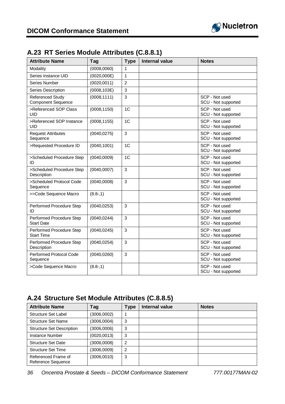

| A.23 RT Series Module Attributes (C.8.8.1) |  |  |
|--------------------------------------------|--|--|
|--------------------------------------------|--|--|

| <b>Attribute Name</b>                         | Tag          | <b>Type</b>    | <b>Internal value</b> | <b>Notes</b>                          |
|-----------------------------------------------|--------------|----------------|-----------------------|---------------------------------------|
| Modality                                      | (0008, 0060) | 1              |                       |                                       |
| Series Instance UID                           | (0020,000E)  | $\mathbf{1}$   |                       |                                       |
| Series Number                                 | (0020, 0011) | $\overline{2}$ |                       |                                       |
| Series Description                            | (0008, 103E) | 3              |                       |                                       |
| Referenced Study<br><b>Component Sequence</b> | (0008, 1111) | $\mathsf 3$    |                       | SCP - Not used<br>SCU - Not supported |
| >Referenced SOP Class<br><b>UID</b>           | (0008, 1150) | 1 <sup>C</sup> |                       | SCP - Not used<br>SCU - Not supported |
| >Referenced SOP Instance<br>UID               | (0008, 1155) | 1 <sup>C</sup> |                       | SCP - Not used<br>SCU - Not supported |
| <b>Request Attributes</b><br>Sequence         | (0040, 0275) | 3              |                       | SCP - Not used<br>SCU - Not supported |
| >Requested Procedure ID                       | (0040, 1001) | 1 <sup>C</sup> |                       | SCP - Not used<br>SCU - Not supported |
| >Scheduled Procedure Step<br>ID               | (0040, 0009) | 1 <sup>C</sup> |                       | SCP - Not used<br>SCU - Not supported |
| >Scheduled Procedure Step<br>Description      | (0040,0007)  | 3              |                       | SCP - Not used<br>SCU - Not supported |
| >Scheduled Protocol Code<br>Sequence          | (0040, 0008) | 3              |                       | SCP - Not used<br>SCU - Not supported |
| >>Code Sequence Macro                         | $(8.8-,1)$   |                |                       | SCP - Not used<br>SCU - Not supported |
| Performed Procedure Step<br>ID                | (0040, 0253) | 3              |                       | SCP - Not used<br>SCU - Not supported |
| Performed Procedure Step<br><b>Start Date</b> | (0040, 0244) | 3              |                       | SCP - Not used<br>SCU - Not supported |
| Performed Procedure Step<br><b>Start Time</b> | (0040, 0245) | 3              |                       | SCP - Not used<br>SCU - Not supported |
| Performed Procedure Step<br>Description       | (0040, 0254) | 3              |                       | SCP - Not used<br>SCU - Not supported |
| <b>Performed Protocol Code</b><br>Sequence    | (0040, 0260) | 3              |                       | SCP - Not used<br>SCU - Not supported |
| >Code Sequence Macro                          | $(8.8-,1)$   |                |                       | SCP - Not used<br>SCU - Not supported |

# **A.24 Structure Set Module Attributes (C.8.8.5)**

| <b>Attribute Name</b>                     | Tag          | <b>Type</b>   | Internal value | <b>Notes</b> |
|-------------------------------------------|--------------|---------------|----------------|--------------|
| Structure Set Label                       | (3006,0002)  |               |                |              |
| <b>Structure Set Name</b>                 | (3006, 0004) | 3             |                |              |
| <b>Structure Set Description</b>          | (3006,0006)  | 3             |                |              |
| <b>Instance Number</b>                    | (0020, 0013) | 3             |                |              |
| <b>Structure Set Date</b>                 | (3006,0008)  | 2             |                |              |
| <b>Structure Set Time</b>                 | (3006,0009)  | $\mathcal{P}$ |                |              |
| Referenced Frame of<br>Reference Sequence | (3006,0010)  | 3             |                |              |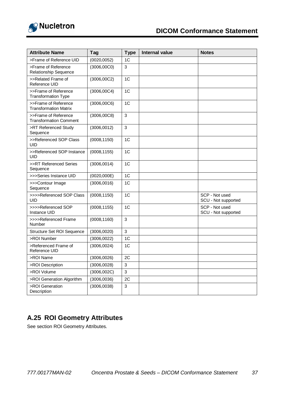

| <b>Attribute Name</b>                                 | Tag          | <b>Type</b>    | Internal value | <b>Notes</b>                          |
|-------------------------------------------------------|--------------|----------------|----------------|---------------------------------------|
| >Frame of Reference UID                               | (0020, 0052) | 1 <sup>C</sup> |                |                                       |
| >Frame of Reference<br><b>Relationship Sequence</b>   | (3006, 00C0) | $\mathsf 3$    |                |                                       |
| >>Related Frame of<br>Reference UID                   | (3006, 00C2) | 1 <sup>C</sup> |                |                                       |
| >>Frame of Reference<br><b>Transformation Type</b>    | (3006, 00C4) | 1 <sup>C</sup> |                |                                       |
| >>Frame of Reference<br><b>Transformation Matrix</b>  | (3006, 00C6) | 1 <sup>C</sup> |                |                                       |
| >>Frame of Reference<br><b>Transformation Comment</b> | (3006,00C8)  | $\mathfrak{3}$ |                |                                       |
| >RT Referenced Study<br>Sequence                      | (3006, 0012) | 3              |                |                                       |
| >>Referenced SOP Class<br>UID                         | (0008, 1150) | 1 <sup>C</sup> |                |                                       |
| >>Referenced SOP Instance<br>UID                      | (0008, 1155) | 1 <sup>C</sup> |                |                                       |
| >>RT Referenced Series<br>Sequence                    | (3006, 0014) | 1 <sup>C</sup> |                |                                       |
| >>>Series Instance UID                                | (0020,000E)  | 1 <sup>C</sup> |                |                                       |
| >>>Contour Image<br>Sequence                          | (3006, 0016) | 1 <sup>C</sup> |                |                                       |
| >>>>Referenced SOP Class<br><b>UID</b>                | (0008, 1150) | 1 <sup>C</sup> |                | SCP - Not used<br>SCU - Not supported |
| >>>>Referenced SOP<br><b>Instance UID</b>             | (0008, 1155) | 1 <sup>C</sup> |                | SCP - Not used<br>SCU - Not supported |
| >>>>Referenced Frame<br><b>Number</b>                 | (0008, 1160) | 3              |                |                                       |
| <b>Structure Set ROI Sequence</b>                     | (3006, 0020) | 3              |                |                                       |
| >ROI Number                                           | (3006, 0022) | 1 <sup>C</sup> |                |                                       |
| >Referenced Frame of<br>Reference UID                 | (3006, 0024) | 1 <sup>C</sup> |                |                                       |
| >ROI Name                                             | (3006, 0026) | 2C             |                |                                       |
| >ROI Description                                      | (3006, 0028) | $\mathbf{3}$   |                |                                       |
| >ROI Volume                                           | (3006, 002C) | 3              |                |                                       |
| >ROI Generation Algorithm                             | (3006,0036)  | 2C             |                |                                       |
| >ROI Generation<br>Description                        | (3006, 0038) | 3              |                |                                       |

# **A.25 ROI Geometry Attributes**

See sectio[n ROI Geometry Attributes.](#page-68-1)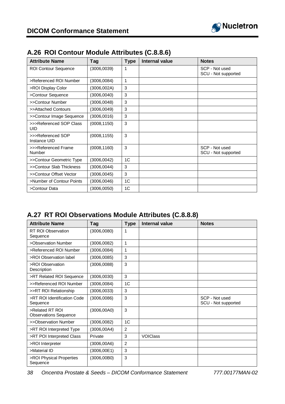

| <b>Attribute Name</b>                 | Tag          | <b>Type</b> | Internal value | <b>Notes</b>                          |
|---------------------------------------|--------------|-------------|----------------|---------------------------------------|
| <b>ROI Contour Sequence</b>           | (3006,0039)  | 1           |                | SCP - Not used<br>SCU - Not supported |
| >Referenced ROI Number                | (3006,0084)  | 1           |                |                                       |
| >ROI Display Color                    | (3006,002A)  | 3           |                |                                       |
| >Contour Sequence                     | (3006, 0040) | 3           |                |                                       |
| >>Contour Number                      | (3006,0048)  | 3           |                |                                       |
| >>Attached Contours                   | (3006, 0049) | 3           |                |                                       |
| >>Contour Image Sequence              | (3006,0016)  | 3           |                |                                       |
| >>>Referenced SOP Class<br><b>UID</b> | (0008, 1150) | 3           |                |                                       |
| >>>Referenced SOP<br>Instance UID     | (0008, 1155) | 3           |                |                                       |
| >>>Referenced Frame<br>Number         | (0008, 1160) | 3           |                | SCP - Not used<br>SCU - Not supported |
| >>Contour Geometric Type              | (3006, 0042) | 1C          |                |                                       |
| >>Contour Slab Thickness              | (3006, 0044) | 3           |                |                                       |
| >>Contour Offset Vector               | (3006,0045)  | 3           |                |                                       |
| >Number of Contour Points             | (3006,0046)  | 1C          |                |                                       |
| >Contour Data                         | (3006, 0050) | 1C          |                |                                       |

# **A.26 ROI Contour Module Attributes (C.8.8.6)**

# **A.27 RT ROI Observations Module Attributes (C.8.8.8)**

| <b>Attribute Name</b>                           | Tag          | <b>Type</b>    | <b>Internal value</b> | <b>Notes</b>                          |
|-------------------------------------------------|--------------|----------------|-----------------------|---------------------------------------|
| RT ROI Observation<br>Sequence                  | (3006,0080)  | 1              |                       |                                       |
| >Observation Number                             | (3006, 0082) | 1              |                       |                                       |
| >Referenced ROI Number                          | (3006, 0084) | 1              |                       |                                       |
| >ROI Observation label                          | (3006,0085)  | 3              |                       |                                       |
| >ROI Observation<br>Description                 | (3006, 0088) | 3              |                       |                                       |
| >RT Related ROI Sequence                        | (3006,0030)  | 3              |                       |                                       |
| >>Referenced ROI Number                         | (3006,0084)  | 1 <sup>C</sup> |                       |                                       |
| >>RT ROI Relationship                           | (3006, 0033) | 3              |                       |                                       |
| >RT ROI Identification Code<br>Sequence         | (3006,0086)  | 3              |                       | SCP - Not used<br>SCU - Not supported |
| >Related RT ROI<br><b>Observations Sequence</b> | (3006,00AO)  | 3              |                       |                                       |
| >>Observation Number                            | (3006,0082)  | 1 <sup>C</sup> |                       |                                       |
| >RT ROI Interpreted Type                        | (3006, 00A4) | 2              |                       |                                       |
| >RT POI Interpreted Class                       | Private      | 3              | <b>VOIClass</b>       |                                       |
| >ROI Interpreter                                | (3006,00A6)  | 2              |                       |                                       |
| >Material ID                                    | (3006, 00E1) | 3              |                       |                                       |
| >ROI Physical Properties<br>Sequence            | (3006,00B0)  | 3              |                       |                                       |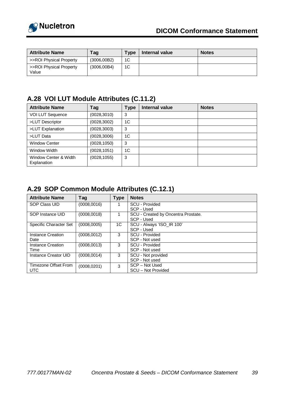

| <b>Attribute Name</b>            | Taq          | <b>Type</b>    | Internal value | <b>Notes</b> |
|----------------------------------|--------------|----------------|----------------|--------------|
| >>ROI Physical Property          | (3006.00B2)  | 1C             |                |              |
| >>ROI Physical Property<br>Value | (3006, 00B4) | 1 <sup>C</sup> |                |              |

# **A.28 VOI LUT Module Attributes (C.11.2)**

| <b>Attribute Name</b>                | Tag          | Type           | Internal value | <b>Notes</b> |
|--------------------------------------|--------------|----------------|----------------|--------------|
| <b>VOI LUT Sequence</b>              | (0028, 3010) | 3              |                |              |
| >LUT Descriptor                      | (0028, 3002) | 1 <sup>C</sup> |                |              |
| >LUT Explanation                     | (0028, 3003) | 3              |                |              |
| >LUT Data                            | (0028, 3006) | 1 <sup>C</sup> |                |              |
| <b>Window Center</b>                 | (0028, 1050) | 3              |                |              |
| Window Width                         | (0028, 1051) | 1 <sup>C</sup> |                |              |
| Window Center & Width<br>Explanation | (0028, 1055) | 3              |                |              |

# **A.29 SOP Common Module Attributes (C.12.1)**

| <b>Attribute Name</b>  | Taq          | <b>Type</b> | <b>Notes</b>                        |
|------------------------|--------------|-------------|-------------------------------------|
| SOP Class UID          | (0008,0016)  |             | SCU - Provided                      |
|                        |              |             | SCP - Used                          |
| SOP Instance UID       | (0008, 0018) |             | SCU - Created by Oncentra Prostate. |
|                        |              |             | SCP - Used                          |
| Specific Character Set | (0008, 0005) | 1C          | SCU - Always 'ISO_IR 100'           |
|                        |              |             | SCP - Used                          |
| Instance Creation      | (0008, 0012) | 3           | SCU - Provided                      |
| Date                   |              |             | SCP - Not used                      |
| Instance Creation      | (0008, 0013) | 3           | SCU - Provided                      |
| Time                   |              |             | SCP - Not used                      |
| Instance Creator UID   | (0008, 0014) | 3           | SCU - Not provided                  |
|                        |              |             | SCP - Not used                      |
| Timezone Offset From   | (0008, 0201) | 3           | SCP - Not Used                      |
| <b>UTC</b>             |              |             | SCU - Not Provided                  |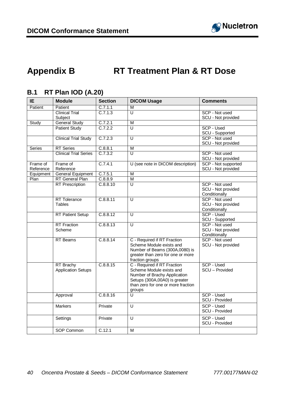

# **Appendix B RT Treatment Plan & RT Dose**

# **B.1 RT Plan IOD (A.20)**

| IE.       | <b>Module</b>                 | <b>Section</b> | <b>DICOM Usage</b>                 | <b>Comments</b>                     |
|-----------|-------------------------------|----------------|------------------------------------|-------------------------------------|
| Patient   | Patient                       | C.7.1.1        | M                                  |                                     |
|           | <b>Clinical Trial</b>         | C.7.1.3        | U                                  | SCP - Not used                      |
|           | Subject                       |                |                                    | SCU - Not provided                  |
| Study     | <b>General Study</b>          | C.7.2.1        | $\overline{\mathsf{M}}$            |                                     |
|           | <b>Patient Study</b>          | C.7.2.2        | $\overline{\mathsf{U}}$            | SCP - Used                          |
|           |                               |                |                                    | SCU - Supported                     |
|           | <b>Clinical Trial Study</b>   | C.7.2.3        | U                                  | SCP - Not used                      |
|           |                               |                |                                    | SCU - Not provided                  |
| Series    | <b>RT</b> Series              | C.8.8.1        | M                                  |                                     |
|           | <b>Clinical Trial Series</b>  | C.7.3.2        | $\overline{\mathtt{U}}$            | SCP - Not used                      |
|           |                               |                |                                    | SCU - Not provided                  |
| Frame of  | Frame of                      | C.7.4.1        | U (see note in DICOM description)  | SCP - Not supported                 |
| Reference | Reference                     |                |                                    | SCU - Not provided                  |
| Equipment | <b>General Equipment</b>      | C.7.5.1        | $\overline{M}$                     |                                     |
| Plan      | <b>RT</b> General Plan        | C.8.8.9        | M                                  |                                     |
|           | <b>RT</b> Prescription        | C.8.8.10       | $\overline{\mathsf{U}}$            | SCP - Not used                      |
|           |                               |                |                                    | SCU - Not provided                  |
|           |                               |                |                                    | Conditionally                       |
|           | <b>RT</b> Tolerance<br>Tables | C.8.8.11       | $\overline{\mathsf{U}}$            | SCP - Not used                      |
|           |                               |                |                                    | SCU - Not provided<br>Conditionally |
|           | <b>RT Patient Setup</b>       | C.8.8.12       | $\overline{U}$                     | SCP - Used                          |
|           |                               |                |                                    | SCU - Supported                     |
|           | <b>RT</b> Fraction            | C.8.8.13       | $\overline{\mathtt{U}}$            | SCP - Not used                      |
|           | Scheme                        |                |                                    | SCU - Not provided                  |
|           |                               |                |                                    | Conditionally                       |
|           | <b>RT</b> Beams               | C.8.8.14       | C - Required if RT Fraction        | SCP - Not used                      |
|           |                               |                | Scheme Module exists and           | SCU - Not provided                  |
|           |                               |                | Number of Beams (300A,0080) is     |                                     |
|           |                               |                | greater than zero for one or more  |                                     |
|           |                               |                | fraction groups                    |                                     |
|           | <b>RT</b> Brachy              | C.8.8.15       | C - Required if RT Fraction        | <b>SCP - Used</b>                   |
|           | <b>Application Setups</b>     |                | Scheme Module exists and           | SCU - Provided                      |
|           |                               |                | Number of Brachy Application       |                                     |
|           |                               |                | Setups (300A,00A0) is greater      |                                     |
|           |                               |                | than zero for one or more fraction |                                     |
|           |                               |                | groups                             |                                     |
|           | Approval                      | C.8.8.16       | U                                  | SCP - Used                          |
|           |                               |                |                                    | SCU - Provided                      |
|           | <b>Markers</b>                | Private        | U                                  | SCP - Used                          |
|           |                               |                |                                    | SCU - Provided                      |
|           | Settings                      | Private        | U                                  | SCP - Used                          |
|           |                               |                |                                    | SCU - Provided                      |
|           | SOP Common                    | C.12.1         | M                                  |                                     |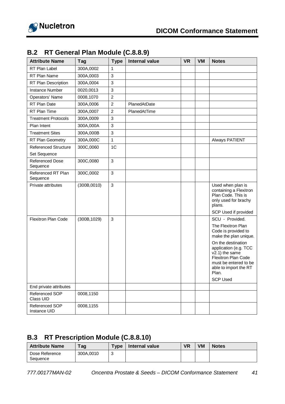# **B.2 RT General Plan Module (C.8.8.9)**

| <b>Attribute Name</b>              | Tag          | <b>Type</b>    | <b>Internal value</b> | <b>VR</b> | VM | <b>Notes</b>                                                                                                                                                                                                                                                       |
|------------------------------------|--------------|----------------|-----------------------|-----------|----|--------------------------------------------------------------------------------------------------------------------------------------------------------------------------------------------------------------------------------------------------------------------|
| RT Plan Label                      | 300A,0002    | 1              |                       |           |    |                                                                                                                                                                                                                                                                    |
| RT Plan Name                       | 300A,0003    | 3              |                       |           |    |                                                                                                                                                                                                                                                                    |
| RT Plan Description                | 300A,0004    | 3              |                       |           |    |                                                                                                                                                                                                                                                                    |
| <b>Instance Number</b>             | 0020,0013    | $\mathfrak{S}$ |                       |           |    |                                                                                                                                                                                                                                                                    |
| Operators' Name                    | 0008,1070    | $\overline{c}$ |                       |           |    |                                                                                                                                                                                                                                                                    |
| RT Plan Date                       | 300A,0006    | $\overline{2}$ | PlanedAtDate          |           |    |                                                                                                                                                                                                                                                                    |
| RT Plan Time                       | 300A,0007    | $\overline{2}$ | PlanedAtTime          |           |    |                                                                                                                                                                                                                                                                    |
| <b>Treatment Protocols</b>         | 300A,0009    | $\mathfrak{S}$ |                       |           |    |                                                                                                                                                                                                                                                                    |
| Plan Intent                        | 300A,000A    | 3              |                       |           |    |                                                                                                                                                                                                                                                                    |
| <b>Treatment Sites</b>             | 300A,000B    | $\sqrt{3}$     |                       |           |    |                                                                                                                                                                                                                                                                    |
| RT Plan Geometry                   | 300A,000C    | $\mathbf{1}$   |                       |           |    | <b>Always PATIENT</b>                                                                                                                                                                                                                                              |
| <b>Referenced Structure</b>        | 300C,0060    | 1 <sup>C</sup> |                       |           |    |                                                                                                                                                                                                                                                                    |
| Set Sequence                       |              |                |                       |           |    |                                                                                                                                                                                                                                                                    |
| <b>Referenced Dose</b><br>Sequence | 300C,0080    | $\mathbf{3}$   |                       |           |    |                                                                                                                                                                                                                                                                    |
| Referenced RT Plan<br>Sequence     | 300C,0002    | 3              |                       |           |    |                                                                                                                                                                                                                                                                    |
| Private attributes                 | (300B, 0010) | 3              |                       |           |    | Used when plan is<br>containing a Flexitron<br>Plan Code. This is<br>only used for brachy<br>plans.<br>SCP Used if provided                                                                                                                                        |
| <b>Flexitron Plan Code</b>         | (300B, 1029) | 3              |                       |           |    | SCU - Provided.<br>The Flexitron Plan<br>Code is provided to<br>make the plan unique.<br>On the destination<br>application (e.g. TCC<br>v2.1) the same<br><b>Flexitron Plan Code</b><br>must be entered to be<br>able to import the RT<br>Plan.<br><b>SCP Used</b> |
| End private attributes             |              |                |                       |           |    |                                                                                                                                                                                                                                                                    |
| Referenced SOP<br>Class UID        | 0008,1150    |                |                       |           |    |                                                                                                                                                                                                                                                                    |
| Referenced SOP<br>Instance UID     | 0008,1155    |                |                       |           |    |                                                                                                                                                                                                                                                                    |

# **B.3 RT Prescription Module (C.8.8.10)**

| <b>Attribute Name</b>      | Taq       | $T$ <sub>ype</sub> | Internal value | <b>VR</b> | VM | <b>Notes</b> |
|----------------------------|-----------|--------------------|----------------|-----------|----|--------------|
| Dose Reference<br>Seauence | 300A.0010 |                    |                |           |    |              |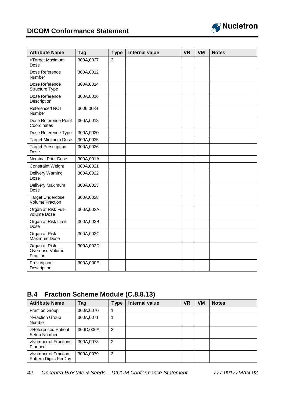



| <b>Attribute Name</b>                        | <b>Tag</b> | <b>Type</b> | <b>Internal value</b> | <b>VR</b> | <b>VM</b> | <b>Notes</b> |
|----------------------------------------------|------------|-------------|-----------------------|-----------|-----------|--------------|
| >Target Maximum<br>Dose                      | 300A,0027  | 3           |                       |           |           |              |
| Dose Reference<br>Number                     | 300A,0012  |             |                       |           |           |              |
| Dose Reference<br>Structure Type             | 300A,0014  |             |                       |           |           |              |
| Dose Reference<br>Description                | 300A,0016  |             |                       |           |           |              |
| Referenced ROI<br>Number                     | 3006,0084  |             |                       |           |           |              |
| Dose Reference Point<br>Coordinates          | 300A,0018  |             |                       |           |           |              |
| Dose Reference Type                          | 300A,0020  |             |                       |           |           |              |
| <b>Target Minimum Dose</b>                   | 300A,0025  |             |                       |           |           |              |
| <b>Target Prescription</b><br>Dose           | 300A,0026  |             |                       |           |           |              |
| Nominal Prior Dose                           | 300A,001A  |             |                       |           |           |              |
| <b>Constraint Weight</b>                     | 300A,0021  |             |                       |           |           |              |
| Delivery Warning<br>Dose                     | 300A,0022  |             |                       |           |           |              |
| Delivery Maximum<br>Dose                     | 300A,0023  |             |                       |           |           |              |
| <b>Target Underdose</b><br>Volume Fraction   | 300A,0028  |             |                       |           |           |              |
| Organ at Risk Full-<br>volume Dose           | 300A,002A  |             |                       |           |           |              |
| Organ at Risk Limit<br>Dose                  | 300A,002B  |             |                       |           |           |              |
| Organ at Risk<br>Maximum Dose                | 300A,002C  |             |                       |           |           |              |
| Organ at Risk<br>Overdose Volume<br>Fraction | 300A,002D  |             |                       |           |           |              |
| Prescription<br>Description                  | 300A,000E  |             |                       |           |           |              |

# **B.4 Fraction Scheme Module (C.8.8.13)**

| <b>Attribute Name</b>                        | Tag       | <b>Type</b>    | Internal value | <b>VR</b> | <b>VM</b> | <b>Notes</b> |
|----------------------------------------------|-----------|----------------|----------------|-----------|-----------|--------------|
| <b>Fraction Group</b>                        | 300A,0070 |                |                |           |           |              |
| >Fraction Group<br><b>Number</b>             | 300A,0071 |                |                |           |           |              |
| >Referenced Patient<br>Setup Number          | 300C,006A | 3              |                |           |           |              |
| >Number of Fractions<br>Planned              | 300A,0078 | $\overline{2}$ |                |           |           |              |
| >Number of Fraction<br>Pattern Digits PerDay | 300A.0079 | 3              |                |           |           |              |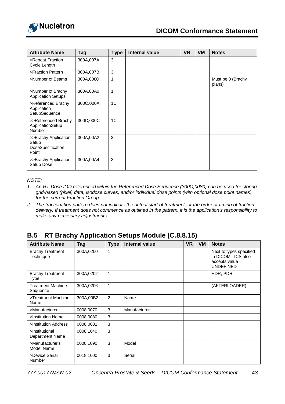

| <b>Attribute Name</b>                                       | Tag       | <b>Type</b>    | <b>Internal value</b> | <b>VR</b> | VM | <b>Notes</b>                |
|-------------------------------------------------------------|-----------|----------------|-----------------------|-----------|----|-----------------------------|
| >Repeat Fraction<br>Cycle Length                            | 300A,007A | 3              |                       |           |    |                             |
| >Fraction Pattern                                           | 300A,007B | 3              |                       |           |    |                             |
| >Number of Beams                                            | 300A,0080 | 1              |                       |           |    | Must be 0 (Brachy<br>plans) |
| >Number of Brachy<br><b>Application Setups</b>              | 300A,00A0 | $\mathbf{1}$   |                       |           |    |                             |
| >Referenced Brachy<br>Application<br>SetupSequence          | 300C,000A | 1C             |                       |           |    |                             |
| >>Referenced Brachy<br>ApplicationSetup<br><b>Number</b>    | 300C,000C | 1 <sup>C</sup> |                       |           |    |                             |
| >>Brachy Application<br>Setup<br>DoseSpecification<br>Point | 300A,00A2 | 3              |                       |           |    |                             |
| >>Brachy Application<br>Setup Dose                          | 300A,00A4 | 3              |                       |           |    |                             |

#### *NOTE:*

*1. An RT Dose IOD referenced within the Referenced Dose Sequence (300C,0080) can be used for storing grid-based (pixel) data, isodose curves, and/or individual dose points (with optional dose point names) for the current Fraction Group.*

*2. The fractionation pattern does not indicate the actual start of treatment, or the order or timing of fraction delivery. If treatment does not commence as outlined in the pattern, it is the application's responsibility to make any necessary adjustments.*

#### **B.5 RT Brachy Application Setups Module (C.8.8.15)**

| <b>Attribute Name</b>                | Tag       | <b>Type</b> | <b>Internal value</b> | <b>VR</b> | <b>VM</b> | <b>Notes</b>                                                                       |
|--------------------------------------|-----------|-------------|-----------------------|-----------|-----------|------------------------------------------------------------------------------------|
| <b>Brachy Treatment</b><br>Technique | 300A,0200 | 1           |                       |           |           | Next to types specified<br>in DICOM, TCS also<br>accepts value<br><b>UNDEFINED</b> |
| <b>Brachy Treatment</b><br>Type      | 300A,0202 | 1           |                       |           |           | HDR, PDR                                                                           |
| <b>Treatment Machine</b><br>Sequence | 300A,0206 | 1           |                       |           |           | (AFTERLOADER)                                                                      |
| >Treatment Machine<br>Name           | 300A,00B2 | 2           | Name                  |           |           |                                                                                    |
| >Manufacturer                        | 0008,0070 | 3           | Manufacturer          |           |           |                                                                                    |
| >Institution Name                    | 0008,0080 | 3           |                       |           |           |                                                                                    |
| >Institution Address                 | 0008,0081 | 3           |                       |           |           |                                                                                    |
| >Institutional<br>Department Name    | 0008,1040 | 3           |                       |           |           |                                                                                    |
| >Manufacturer's<br>Model Name        | 0008,1090 | 3           | Model                 |           |           |                                                                                    |
| >Device Serial<br><b>Number</b>      | 0018,1000 | 3           | Serial                |           |           |                                                                                    |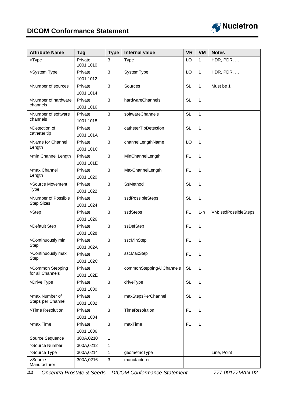

| <b>Attribute Name</b> | Tag                  | <b>Type</b>               | <b>Internal value</b>     | <b>VR</b> | <b>VM</b>    | <b>Notes</b>         |
|-----------------------|----------------------|---------------------------|---------------------------|-----------|--------------|----------------------|
| $>$ Type              | Private<br>1001,1010 | $\mathbf{3}$              | <b>Type</b>               | LO        | 1            | HDR, PDR,            |
| >System Type          | Private              | $\mathbf{3}$              | SystemType                | LO        | $\mathbf{1}$ | HDR, PDR,            |
|                       | 1001,1012            |                           |                           |           |              |                      |
| >Number of sources    | Private              | $\mathbf{3}$              | Sources                   | <b>SL</b> | 1            | Must be 1            |
|                       | 1001,1014            |                           |                           |           |              |                      |
| >Number of hardware   | Private              | $\mathbf{3}$              | hardwareChannels          | <b>SL</b> | $\mathbf{1}$ |                      |
| channels              | 1001,1016            |                           |                           |           |              |                      |
| >Number of software   | Private              | $\mathbf{3}$              | softwareChannels          | <b>SL</b> | $\mathbf{1}$ |                      |
| channels              | 1001,1018            |                           |                           |           |              |                      |
| >Detection of         | Private              | $\mathbf{3}$              | catheterTipDetection      | <b>SL</b> | $\mathbf{1}$ |                      |
| catheter tip          | 1001,101A            |                           |                           |           |              |                      |
| >Name for Channel     | Private              | $\mathbf{3}$              | channelLengthName         | LO        | $\mathbf{1}$ |                      |
| Length                | 1001,101C            |                           |                           |           |              |                      |
| >min Channel Length   | Private              | $\mathbf{3}$              | MinChannelLength          | <b>FL</b> | $\mathbf{1}$ |                      |
|                       | 1001,101E            |                           |                           |           |              |                      |
| >max Channel          | Private              | 3                         | MaxChannelLength          | FL.       | 1            |                      |
| Length                | 1001,1020            |                           |                           |           |              |                      |
| >Source Movement      | Private              | $\mathbf{3}$              | SsMethod                  | <b>SL</b> | 1            |                      |
| <b>Type</b>           | 1001,1022            |                           |                           |           |              |                      |
| >Number of Possible   | Private              | $\mathbf{3}$              | ssdPossibleSteps          | <b>SL</b> | 1            |                      |
| <b>Step Sizes</b>     | 1001,1024            |                           |                           |           |              |                      |
| >Step                 | Private              | $\mathbf{3}$              | ssdSteps                  | <b>FL</b> | $1 - n$      | VM: ssdPossibleSteps |
|                       | 1001,1026            |                           |                           |           |              |                      |
| >Default Step         | Private              | $\mathbf{3}$              | ssDefStep                 | <b>FL</b> | $\mathbf{1}$ |                      |
|                       | 1001,1028            |                           |                           |           |              |                      |
| >Continuously min     | Private              | $\mathbf{3}$              | sscMinStep                | <b>FL</b> | $\mathbf{1}$ |                      |
| Step                  | 1001,002A            |                           |                           |           |              |                      |
| >Continuously max     | Private              | 3                         | sscMaxStep                | FL.       | $\mathbf{1}$ |                      |
| <b>Step</b>           | 1001,102C            |                           |                           |           |              |                      |
| >Common Stepping      | Private              | $\mathbf{3}$              | commonSteppingAllChannels | <b>SL</b> | $\mathbf{1}$ |                      |
| for all Channels      | 1001,102E            |                           |                           |           |              |                      |
| >Drive Type           | Private              | $\mathbf{3}$              | driveType                 | <b>SL</b> | $\mathbf{1}$ |                      |
|                       | 1001,1030            |                           |                           |           |              |                      |
| >max Number of        | Private              | $\mathbf{3}$              | maxStepsPerChannel        | <b>SL</b> | $\mathbf{1}$ |                      |
| Steps per Channel     | 1001,1032            |                           |                           |           |              |                      |
| >Time Resolution      | Private              | $\ensuremath{\mathsf{3}}$ | TimeResolution            | <b>FL</b> | 1            |                      |
|                       | 1001,1034            |                           |                           |           |              |                      |
| >max Time             | Private              | 3                         | maxTime                   | FL        | $\mathbf{1}$ |                      |
|                       | 1001,1036            |                           |                           |           |              |                      |
| Source Sequence       | 300A,0210            | $\mathbf{1}$              |                           |           |              |                      |
| >Source Number        | 300A,0212            | $\mathbf{1}$              |                           |           |              |                      |
| >Source Type          | 300A,0214            | $\mathbf{1}$              | geometricType             |           |              | Line, Point          |
| >Source               | 300A,0216            | $\ensuremath{\mathsf{3}}$ | manufacturer              |           |              |                      |
| Manufacturer          |                      |                           |                           |           |              |                      |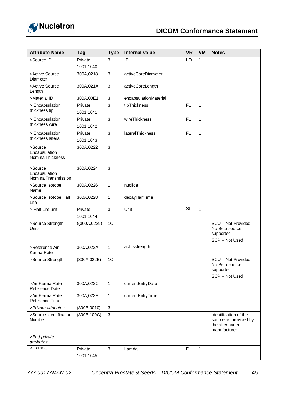

| <b>Attribute Name</b>                               | Tag                  | <b>Type</b>    | <b>Internal value</b> | <b>VR</b> | <b>VM</b>    | <b>Notes</b>                                                                      |
|-----------------------------------------------------|----------------------|----------------|-----------------------|-----------|--------------|-----------------------------------------------------------------------------------|
| >Source ID                                          | Private              | 3              | ID                    | LO        | 1            |                                                                                   |
|                                                     | 1001,1040            |                |                       |           |              |                                                                                   |
| >Active Source<br>Diameter                          | 300A,0218            | $\mathbf{3}$   | activeCoreDiameter    |           |              |                                                                                   |
| >Active Source<br>Length                            | 300A,021A            | $\mathbf{3}$   | activeCoreLength      |           |              |                                                                                   |
| >Material ID                                        | 300A,00E1            | $\mathbf{3}$   | encapsulationMaterial |           |              |                                                                                   |
| > Encapsulation<br>thickness tip                    | Private<br>1001,1041 | $\mathsf 3$    | tipThickness          | <b>FL</b> | $\mathbf{1}$ |                                                                                   |
| > Encapsulation<br>thickness wire                   | Private<br>1001,1042 | $\mathbf{3}$   | wireThickness         | FL        | $\mathbf{1}$ |                                                                                   |
| > Encapsulation<br>thickness lateral                | Private<br>1001,1043 | $\mathbf{3}$   | lateralThickness      | FL        | $\mathbf{1}$ |                                                                                   |
| >Source<br>Encapsulation<br><b>NominalThickness</b> | 300A,0222            | $\mathbf{3}$   |                       |           |              |                                                                                   |
| >Source<br>Encapsulation<br>NominalTransmission     | 300A,0224            | $\mathbf{3}$   |                       |           |              |                                                                                   |
| >Source Isotope<br>Name                             | 300A,0226            | $\mathbf{1}$   | nuclide               |           |              |                                                                                   |
| >Source Isotope Half<br>Life                        | 300A,0228            | 1              | decayHalfTime         |           |              |                                                                                   |
| > Half Life unit                                    | Private<br>1001,1044 | $\mathbf{3}$   | Unit                  | <b>SL</b> | $\mathbf{1}$ |                                                                                   |
| >Source Strength<br>Units                           | ((300A, 0229)        | 1C             |                       |           |              | SCU - Not Provided;<br>No Beta source<br>supported<br>SCP - Not Used              |
| >Reference Air<br>Kerma Rate                        | 300A,022A            | 1              | act_sstrength         |           |              |                                                                                   |
| >Source Strength                                    | (300A, 022B)         | 1 <sup>C</sup> |                       |           |              | SCU - Not Provided;<br>No Beta source<br>supported<br>SCP - Not Used              |
| >Air Kerma Rate<br>Reference Date                   | 300A,022C            | $\mathbf{1}$   | currentEntryDate      |           |              |                                                                                   |
| >Air Kerma Rate<br>Reference Time                   | 300A,022E            | $\mathbf 1$    | currentEntryTime      |           |              |                                                                                   |
| >Private attributes                                 | (300B, 0010)         | $\mathbf{3}$   |                       |           |              |                                                                                   |
| >Source Identification<br>Number                    | (300B, 100C)         | $\mathbf{3}$   |                       |           |              | Identification of the<br>source as provided by<br>the afterloader<br>manufacturer |
| >End private<br>attributes                          |                      |                |                       |           |              |                                                                                   |
| > Lamda                                             | Private<br>1001,1045 | 3              | Lamda                 | FL.       | $\mathbf{1}$ |                                                                                   |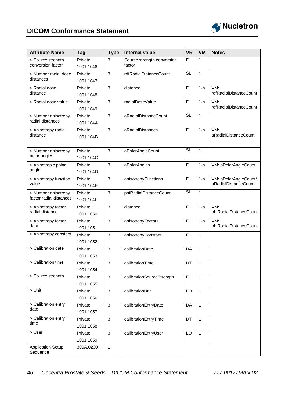

| <b>Attribute Name</b>                          | Tag                  | <b>Type</b>  | <b>Internal value</b>                | <b>VR</b>              | <b>VM</b>    | <b>Notes</b>                                  |
|------------------------------------------------|----------------------|--------------|--------------------------------------|------------------------|--------------|-----------------------------------------------|
| > Source strength<br>conversion factor         | Private<br>1001,1046 | 3            | Source strength conversion<br>factor | <b>FL</b>              | $\mathbf{1}$ |                                               |
| > Number radial dose<br>distances              | Private<br>1001,1047 | $\mathbf 3$  | rdfRadialDistanceCount               | $\overline{\text{SL}}$ | $\mathbf{1}$ |                                               |
| > Radial dose<br>distance                      | Private<br>1001,1048 | $\mathbf 3$  | distance                             | <b>FL</b>              | $1 - n$      | VM:<br>rdfRadialDistanceCount                 |
| > Radial dose value                            | Private<br>1001,1049 | $\mathbf 3$  | radialDoseValue                      | FL.                    | $1 - n$      | VM:<br>rdfRadialDistanceCount                 |
| > Number anisotropy<br>radial distances        | Private<br>1001,104A | 3            | aRadialDistanceCount                 | <b>SL</b>              | $\mathbf{1}$ |                                               |
| > Anisotropy radial<br>distance                | Private<br>1001,104B | $\mathbf 3$  | aRadialDistances                     | FL.                    | $1 - n$      | VM:<br>aRadialDistanceCount                   |
| > Number anisotropy<br>polar angles            | Private<br>1001,104C | 3            | aPolarAngleCount                     | <b>SL</b>              | $\mathbf{1}$ |                                               |
| > Anisotropic polar<br>angle                   | Private<br>1001,104D | 3            | aPolarAngles                         | FL.                    | $1 - n$      | VM: aPolarAngleCount                          |
| > Anisotropy function<br>value                 | Private<br>1001,104E | $\mathbf 3$  | anisotropyFunctions                  | FL.                    | $1 - n$      | VM: aPolarAngleCount*<br>aRadialDistanceCount |
| > Number anisotropy<br>factor radial distances | Private<br>1001,104F | $\mathbf 3$  | phiRadialDistanceCount               | $\overline{\text{SL}}$ | $\mathbf{1}$ |                                               |
| > Anisotropy factor<br>radial distance         | Private<br>1001,1050 | 3            | distance                             | FL.                    | $1 - n$      | VM:<br>phiRadialDistanceCount                 |
| > Anisotropy factor<br>data                    | Private<br>1001,1051 | 3            | anisotropyFactors                    | FL.                    | $1 - n$      | VM:<br>phiRadialDistanceCount                 |
| > Anisotropy constant                          | Private<br>1001,1052 | $\mathsf 3$  | anisotropyConstant                   | <b>FL</b>              | $\mathbf{1}$ |                                               |
| > Calibration date                             | Private<br>1001,1053 | $\mathbf 3$  | calibrationDate                      | DA                     | $\mathbf{1}$ |                                               |
| > Calibration time                             | Private<br>1001,1054 | $\mathbf{3}$ | calibrationTime                      | DT                     | $\mathbf{1}$ |                                               |
| > Source strength                              | Private<br>1001,1055 | $\mathbf{3}$ | calibrationSourceStrength            | FL.                    | $\mathbf{1}$ |                                               |
| $>$ Unit                                       | Private<br>1001,1056 | $\mathbf{3}$ | calibrationUnit                      | LO                     | $\mathbf{1}$ |                                               |
| > Calibration entry<br>date                    | Private<br>1001,1057 | $\mathbf{3}$ | calibrationEntryDate                 | DA                     | $\mathbf{1}$ |                                               |
| > Calibration entry<br>time                    | Private<br>1001,1058 | $\mathbf{3}$ | calibrationEntryTime                 | DT                     | $\mathbf{1}$ |                                               |
| > User                                         | Private<br>1001,1059 | $\mathbf{3}$ | calibrationEntryUser                 | LO                     | $\mathbf{1}$ |                                               |
| <b>Application Setup</b><br>Sequence           | 300A,0230            | $\mathbf{1}$ |                                      |                        |              |                                               |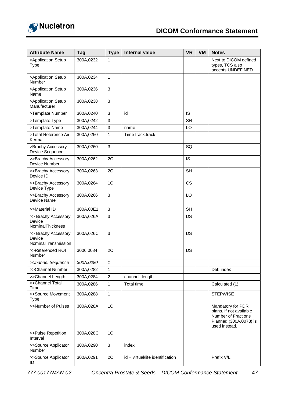

| <b>Attribute Name</b>                                | Tag       | <b>Type</b>         | <b>Internal value</b>            | <b>VR</b> | <b>VM</b> | <b>Notes</b>                                                                                                   |
|------------------------------------------------------|-----------|---------------------|----------------------------------|-----------|-----------|----------------------------------------------------------------------------------------------------------------|
| >Application Setup<br><b>Type</b>                    | 300A,0232 | 1                   |                                  |           |           | Next to DICOM defined<br>types, TCS also<br>accepts UNDEFINED                                                  |
| >Application Setup<br>Number                         | 300A,0234 | $\mathbf{1}$        |                                  |           |           |                                                                                                                |
| >Application Setup<br>Name                           | 300A,0236 | $\mathsf 3$         |                                  |           |           |                                                                                                                |
| >Application Setup<br>Manufacturer                   | 300A,0238 | $\mathbf{3}$        |                                  |           |           |                                                                                                                |
| >Template Number                                     | 300A,0240 | $\mathsf 3$         | id                               | IS        |           |                                                                                                                |
| >Template Type                                       | 300A,0242 | $\mathbf{3}$        |                                  | <b>SH</b> |           |                                                                                                                |
| >Template Name                                       | 300A,0244 | $\mathbf{3}$        | name                             | LO        |           |                                                                                                                |
| >Total Reference Air<br>Kerma                        | 300A,0250 | 1                   | TimeTrack.track                  |           |           |                                                                                                                |
| >Brachy Accessory<br>Device Sequence                 | 300A,0260 | $\mathsf 3$         |                                  | SQ        |           |                                                                                                                |
| >>Brachy Accessory<br><b>Device Number</b>           | 300A,0262 | 2C                  |                                  | IS        |           |                                                                                                                |
| >>Brachy Accessory<br>Device ID                      | 300A,0263 | 2C                  |                                  | <b>SH</b> |           |                                                                                                                |
| >>Brachy Accessory<br>Device Type                    | 300A,0264 | 1 <sup>C</sup>      |                                  | <b>CS</b> |           |                                                                                                                |
| >>Brachy Accessory<br>Device Name                    | 300A,0266 | $\mathsf 3$         |                                  | LO        |           |                                                                                                                |
| >>Material ID                                        | 300A,00E1 | $\mathbf{3}$        |                                  | <b>SH</b> |           |                                                                                                                |
| >> Brachy Accessory<br>Device<br>NominalThickness    | 300A,026A | $\mathbf{3}$        |                                  | <b>DS</b> |           |                                                                                                                |
| >> Brachy Accessory<br>Device<br>NominalTransmission | 300A,026C | $\mathbf{3}$        |                                  | DS        |           |                                                                                                                |
| >>Referenced ROI<br>Number                           | 3006,0084 | 2C                  |                                  | DS        |           |                                                                                                                |
| >Channel Sequence                                    | 300A,0280 | $\pmb{\mathcal{I}}$ |                                  |           |           |                                                                                                                |
| >>Channel Number                                     | 300A,0282 | $\mathbf{1}$        |                                  |           |           | Def: index                                                                                                     |
| >>Channel Length                                     | 300A,0284 | $\boldsymbol{2}$    | channel_length                   |           |           |                                                                                                                |
| >>Channel Total<br>Time                              | 300A,0286 | $\mathbf 1$         | <b>Total time</b>                |           |           | Calculated (1)                                                                                                 |
| >>Source Movement<br><b>Type</b>                     | 300A,0288 | $\mathbf{1}$        |                                  |           |           | <b>STEPWISE</b>                                                                                                |
| >>Number of Pulses                                   | 300A,028A | 1C                  |                                  |           |           | Mandatory for PDR<br>plans. If not available<br>Number of Fractions<br>Planned (300A,0078) is<br>used instead. |
| >>Pulse Repetition<br>Interval                       | 300A,028C | 1 <sup>C</sup>      |                                  |           |           |                                                                                                                |
| >>Source Applicator<br>Number                        | 300A,0290 | $\sqrt{3}$          | index                            |           |           |                                                                                                                |
| >>Source Applicator<br>ID                            | 300A,0291 | 2C                  | id + virtual/life identification |           |           | Prefix V/L                                                                                                     |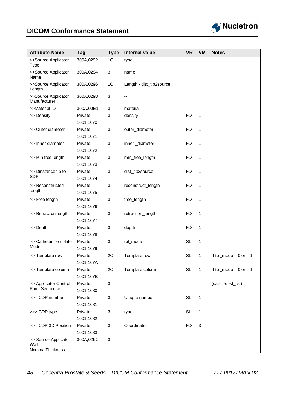

| <b>Attribute Name</b>                            | Tag       | <b>Type</b>               | <b>Internal value</b>    | <b>VR</b> | <b>VM</b>    | <b>Notes</b>             |
|--------------------------------------------------|-----------|---------------------------|--------------------------|-----------|--------------|--------------------------|
| >>Source Applicator<br><b>Type</b>               | 300A,0292 | 1 <sup>C</sup>            | type                     |           |              |                          |
| >>Source Applicator<br>Name                      | 300A,0294 | $\mathbf{3}$              | name                     |           |              |                          |
| >>Source Applicator<br>Length                    | 300A,0296 | 1 <sup>C</sup>            | Length - dist_tip2source |           |              |                          |
| >>Source Applicator<br>Manufacturer              | 300A,0298 | $\mathbf{3}$              | $\overline{\phantom{a}}$ |           |              |                          |
| >>Material ID                                    | 300A,00E1 | $\ensuremath{\mathsf{3}}$ | material                 |           |              |                          |
| >> Density                                       | Private   | 3                         | density                  | <b>FD</b> | 1            |                          |
|                                                  | 1001,1070 |                           |                          |           |              |                          |
| >> Outer diameter                                | Private   | 3                         | outer_diameter           | <b>FD</b> | 1            |                          |
|                                                  | 1001,1071 |                           |                          |           |              |                          |
| >> Inner diameter                                | Private   | $\mathbf{3}$              | inner_diameter           | <b>FD</b> | 1            |                          |
|                                                  | 1001,1072 |                           |                          |           |              |                          |
| >> Min free length                               | Private   | 3                         | min_free_length          | <b>FD</b> | 1            |                          |
|                                                  | 1001,1073 |                           |                          |           |              |                          |
| >> Dinstance tip to                              | Private   | $\mathbf{3}$              | dist_tip2source          | <b>FD</b> | 1            |                          |
| <b>SDP</b>                                       | 1001,1074 |                           |                          |           |              |                          |
| >> Reconstructed                                 | Private   | 3                         | reconstruct_length       | <b>FD</b> | $\mathbf{1}$ |                          |
| length                                           | 1001,1075 |                           |                          |           |              |                          |
| >> Free length                                   | Private   | $\mathbf{3}$              | free_length              | <b>FD</b> | $\mathbf{1}$ |                          |
|                                                  | 1001,1076 |                           |                          |           |              |                          |
| >> Retraction length                             | Private   | $\mathbf{3}$              | retraction_length        | <b>FD</b> | $\mathbf{1}$ |                          |
|                                                  | 1001,1077 |                           |                          |           |              |                          |
| >> Depth                                         | Private   | $\mathbf{3}$              | depth                    | <b>FD</b> | $\mathbf{1}$ |                          |
|                                                  | 1001,1078 |                           |                          |           |              |                          |
| >> Catheter Template                             | Private   | $\mathbf{3}$              | tpl_mode                 | <b>SL</b> | 1            |                          |
| Mode                                             | 1001,1079 |                           |                          |           |              |                          |
| >> Template row                                  | Private   | 2C                        | Template row             | <b>SL</b> | 1            | If tpl_mode = $0$ or = 1 |
|                                                  | 1001,107A |                           |                          |           |              |                          |
| >> Template column                               | Private   | 2C                        | Template column          | <b>SL</b> | $\mathbf{1}$ | If tpl_mode = $0$ or = 1 |
|                                                  | 1001,107B |                           |                          |           |              |                          |
| >> Applicator Control                            | Private   | $\mathbf{3}$              |                          |           |              | (cath->cpkt_list)        |
| Point Sequence                                   | 1001,1080 |                           |                          |           |              |                          |
| >>> CDP number                                   | Private   | $\mathbf{3}$              | Unique number            | <b>SL</b> | $\mathbf{1}$ |                          |
|                                                  | 1001,1081 |                           |                          |           |              |                          |
| >>> CDP type                                     | Private   | $\ensuremath{\mathsf{3}}$ | type                     | <b>SL</b> | $\mathbf{1}$ |                          |
|                                                  | 1001,1082 |                           |                          |           |              |                          |
| >>> CDP 3D Position                              | Private   | $\ensuremath{\mathsf{3}}$ | Coordinates              | <b>FD</b> | 3            |                          |
|                                                  | 1001,1083 |                           |                          |           |              |                          |
| >> Source Applicator<br>Wall<br>NominalThickness | 300A,029C | $\mathbf{3}$              |                          |           |              |                          |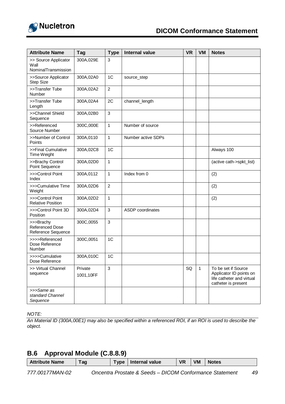

| <b>Attribute Name</b>                                     | Tag                  | <b>Type</b>    | <b>Internal value</b>   | <b>VR</b> | <b>VM</b>    | <b>Notes</b>                                                                                       |
|-----------------------------------------------------------|----------------------|----------------|-------------------------|-----------|--------------|----------------------------------------------------------------------------------------------------|
| >> Source Applicator<br>Wall<br>NominalTransmission       | 300A,029E            | 3              |                         |           |              |                                                                                                    |
| >>Source Applicator<br><b>Step Size</b>                   | 300A,02A0            | 1 <sup>C</sup> | source_step             |           |              |                                                                                                    |
| >>Transfer Tube<br>Number                                 | 300A,02A2            | $\overline{c}$ |                         |           |              |                                                                                                    |
| >>Transfer Tube<br>Length                                 | 300A,02A4            | 2C             | channel_length          |           |              |                                                                                                    |
| >>Channel Shield<br>Sequence                              | 300A,02B0            | $\mathsf 3$    |                         |           |              |                                                                                                    |
| >>Referenced<br>Source Number                             | 300C,000E            | $\mathbf{1}$   | Number of source        |           |              |                                                                                                    |
| >>Number of Control<br>Points                             | 300A,0110            | $\mathbf{1}$   | Number active SDPs      |           |              |                                                                                                    |
| >>Final Cumulative<br>Time Weight                         | 300A,02C8            | 1 <sup>C</sup> |                         |           |              | Always 100                                                                                         |
| >>Brachy Control<br>Point Sequence                        | 300A,02D0            | 1              |                         |           |              | (active cath->spkt_list)                                                                           |
| >>>Control Point<br>Index                                 | 300A,0112            | $\mathbf 1$    | Index from 0            |           |              | (2)                                                                                                |
| >>>Cumulative Time<br>Weight                              | 300A,02D6            | $\overline{c}$ |                         |           |              | (2)                                                                                                |
| >>>Control Point<br><b>Relative Position</b>              | 300A,02D2            | $\mathbf{1}$   |                         |           |              | (2)                                                                                                |
| >>>Control Point 3D<br>Position                           | 300A,02D4            | $\mathbf{3}$   | <b>ASDP</b> coordinates |           |              |                                                                                                    |
| >>>Brachy<br><b>Referenced Dose</b><br>Reference Sequence | 300C,0055            | $\mathbf{3}$   |                         |           |              |                                                                                                    |
| >>>>Referenced<br>Dose Reference<br>Number                | 300C,0051            | 1 <sup>C</sup> |                         |           |              |                                                                                                    |
| >>>>Cumulative<br>Dose Reference                          | 300A,010C            | 1 <sup>C</sup> |                         |           |              |                                                                                                    |
| >> Virtual Channel<br>sequence                            | Private<br>1001,10FF | $\mathbf{3}$   |                         | SQ        | $\mathbf{1}$ | To be set if Source<br>Applicator ID points on<br>life catheter and virtual<br>catheter is present |
| >>>Same as<br>standard Channel<br>Sequence                |                      |                |                         |           |              |                                                                                                    |

#### *NOTE:*

*An Material ID (300A,00E1) may also be specified within a referenced ROI, if an ROI is used to describe the object.*

### **B.6 Approval Module (C.8.8.9)**

| <b>Attribute Name</b> | Tag | Type | Internal value | <b>VR</b> | VM | <b>Notes</b> |
|-----------------------|-----|------|----------------|-----------|----|--------------|
|                       |     |      |                |           |    |              |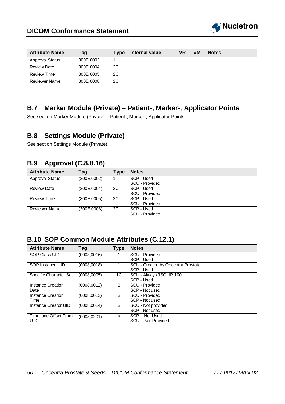

| <b>Attribute Name</b>  | Tag       | Type | Internal value | <b>VR</b> | <b>VM</b> | <b>Notes</b> |
|------------------------|-----------|------|----------------|-----------|-----------|--------------|
| <b>Approval Status</b> | 300E,0002 |      |                |           |           |              |
| <b>Review Date</b>     | 300E,0004 | 2C   |                |           |           |              |
| <b>Review Time</b>     | 300E,0005 | 2C   |                |           |           |              |
| <b>Reviewer Name</b>   | 300E,0008 | 2C   |                |           |           |              |

### **B.7 Marker Module (Private) – Patient-, Marker-, Applicator Points**

See section Marker Module (Private) – [Patient-, Marker-, Applicator Points.](#page-69-0)

### **B.8 Settings Module (Private)**

See section [Settings Module \(Private\).](#page-69-1)

### **B.9 Approval (C.8.8.16)**

| <b>Attribute Name</b>  | Tag          | Type | <b>Notes</b>   |
|------------------------|--------------|------|----------------|
| <b>Approval Status</b> | (300E, 0002) |      | SCP - Used     |
|                        |              |      | SCU - Provided |
| <b>Review Date</b>     | (300E, 0004) | 2C   | SCP - Used     |
|                        |              |      | SCU - Provided |
| <b>Review Time</b>     | (300E, 0005) | 2C   | SCP - Used     |
|                        |              |      | SCU - Provided |
| <b>Reviewer Name</b>   | (300E,0008)  | 2C   | SCP - Used     |
|                        |              |      | SCU - Provided |

### **B.10 SOP Common Module Attributes (C.12.1)**

| <b>Attribute Name</b>    | Tag          | <b>Type</b> | <b>Notes</b>                        |
|--------------------------|--------------|-------------|-------------------------------------|
| SOP Class UID            | (0008,0016)  |             | SCU - Provided                      |
|                          |              |             | SCP - Used                          |
| SOP Instance UID         | (0008, 0018) |             | SCU - Created by Oncentra Prostate. |
|                          |              |             | SCP - Used                          |
| Specific Character Set   | (0008,0005)  | 1C          | SCU - Always 'ISO_IR 100'           |
|                          |              |             | SCP - Used                          |
| Instance Creation        | (0008, 0012) | 3           | SCU - Provided                      |
| Date                     |              |             | SCP - Not used                      |
| <b>Instance Creation</b> | (0008, 0013) | 3           | SCU - Provided                      |
| Time                     |              |             | SCP - Not used                      |
| Instance Creator UID     | (0008, 0014) | 3           | SCU - Not provided                  |
|                          |              |             | SCP - Not used                      |
| Timezone Offset From     | (0008, 0201) | 3           | SCP - Not Used                      |
| UTC.                     |              |             | SCU - Not Provided                  |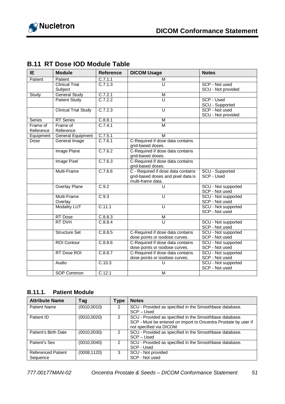| IE.       | <b>Module</b>                  | <b>Reference</b>   | <b>DICOM Usage</b>                 | <b>Notes</b>                          |
|-----------|--------------------------------|--------------------|------------------------------------|---------------------------------------|
| Patient   | Patient                        | C.7.1.1            | M                                  |                                       |
|           | <b>Clinical Trial</b>          | C.7.1.3            | $\overline{U}$                     | SCP - Not used                        |
|           | Subject                        |                    |                                    | SCU - Not provided                    |
| Study     | <b>General Study</b>           | C.7.2.1            | M                                  |                                       |
|           | <b>Patient Study</b>           | C.7.2.2            | $\overline{U}$                     | <b>SCP - Used</b>                     |
|           |                                |                    |                                    | SCU - Supported                       |
|           | <b>Clinical Trial Study</b>    | C.7.2.3            | $\overline{\mathtt{U}}$            | SCP - Not used                        |
|           |                                |                    |                                    | SCU - Not provided                    |
| Series    | <b>RT</b> Series               | C.8.8.1            | M                                  |                                       |
| Frame of  | Frame of                       | C.7.4.1            | $\overline{M}$                     |                                       |
| Reference | Reference                      |                    |                                    |                                       |
| Equipment | <b>General Equipment</b>       | C.7.5.1            | M                                  |                                       |
| Dose      | General Image                  | C.7.6.1            | C-Required if dose data contains   |                                       |
|           |                                |                    | grid-based doses.                  |                                       |
|           | Image Plane                    | C.7.6.2            | C-Required if dose data contains   |                                       |
|           |                                |                    | grid-based doses.                  |                                       |
|           | <b>Image Pixel</b>             | C.7.6.3            | C-Required if dose data contains   |                                       |
|           |                                |                    | grid-based doses.                  |                                       |
|           | Multi-Frame                    | C.7.6.6            | C - Required if dose data contains | <b>SCU - Supported</b>                |
|           |                                |                    | grid-based doses and pixel data is | SCP - Used                            |
|           |                                |                    | multi-frame data.                  |                                       |
|           | Overlay Plane                  | $\overline{C.9.2}$ | $\cup$                             | SCU - Not supported                   |
|           |                                |                    |                                    | SCP - Not used                        |
|           | Multi-Frame                    | C.9.3              | U                                  | SCU - Not supported<br>SCP - Not used |
|           | Overlay<br><b>Modality LUT</b> | C.11.1             | $\overline{\mathsf{U}}$            | SCU - Not supported                   |
|           |                                |                    |                                    | SCP - Not used                        |
|           | <b>RT</b> Dose                 | C.8.8.3            | M                                  |                                       |
|           | <b>RT DVH</b>                  | C.8.8.4            | $\overline{U}$                     | SCU - Not supported                   |
|           |                                |                    |                                    | SCP - Not used                        |
|           | <b>Structure Set</b>           | C.8.8.5            | C-Required if dose data contains   | SCU - Not supported                   |
|           |                                |                    | dose points or isodose curves.     | SCP - Not used                        |
|           | <b>ROI Contour</b>             | C.8.8.6            | C-Required if dose data contains   | SCU - Not supported                   |
|           |                                |                    | dose points or isodose curves.     | SCP - Not used                        |
|           | RT Dose ROI                    | C.8.8.7            | C-Required if dose data contains   | SCU - Not supported                   |
|           |                                |                    | dose points or isodose curves.     | SCP - Not used                        |
|           | Audio                          | C.10.3             |                                    | <b>SCU - Not supported</b>            |
|           |                                |                    |                                    | SCP - Not used                        |
|           | SOP Common                     | C.12.1             | M                                  |                                       |

# **B.11 RT Dose IOD Module Table**

#### **B.11.1. Patient Module**

| <b>Attribute Name</b>                 | Tag          | <b>Type</b>   | <b>Notes</b>                                                                                                                                           |
|---------------------------------------|--------------|---------------|--------------------------------------------------------------------------------------------------------------------------------------------------------|
| <b>Patient Name</b>                   | (0010, 0010) | $\mathcal{P}$ | SCU - Provided as specified in the Smoothbase database.<br>SCP - Used                                                                                  |
| Patient ID                            | (0010, 0020) | $\mathcal{P}$ | SCU - Provided as specified in the Smoothbase database.<br>SCP - Must be entered on import to Oncentra Prostate by user if<br>not specified via DICOM. |
| Patient's Birth Date                  | (0010, 0030) | $\mathcal{P}$ | SCU - Provided as specified in the Smoothbase database.<br>SCP-Used                                                                                    |
| Patient's Sex                         | (0010, 0040) | 2             | SCU - Provided as specified in the Smoothbase database.<br>SCP - Used                                                                                  |
| <b>Referenced Patient</b><br>Sequence | (0008, 1120) | 3             | SCU - Not provided<br>SCP - Not used                                                                                                                   |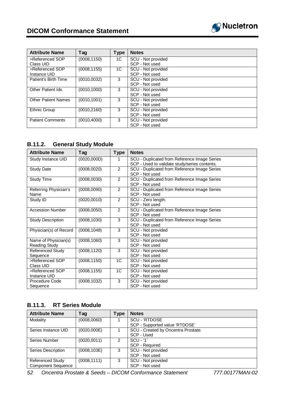

#### **B.11.2. General Study Module**

| <b>Attribute Name</b>    | Tag          | <b>Type</b>    | <b>Notes</b>                                                   |
|--------------------------|--------------|----------------|----------------------------------------------------------------|
| Study Instance UID       | (0020, 000D) |                | SCU - Duplicated from Reference Image Series                   |
|                          |              |                | SCP - Used to validate study/series contents.                  |
| <b>Study Date</b>        | (0008, 0020) | $\overline{2}$ | SCU - Duplicated from Reference Image Series<br>SCP - Not used |
| <b>Study Time</b>        | (0008, 0030) | $\overline{2}$ | SCU - Duplicated from Reference Image Series                   |
|                          |              |                | SCP - Not used                                                 |
| Referring Physician's    | (0008, 0090) | $\overline{2}$ | SCU - Duplicated from Reference Image Series                   |
| Name                     |              |                | SCP - Not used                                                 |
| Study ID                 | (0020, 0010) | $\overline{2}$ | SCU - Zero length.                                             |
|                          |              |                | SCP - Not used                                                 |
| <b>Accession Number</b>  | (0008, 0050) | $\overline{2}$ | SCU - Duplicated from Reference Image Series                   |
|                          |              |                | SCP - Not used                                                 |
| <b>Study Description</b> | (0008, 1030) | 3              | SCU - Duplicated from Reference Image Series                   |
|                          |              |                | SCP - Not used                                                 |
| Physician(s) of Record   | (0008, 1048) | 3              | SCU - Not provided                                             |
|                          |              |                | SCP - Not used                                                 |
| Name of Physician(s)     | (0008, 1060) | 3              | SCU - Not provided                                             |
| <b>Reading Study</b>     |              |                | SCP - Not used                                                 |
| Referenced Study         | (0008, 1120) | 3              | SCU - Not provided                                             |
| Sequence                 |              |                | SCP - Not used                                                 |
| >Referenced SOP          | (0008, 1150) | 1C             | SCU - Not provided                                             |
| Class UID                |              |                | SCP - Not used                                                 |
| >Referenced SOP          | (0008, 1155) | 1C             | SCU - Not provided                                             |
| Instance UID             |              |                | SCP - Not used                                                 |
| Procedure Code           | (0008, 1032) | 3              | SCU - Not provided                                             |
| Sequence                 |              |                | SCP - Not used                                                 |

#### **B.11.3. RT Series Module**

| <b>Attribute Name</b>     | Tag          | Type          | <b>Notes</b>                        |
|---------------------------|--------------|---------------|-------------------------------------|
| Modality                  | (0008, 0060) |               | SCU - 'RTDOSE                       |
|                           |              |               | SCP - Supported value 'RTDOSE'      |
| Series Instance UID       | (0020,000E)  |               | SCU - Created by Oncentra Prostate. |
|                           |              |               | SCP - Used                          |
| Series Number             | (0020, 0011) | $\mathcal{P}$ | $SCU - '1'$                         |
|                           |              |               | SCP - Required                      |
| <b>Series Description</b> | (0008, 103E) | 3             | SCU - Not provided                  |
|                           |              |               | SCP - Not used                      |
| <b>Referenced Study</b>   | (0008, 1111) | 3             | SCU - Not provided                  |
| <b>Component Sequence</b> |              |               | SCP - Not used                      |

*52 Oncentra Prostate & Seeds – DICOM Conformance Statement 777.00177MAN-02*

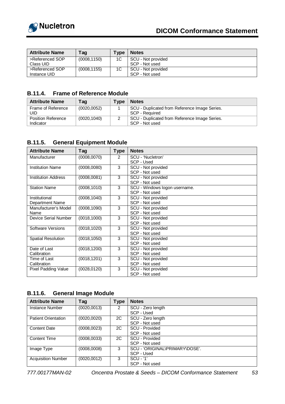

| <b>Attribute Name</b>           | Tag          | <b>Type</b> | <b>Notes</b>                         |
|---------------------------------|--------------|-------------|--------------------------------------|
| >Referenced SOP<br>Class UID    | (0008, 1150) | 1C          | SCU - Not provided<br>SCP - Not used |
| >Referenced SOP<br>Instance UID | (0008, 1155) | 1C          | SCU - Not provided<br>SCP - Not used |

#### **B.11.4. Frame of Reference Module**

| <b>Attribute Name</b>     | Tag          | <b>Type</b> | <b>Notes</b>                                  |
|---------------------------|--------------|-------------|-----------------------------------------------|
| Frame of Reference        | (0020, 0052) |             | SCU - Duplicated from Reference Image Series. |
| UID                       |              |             | SCP - Required                                |
| <b>Position Reference</b> | (0020, 1040) |             | SCU - Duplicated from Reference Image Series. |
| Indicator                 |              |             | SCP - Not used                                |

#### **B.11.5. General Equipment Module**

| <b>Attribute Name</b>      | Tag          | <b>Type</b>   | <b>Notes</b>                  |
|----------------------------|--------------|---------------|-------------------------------|
| Manufacturer               | (0008, 0070) | $\mathcal{P}$ | SCU - 'Nucletron'             |
|                            |              |               | SCP - Used                    |
| <b>Institution Name</b>    | (0008, 0080) | 3             | SCU - Not provided            |
|                            |              |               | SCP - Not used                |
| <b>Institution Address</b> | (0008, 0081) | 3             | SCU - Not provided            |
|                            |              |               | SCP - Not used                |
| <b>Station Name</b>        | (0008, 1010) | 3             | SCU - Windows logon username. |
|                            |              |               | SCP - Not used                |
| Institutional              | (0008, 1040) | 3             | SCU - Not provided            |
| Department Name            |              |               | SCP - Not used                |
| Manufacturer's Model       | (0008, 1090) | 3             | SCU - Not provided            |
| Name                       |              |               | SCP - Not used                |
| Device Serial Number       | (0018, 1000) | 3             | SCU - Not provided            |
|                            |              |               | SCP - Not used                |
| <b>Software Versions</b>   | (0018, 1020) | 3             | SCU - Not provided            |
|                            |              |               | SCP - Not used                |
| <b>Spatial Resolution</b>  | (0018, 1050) | 3             | SCU - Not provided            |
|                            |              |               | SCP - Not used                |
| Date of Last               | (0018, 1200) | 3             | SCU - Not provided            |
| Calibration                |              |               | SCP - Not used                |
| Time of Last               | (0018, 1201) | 3             | SCU - Not provided            |
| Calibration                |              |               | SCP - Not used                |
| Pixel Padding Value        | (0028, 0120) | 3             | SCU - Not provided            |
|                            |              |               | SCP - Not used                |

# **B.11.6. General Image Module**

| <b>Attribute Name</b>      | Tag          | <b>Type</b>  | <b>Notes</b>                   |
|----------------------------|--------------|--------------|--------------------------------|
| Instance Number            | (0020, 0013) | $\mathbf{2}$ | SCU - Zero length              |
|                            |              |              | SCP - Used                     |
| <b>Patient Orientation</b> | (0020, 0020) | 2C           | SCU - Zero length              |
|                            |              |              | SCP - Not used                 |
| <b>Content Date</b>        | (0008, 0023) | 2C           | SCU - Provided                 |
|                            |              |              | SCP - Not used                 |
| <b>Content Time</b>        | (0008, 0033) | 2C           | SCU - Provided                 |
|                            |              |              | SCP - Not used                 |
| Image Type                 | (0008,0008)  | 3            | SCU - 'ORIGINAL\PRIMARY\DOSE'. |
|                            |              |              | SCP - Used                     |
| <b>Acquisition Number</b>  | (0020, 0012) | 3            | $SCU - '1'$                    |
|                            |              |              | SCP - Not used                 |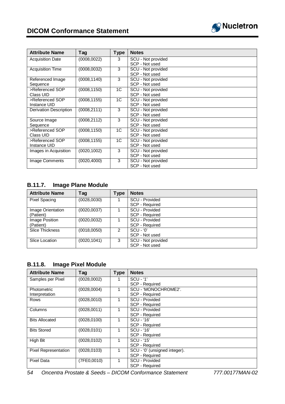

#### **B.11.7. Image Plane Module**

| <b>Attribute Name</b>          | Tag          | Type | <b>Notes</b>                         |
|--------------------------------|--------------|------|--------------------------------------|
| <b>Pixel Spacing</b>           | (0028, 0030) |      | SCU - Provided<br>SCP - Required     |
| Image Orientation<br>(Patient) | (0020, 0037) |      | SCU - Provided<br>SCP - Required     |
| Image Position<br>(Patient)    | (0020, 0032) |      | SCU - Provided<br>SCP - Required     |
| <b>Slice Thickness</b>         | (0018,0050)  | 2    | $SCU - '0'$<br>SCP - Not used        |
| Slice Location                 | (0020, 1041) | 3    | SCU - Not provided<br>SCP - Not used |

#### **B.11.8. Image Pixel Module**

| <b>Attribute Name</b>       | Tag          | <b>Type</b> | <b>Notes</b>                  |
|-----------------------------|--------------|-------------|-------------------------------|
| Samples per Pixel           | (0028,0002)  |             | $SCU - '1'$                   |
|                             |              |             | SCP - Required                |
| Photometric                 | (0028, 0004) |             | SCU - 'MONOCHROME2'.          |
| Interpretation              |              |             | SCP - Required                |
| Rows                        | (0028, 0010) |             | SCU - Provided                |
|                             |              |             | SCP - Required                |
| Columns                     | (0028, 0011) |             | SCU - Provided                |
|                             |              |             | SCP - Required                |
| <b>Bits Allocated</b>       | (0028, 0100) |             | SCU - '16'                    |
|                             |              |             | SCP - Required                |
| <b>Bits Stored</b>          | (0028, 0101) |             | SCU - '16'                    |
|                             |              |             | SCP - Required                |
| <b>High Bit</b>             | (0028, 0102) |             | SCU - '15'                    |
|                             |              |             | SCP - Required                |
| <b>Pixel Representation</b> | (0028, 0103) |             | SCU - '0' (unsigned integer). |
|                             |              |             | SCP - Required                |
| <b>Pixel Data</b>           | (7FE0,0010)  |             | SCU - Provided                |
|                             |              |             | SCP - Required                |



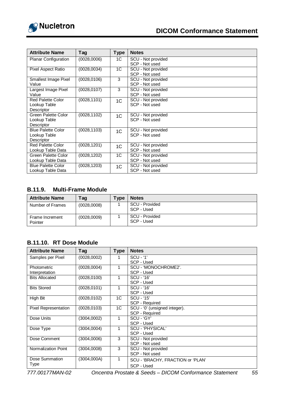

| <b>Attribute Name</b>       | Tag          | <b>Type</b>    | <b>Notes</b>       |
|-----------------------------|--------------|----------------|--------------------|
| <b>Planar Configuration</b> | (0028,0006)  | 1 <sup>C</sup> | SCU - Not provided |
|                             |              |                | SCP - Not used     |
| Pixel Aspect Ratio          | (0028, 0034) | 1C             | SCU - Not provided |
|                             |              |                | SCP - Not used     |
| Smallest Image Pixel        | (0028, 0106) | 3              | SCU - Not provided |
| Value                       |              |                | SCP - Not used     |
| Largest Image Pixel         | (0028, 0107) | 3              | SCU - Not provided |
| Value                       |              |                | SCP - Not used     |
| <b>Red Palette Color</b>    | (0028, 1101) | 1C             | SCU - Not provided |
| Lookup Table                |              |                | SCP - Not used     |
| Descriptor                  |              |                |                    |
| Green Palette Color         | (0028, 1102) | 1C             | SCU - Not provided |
| Lookup Table                |              |                | SCP - Not used     |
| Descriptor                  |              |                |                    |
| <b>Blue Palette Color</b>   | (0028, 1103) | 1C             | SCU - Not provided |
| Lookup Table                |              |                | SCP - Not used     |
| Descriptor                  |              |                |                    |
| <b>Red Palette Color</b>    | (0028, 1201) | 1 <sup>C</sup> | SCU - Not provided |
| Lookup Table Data           |              |                | SCP - Not used     |
| <b>Green Palette Color</b>  | (0028, 1202) | 1C             | SCU - Not provided |
| Lookup Table Data           |              |                | SCP - Not used     |
| <b>Blue Palette Color</b>   | (0028, 1203) | 1C             | SCU - Not provided |
| Lookup Table Data           |              |                | SCP - Not used     |

#### **B.11.9. Multi-Frame Module**

| <b>Attribute Name</b>      | Taq         | <b>Type</b> | <b>Notes</b>                 |
|----------------------------|-------------|-------------|------------------------------|
| Number of Frames           | (0028,0008) |             | SCU - Provided<br>SCP - Used |
| Frame Increment<br>Pointer | (0028,0009) |             | SCU - Provided<br>SCP - Used |

#### **B.11.10. RT Dose Module**

| <b>Attribute Name</b> | Tag          | <b>Type</b>                         | <b>Notes</b>                      |
|-----------------------|--------------|-------------------------------------|-----------------------------------|
| Samples per Pixel     | (0028,0002)  |                                     | $SCU - '1'$                       |
|                       |              |                                     | SCP - Used                        |
| <b>Photometric</b>    | (0028,0004)  | 1                                   | SCU - 'MONOCHROME2'.              |
| Interpretation        |              |                                     | SCP - Used                        |
| <b>Bits Allocated</b> | (0028, 0100) |                                     | SCU - '16'                        |
|                       |              |                                     | SCP - Used                        |
| <b>Bits Stored</b>    | (0028, 0101) | 1                                   | SCU - '16'                        |
|                       |              |                                     | SCP - Used                        |
| High Bit              | (0028, 0102) | 1C                                  | SCU - '15'                        |
|                       |              | SCP - Required                      |                                   |
| Pixel Representation  | (0028, 0103) | 1C<br>SCU - '0' (unsigned integer). |                                   |
|                       |              |                                     | SCP - Required                    |
| Dose Units            | (3004,0002)  | 1                                   | SCU - 'GY'                        |
|                       |              |                                     | SCP - Used                        |
| Dose Type             | (3004,0004)  | 1                                   | SCU - 'PHYSICAL'                  |
|                       |              |                                     | SCP - Used                        |
| Dose Comment          | (3004,0006)  | 3                                   | SCU - Not provided                |
|                       |              |                                     | SCP - Not used                    |
| Normalization Point   | (3004,0008)  | 3                                   | SCU - Not provided                |
|                       |              |                                     | SCP - Not used                    |
| Dose Summation        | (3004,000A)  |                                     | SCU - 'BRACHY, FRACTION or 'PLAN' |
| Type                  |              |                                     | SCP - Used                        |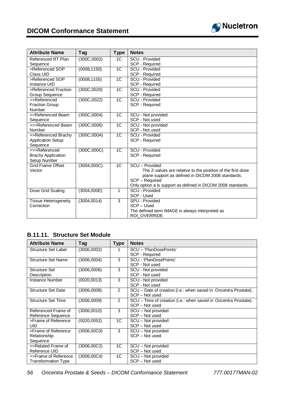

#### **B.11.11. Structure Set Module**

| <b>Attribute Name</b>      | Tag          | <b>Type</b>   | <b>Notes</b>                                                    |  |
|----------------------------|--------------|---------------|-----------------------------------------------------------------|--|
| <b>Structure Set Label</b> | (3006,0002)  |               | SCU - 'PlanDosePoints'                                          |  |
|                            |              |               | SCP - Required                                                  |  |
| <b>Structure Set Name</b>  | (3006,0004)  | 3             | SCU - 'PlanDosePoints'                                          |  |
|                            |              |               | SCP - Not used                                                  |  |
| Structure Set              | (3006,0006)  | 3             | SCU - Not provided                                              |  |
| Description                |              |               | SCP - Not used                                                  |  |
| Instance Number            | (0020, 0013) | 3             | SCU - Not provided                                              |  |
|                            |              |               | SCP - Not used                                                  |  |
| <b>Structure Set Date</b>  | (3006,0008)  | $\mathcal{P}$ | SCU - Date of creation (i.e.: when saved in Oncentra Prostate). |  |
|                            |              |               | SCP - Not used                                                  |  |
| <b>Structure Set Time</b>  | (3006,0009)  | 2             | SCU - Time of creation (i.e.: when saved in Oncentra Prostate). |  |
|                            |              |               | SCP - Not used                                                  |  |
| Referenced Frame of        | (3006, 0010) | 3             | SCU - Not provided                                              |  |
| Reference Sequence         |              |               | SCP - Not used                                                  |  |
| >Frame of Reference        | (0020, 0052) | 1C            | SCU - Not provided                                              |  |
| UID.                       |              |               | SCP - Not used                                                  |  |
| >Frame of Reference        | (3006, 00C0) | 3             | SCU - Not provided                                              |  |
| Relationship               |              |               | SCP - Not used                                                  |  |
| Sequence                   |              |               |                                                                 |  |
| >>Related Frame of         | (3006, 00C2) | 1C            | SCU - Not provided                                              |  |
| Reference UID              |              |               | SCP - Not used                                                  |  |
| >>Frame of Reference       | (3006, 00C4) | 1C            | SCU - Not provided                                              |  |
| <b>Transformation Type</b> |              |               | SCP - Not used                                                  |  |



**O**Nucletron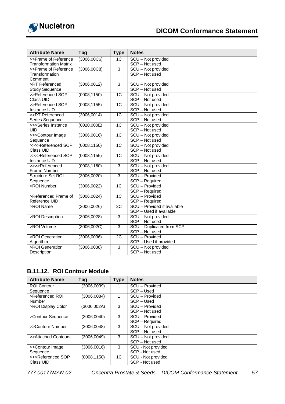

| <b>Attribute Name</b>        | Tag          | <b>Type</b>     | <b>Notes</b>                |
|------------------------------|--------------|-----------------|-----------------------------|
| >>Frame of Reference         | (3006, 00C6) | 1 <sup>C</sup>  | SCU - Not provided          |
| <b>Transformation Matrix</b> |              |                 | SCP - Not used              |
| >>Frame of Reference         | (3006, 00C8) | $\overline{3}$  | SCU - Not provided          |
| Transformation               |              |                 | SCP - Not used              |
| Comment                      |              |                 |                             |
| >RT Referenced               | (3006, 0012) | 3               | SCU - Not provided          |
| <b>Study Sequence</b>        |              |                 | SCP - Not used              |
| >>Referenced SOP             | (0008, 1150) | 1C              | SCU - Not provided          |
| Class UID                    |              |                 | SCP - Not used              |
| >>Referenced SOP             | (0008, 1155) | 1 <sup>C</sup>  | SCU - Not provided          |
| Instance UID                 |              |                 | SCP - Not used              |
| >>RT Referenced              | (3006, 0014) | 1C              | SCU - Not provided          |
| Series Sequence              |              |                 | SCP - Not used              |
| >>>Series Instance           | (0020,000E)  | 1 <sup>C</sup>  | SCU - Not provided          |
| <b>UID</b>                   |              |                 | SCP - Not used              |
| >>>Contour Image             | (3006, 0016) | 1 <sup>C</sup>  | SCU - Not provided          |
| Sequence                     |              |                 | SCP - Not used              |
| >>>>Referenced SOP           | (0008, 1150) | 1 <sup>C</sup>  | SCU - Not provided          |
| Class UID                    |              |                 | SCP - Not used              |
| >>>>Referenced SOP           | (0008, 1155) | 1 <sup>C</sup>  | SCU - Not provided          |
| Instance UID                 |              |                 | SCP - Not used              |
| >>>>Referenced               | (0008, 1160) | $\overline{3}$  | SCU - Not provided          |
| <b>Frame Number</b>          |              |                 | SCP - Not used              |
| Structure Set ROI            | (3006, 0020) | 3               | SCU - Provided              |
| Sequence                     |              |                 | SCP - Required              |
| >ROI Number                  | (3006, 0022) | 1C              | SCU - Provided              |
|                              |              |                 | SCP - Required              |
| >Referenced Frame of         | (3006, 0024) | 1 <sup>C</sup>  | SCU - Provided              |
| Reference UID                |              |                 | SCP - Required              |
| >ROI Name                    | (3006, 0026) | 2C              | SCU - Provided if available |
|                              |              |                 | SCP - Used if available     |
| >ROI Description             | (3006, 0028) | 3               | SCU - Not provided          |
|                              |              |                 | SCP - Not used              |
| >ROI Volume                  | (3006, 002C) | 3               | SCU - Duplicated from SCP.  |
|                              |              |                 | SCP - Not used              |
| >ROI Generation              | (3006, 0036) | $\overline{2C}$ | SCU - Provided              |
| Algorithm                    |              |                 | SCP - Used if provided      |
| >ROI Generation              | (3006, 0038) | $\overline{3}$  | SCU - Not provided          |
| Description                  |              |                 | SCP - Not used              |

### **B.11.12. ROI Contour Module**

| <b>Attribute Name</b> | Tag          | <b>Type</b> | <b>Notes</b>       |
|-----------------------|--------------|-------------|--------------------|
| <b>ROI Contour</b>    | (3006, 0039) |             | SCU - Provided     |
| Sequence              |              |             | SCP-Used           |
| >Referenced ROI       | (3006,0084)  |             | SCU - Provided     |
| <b>Number</b>         |              |             | SCP-Used           |
| >ROI Display Color    | (3006, 002A) | 3           | SCU - Provided     |
|                       |              |             | SCP - Not used     |
| >Contour Sequence     | (3006,0040)  | 3           | SCU - Provided     |
|                       |              |             | SCP - Required     |
| >>Contour Number      | (3006, 0048) | 3           | SCU - Not provided |
|                       |              |             | SCP - Not used     |
| >>Attached Contours   | (3006, 0049) | 3           | SCU - Not provided |
|                       |              |             | SCP - Not used     |
| >>Contour Image       | (3006,0016)  | 3           | SCU - Not provided |
| Sequence              |              |             | SCP - Not used     |
| >>>Referenced SOP     | (0008,1150)  | 1C          | SCU - Not provided |
| Class UID             |              |             | SCP - Not used     |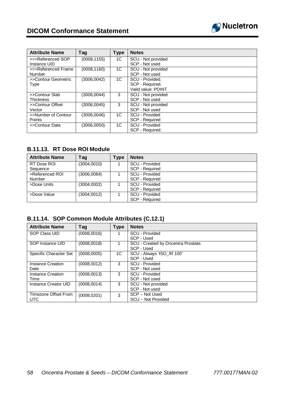

**B.11.13. RT Dose ROI Module**

| <b>Attribute Name</b> | Tag          | Type | <b>Notes</b>   |  |
|-----------------------|--------------|------|----------------|--|
| RT Dose ROI           | (3004, 0010) |      | SCU - Provided |  |
| Sequence              |              |      | SCP - Required |  |
| >Referenced ROI       | (3006,0084)  |      | SCU - Provided |  |
| <b>Number</b>         |              |      | SCP - Required |  |
| >Dose Units           | (3004,0002)  |      | SCU - Provided |  |
|                       |              |      | SCP - Required |  |
| >Dose Value           | (3004, 0012) |      | SCU - Provided |  |
|                       |              |      | SCP - Required |  |

**B.11.14. SOP Common Module Attributes (C.12.1)**

| <b>Attribute Name</b>    | Tag          | <b>Type</b> | <b>Notes</b>                        |
|--------------------------|--------------|-------------|-------------------------------------|
| SOP Class UID            | (0008, 0016) |             | SCU - Provided                      |
|                          |              |             | SCP - Used                          |
| SOP Instance UID         | (0008, 0018) |             | SCU - Created by Oncentra Prostate. |
|                          |              |             | SCP - Used                          |
| Specific Character Set   | (0008, 0005) | 1C          | SCU - Always 'ISO_IR 100'           |
|                          |              |             | SCP - Used                          |
| <b>Instance Creation</b> | (0008, 0012) | 3           | SCU - Provided                      |
| Date                     |              |             | SCP - Not used                      |
| <b>Instance Creation</b> | (0008, 0013) | 3           | SCU - Provided                      |
| Time                     |              |             | SCP - Not used                      |
| Instance Creator UID     | (0008, 0014) | 3           | SCU - Not provided                  |
|                          |              |             | SCP - Not used                      |
| Timezone Offset From     | (0008, 0201) | 3           | SCP - Not Used                      |
| <b>UTC</b>               |              |             | SCU - Not Provided                  |

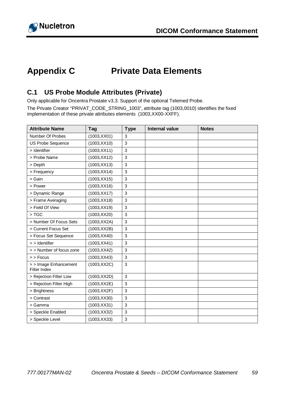

# **Appendix C Private Data Elements**

#### **C.1 US Probe Module Attributes (Private)**

Only applicable for Oncentra Prostate v3.3. Support of the optional Telemed Probe.

The Private Creator "PRIVAT\_CODE\_STRING\_1003", attribute tag (1003,0010) identifies the fixed implementation of these private attributes elements (1003,XX00-XXFF).

<span id="page-66-0"></span>

| <b>Attribute Name</b>                        | Tag          | <b>Type</b>  | <b>Internal value</b> | <b>Notes</b> |
|----------------------------------------------|--------------|--------------|-----------------------|--------------|
| Number Of Probes                             | (1003, XX01) | 3            |                       |              |
| <b>US Probe Sequence</b>                     | (1003, XX10) | 3            |                       |              |
| > Identifier                                 | (1003, XX11) | 3            |                       |              |
| > Probe Name                                 | (1003, XX12) | $\sqrt{3}$   |                       |              |
| > Depth                                      | (1003, XX13) | $\mathbf{3}$ |                       |              |
| > Frequency                                  | (1003, XX14) | 3            |                       |              |
| > Gain                                       | (1003, XX15) | $\sqrt{3}$   |                       |              |
| > Power                                      | (1003, XX16) | 3            |                       |              |
| > Dynamic Range                              | (1003, XX17) | 3            |                       |              |
| > Frame Averaging                            | (1003, XX18) | 3            |                       |              |
| > Field Of View                              | (1003, XX19) | 3            |                       |              |
| $>$ TGC                                      | (1003, XX20) | 3            |                       |              |
| > Number Of Focus Sets                       | (1003, XX2A) | 3            |                       |              |
| > Current Focus Set                          | (1003, XX2B) | 3            |                       |              |
| > Focus Set Sequence                         | (1003, XX40) | 3            |                       |              |
| $>$ Identifier                               | (1003, XX41) | 3            |                       |              |
| > > Number of focus zone                     | (1003, XX42) | 3            |                       |              |
| $>$ Focus                                    | (1003, XX43) | $\sqrt{3}$   |                       |              |
| > > Image Enhancement<br><b>Filter Index</b> | (1003, XX2C) | 3            |                       |              |
| > Rejection Filter Low                       | (1003, XX2D) | 3            |                       |              |
| > Rejection Filter High                      | (1003, XX2E) | 3            |                       |              |
| > Brightness                                 | (1003, XX2F) | $\sqrt{3}$   |                       |              |
| > Contrast                                   | (1003, XX30) | $\mathbf{3}$ |                       |              |
| > Gamma                                      | (1003, XX31) | 3            |                       |              |
| > Speckle Enabled                            | (1003, XX32) | 3            |                       |              |
| > Speckle Level                              | (1003, XX33) | 3            |                       |              |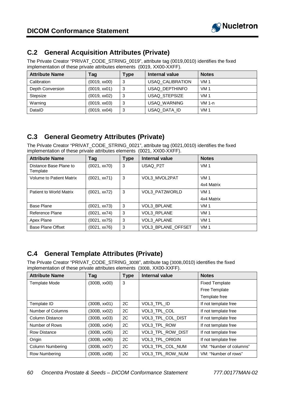



### **C.2 General Acquisition Attributes (Private)**

The Private Creator "PRIVAT\_CODE\_STRING\_0019", attribute tag (0019,0010) identifies the fixed implementation of these private attributes elements (0019, XX00-XXFF).

| <b>Attribute Name</b> | Taq                   | <b>Type</b> | Internal value   | <b>Notes</b>    |
|-----------------------|-----------------------|-------------|------------------|-----------------|
| Calibration           | $(0019, x \times 00)$ | 3           | USAQ CALIBRATION | VM 1            |
| Depth Conversion      | $(0019, x \times 01)$ | 3           | USAQ DEPTHINFO   | VM <sub>1</sub> |
| Stepsize              | (0019, xx02)          | 3           | USAQ_STEPSIZE    | VM 1            |
| Warning               | $(0019, x \times 03)$ | 3           | USAQ_WARNING     | $VM 1-n$        |
| DataID                | $(0019, x \times 04)$ | 3           | USAQ DATA ID     | VM 1            |

### <span id="page-67-0"></span>**C.3 General Geometry Attributes (Private)**

The Private Creator "PRIVAT\_CODE\_STRING\_0021", attribute tag (0021,0010) identifies the fixed implementation of these private attributes elements (0021, XX00-XXFF).

| <b>Attribute Name</b>              | Tag          | <b>Type</b> | Internal value            | <b>Notes</b>    |
|------------------------------------|--------------|-------------|---------------------------|-----------------|
| Distance Base Plane to<br>Template | (0021, xx70) | 3           | USAQ_P2T                  | VM <sub>1</sub> |
| Volume to Patient Matrix           | (0021, xx71) | 3           | VOL3 MVOL2PAT             | <b>VM1</b>      |
|                                    |              |             |                           | 4x4 Matrix      |
| Patient to World Matrix            | (0021, xx72) | 3           | VOL3_PAT2WORLD            | <b>VM1</b>      |
|                                    |              |             |                           | 4x4 Matrix      |
| Base Plane                         | (0021, xx73) | 3           | <b>VOL3 BPLANE</b>        | VM 1            |
| Reference Plane                    | (0021, xx74) | 3           | VOL3_RPLANE               | VM 1            |
| Apex Plane                         | (0021, xx75) | 3           | VOL3_APLANE               | <b>VM1</b>      |
| <b>Base Plane Offset</b>           | (0021, xx76) | 3           | <b>VOL3 BPLANE OFFSET</b> | VM 1            |

### <span id="page-67-1"></span>**C.4 General Template Attributes (Private)**

The Private Creator "PRIVAT\_CODE\_STRING\_300B", attribute tag (300B,0010) identifies the fixed implementation of these private attributes elements (300B, XX00-XXFF).

| <b>Attribute Name</b> | Tag          | <b>Type</b> | <b>Internal value</b> | <b>Notes</b>            |
|-----------------------|--------------|-------------|-----------------------|-------------------------|
| Template Mode         | (300B, xx00) | 3           |                       | <b>Fixed Template</b>   |
|                       |              |             |                       | Free Template           |
|                       |              |             |                       | Template free           |
| Template ID           | (300B, xx01) | 2C          | VOL3 TPL ID           | If not template free    |
| Number of Columns     | (300B, xx02) | 2C          | VOL3_TPL_COL          | If not template free    |
| Column Distance       | (300B, xx03) | 2C          | VOL3_TPL_COL_DIST     | If not template free    |
| Number of Rows        | (300B, xx04) | 2C          | VOL3 TPL ROW          | If not template free    |
| <b>Row Distance</b>   | (300B, xx05) | 2C          | VOL3_TPL_ROW_DIST     | If not template free    |
| Origin                | (300B, xx06) | 2C          | VOL3_TPL_ORIGIN       | If not template free    |
| Column Numbering      | (300B, xx07) | 2C          | VOL3_TPL_COL_NUM      | VM: "Number of columns" |
| Row Numbering         | (300B, xx08) | 2C          | VOL3_TPL_ROW_NUM      | VM: "Number of rows"    |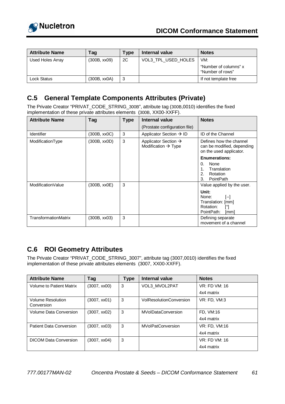

| <b>Attribute Name</b> | Tag          | <b>Type</b> | Internal value      | <b>Notes</b>                              |
|-----------------------|--------------|-------------|---------------------|-------------------------------------------|
| Used Holes Array      | (300B, xx09) | 2C          | VOL3_TPL_USED_HOLES | VM:                                       |
|                       |              |             |                     | "Number of columns" x<br>"Number of rows" |
| Lock Status           | (300B, xx0A) | 3           |                     | If not template free                      |

## <span id="page-68-0"></span>**C.5 General Template Components Attributes (Private)**

The Private Creator "PRIVAT\_CODE\_STRING\_300B", attribute tag (300B,0010) identifies the fixed implementation of these private attributes elements (300B, XX00-XXFF).

| <b>Attribute Name</b>       | Tag          | <b>Type</b> | Internal value                                                      | <b>Notes</b>                                                                                                         |
|-----------------------------|--------------|-------------|---------------------------------------------------------------------|----------------------------------------------------------------------------------------------------------------------|
|                             |              |             | (Prostate configuration file)                                       |                                                                                                                      |
| Identifier                  | (300B, xx0C) | 3           | Applicator Section $\rightarrow$ ID                                 | ID of the Channel                                                                                                    |
| ModificationType            | (300B, xx0D) | 3           | Applicator Section $\rightarrow$<br>Modification $\rightarrow$ Type | Defines how the channel<br>can be modified, depending<br>on the used applicator.                                     |
|                             |              |             |                                                                     | <b>Enumerations:</b><br>None<br>0.<br>Translation<br>Rotation<br>2.<br>3.<br>PointPath                               |
| ModificationValue           | (300B, xx0E) | 3           |                                                                     | Value applied by the user.<br>Unit:<br>None:<br>$[-1]$<br>Translation: [mm]<br>Rotation:<br>ſ٩<br>PointPath:<br>[mm] |
| <b>TransformationMatrix</b> | (300B, xx03) | 3           |                                                                     | Defining separate<br>movement of a channel                                                                           |

### <span id="page-68-1"></span>**C.6 ROI Geometry Attributes**

The Private Creator "PRIVAT\_CODE\_STRING\_3007", attribute tag (3007,0010) identifies the fixed implementation of these private attributes elements (3007, XX00-XXFF).

| <b>Attribute Name</b>           | Tag                   | <b>Type</b> | Internal value                 | <b>Notes</b>  |
|---------------------------------|-----------------------|-------------|--------------------------------|---------------|
| <b>Volume to Patient Matrix</b> | $(3007, x \times 00)$ | 3           | VOL3 MVOL2PAT                  | VR: FD VM: 16 |
|                                 |                       |             |                                | 4x4 matrix    |
| Volume Resolution<br>Conversion | $(3007, x \times 01)$ | 3           | <b>VolResolutionConversion</b> | VR: FD, VM:3  |
| Volume Data Conversion          | $(3007, x \times 02)$ | 3           | MVolDataConversion             | FD. VM:16     |
|                                 |                       |             |                                | 4x4 matrix    |
| <b>Patient Data Conversion</b>  | $(3007, x \times 03)$ | 3           | <b>MVolPatConversion</b>       | VR: FD, VM:16 |
|                                 |                       |             |                                | 4x4 matrix    |
| <b>DICOM Data Conversion</b>    | $(3007, x \times 04)$ | 3           |                                | VR: FD VM: 16 |
|                                 |                       |             |                                | 4x4 matrix    |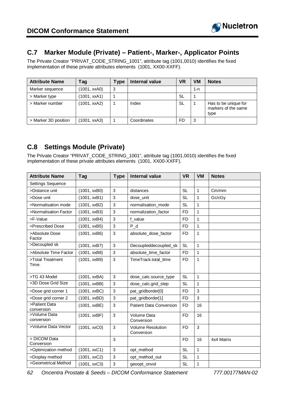

# <span id="page-69-0"></span>**C.7 Marker Module (Private) – Patient-, Marker-, Applicator Points**

The Private Creator "PRIVAT\_CODE\_STRING\_1001", attribute tag (1001,0010) identifies the fixed implementation of these private attributes elements  $(1001, XX00-XXFF)$ .

| <b>Attribute Name</b> | Tag          | Type | Internal value | VR        | VM  | <b>Notes</b>                                        |
|-----------------------|--------------|------|----------------|-----------|-----|-----------------------------------------------------|
| Marker sequence       | (1001, xxA0) | 3    |                |           | 1-n |                                                     |
| > Marker type         | (1001, xxA1) |      |                | <b>SL</b> |     |                                                     |
| > Marker number       | (1001, xxA2) |      | Index          | <b>SL</b> |     | Has to be unique for<br>markers of the same<br>type |
| > Marker 3D position  | (1001, xxA3) |      | Coordinates    | FD        | 3   |                                                     |

## <span id="page-69-1"></span>**C.8 Settings Module (Private)**

The Private Creator "PRIVAT CODE STRING 1001", attribute tag (1001,0010) identifies the fixed implementation of these private attributes elements (1001, XX00-XXFF).

| <b>Attribute Name</b>       | Tag          | <b>Type</b> | <b>Internal value</b>                  | <b>VR</b> | <b>VM</b>    | <b>Notes</b> |
|-----------------------------|--------------|-------------|----------------------------------------|-----------|--------------|--------------|
| <b>Settings Sequence</b>    |              |             |                                        |           |              |              |
| >Distance unit              | (1001, xxB0) | 3           | distances                              | <b>SL</b> | $\mathbf{1}$ | Cm/mm        |
| >Dose unit                  | (1001, xxB1) | 3           | dose_unit                              | <b>SL</b> | $\mathbf{1}$ | Gc/cGy       |
| >Normalisation mode         | (1001, xxB2) | 3           | normalisation_mode                     | <b>SL</b> | 1            |              |
| >Normalisation Factor       | (1001, xxB3) | 3           | normalization_factor                   | <b>FD</b> | 1            |              |
| >F-Value                    | (1001, xxB4) | 3           | f_value                                | <b>FD</b> | 1            |              |
| >Prescribed Dose            | (1001, xxB5) | 3           | $P_d$                                  | <b>FD</b> | $\mathbf{1}$ |              |
| >Absolute Dose<br>Factor    | (1001, xxB6) | 3           | absolute dose factor                   | <b>FD</b> | 1            |              |
| >Decoupled sk               | (1001, xxB7) | 3           | Decoupleddecoupled_sk                  | <b>SL</b> | $\mathbf{1}$ |              |
| >Absolute Time Factor       | (1001, xxB8) | 3           | absolute_time_factor                   | <b>FD</b> | $\mathbf{1}$ |              |
| >Total Treatment<br>Time.   | (1001, xxB9) | 3           | TimeTrack.total_time                   | <b>FD</b> | 1            |              |
| >TG 43 Model                | (1001, xxBA) | 3           | dose_calc.source_type                  | <b>SL</b> | $\mathbf{1}$ |              |
| >3D Dose Grid Size          | (1001, xxBB) | 3           | dose_calc.grid_step                    | <b>SL</b> | $\mathbf{1}$ |              |
| >Dose grid corner 1         | (1001, xxBC) | 3           | pat_gridborder[0]                      | <b>FD</b> | 3            |              |
| >Dose grid corner 2         | (1001, xxBD) | 3           | pat_gridborder[1]                      | <b>FD</b> | 3            |              |
| >Patient Data<br>conversion | (1001, xxBE) | 3           | <b>Patient Data Conversion</b>         | <b>FD</b> | 16           |              |
| >Volume Data<br>conversion  | (1001, xxBF) | 3           | Volume Data<br>Conversion              | <b>FD</b> | 16           |              |
| >Volume Data Vector         | (1001, xxCO) | 3           | <b>Volume Resolution</b><br>Conversion | <b>FD</b> | 3            |              |
| > DICOM Data<br>Conversion  |              | 3           |                                        | <b>FD</b> | 16           | 4x4 Matrix   |
| >Optimization method        | (1001, xxC1) | 3           | opt_method                             | <b>SL</b> | $\mathbf{1}$ |              |
| >Display method             | (1001, xxC2) | 3           | opt_method_out                         | <b>SL</b> | $\mathbf{1}$ |              |
| >Geometrical Method         | (1001, xxC3) | 3           | geoopt_onvol                           | <b>SL</b> | 1            |              |

*62 Oncentra Prostate & Seeds – DICOM Conformance Statement 777.00177MAN-02*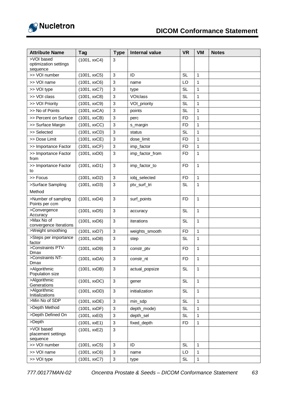

| <b>Attribute Name</b>                           | Tag          | <b>Type</b>               | <b>Internal value</b> | <b>VR</b> | <b>VM</b>    | <b>Notes</b> |
|-------------------------------------------------|--------------|---------------------------|-----------------------|-----------|--------------|--------------|
| >VOI based<br>optimization settings<br>sequence | (1001, xxC4) | 3                         |                       |           |              |              |
| >> VOI number                                   | (1001, xxC5) | $\sqrt{3}$                | ID                    | <b>SL</b> | $\mathbf{1}$ |              |
| >> VOI name                                     | (1001, xxC6) | $\mathbf{3}$              | name                  | LO        | $\mathbf{1}$ |              |
| >> VOI type                                     | (1001, xxC7) | $\mathbf{3}$              | type                  | <b>SL</b> | 1            |              |
| >> VOI class                                    | (1001, xxC8) | 3                         | <b>VOIclass</b>       | <b>SL</b> | 1            |              |
| >> VOI Priority                                 | (1001, xxC9) | $\mathbf{3}$              | VOI_priority          | <b>SL</b> | 1            |              |
| >> No of Points                                 | (1001, xxCA) | $\mathbf{3}$              | points                | <b>SL</b> | 1            |              |
| >> Percent on Surface                           | (1001, xxCB) | $\mathbf{3}$              | perc                  | <b>FD</b> | 1            |              |
| >> Surface Margin                               | (1001, xxCC) | 3                         | s_margin              | <b>FD</b> | $\mathbf{1}$ |              |
| >> Selected                                     | (1001, xxCD) | $\sqrt{3}$                | status                | <b>SL</b> | 1            |              |
| >> Dose Limit                                   | (1001, xxCE) | $\mathbf{3}$              | dose_limit            | <b>FD</b> | $\mathbf{1}$ |              |
| >> Importance Factor                            | (1001, xxCF) | $\sqrt{3}$                | imp_factor            | <b>FD</b> | $\mathbf{1}$ |              |
| >> Importance Factor<br>from                    | (1001, xxD0) | 3                         | imp_factor_from       | <b>FD</b> | $\mathbf{1}$ |              |
| >> Importance Factor<br>to                      | (1001, xxD1) | $\ensuremath{\mathsf{3}}$ | imp_factor_to         | <b>FD</b> | $\mathbf{1}$ |              |
| >> Focus                                        | (1001, xxD2) | $\ensuremath{\mathsf{3}}$ | iobj_selected         | <b>FD</b> | $\mathbf{1}$ |              |
| >Surface Sampling<br>Method                     | (1001, xxD3) | $\mathbf{3}$              | ptv_surf_tri          | <b>SL</b> | $\mathbf{1}$ |              |
| >Number of sampling<br>Points per ccm           | (1001, xxD4) | 3                         | surf_points           | <b>FD</b> | $\mathbf{1}$ |              |
| >Convergence<br>Accuracy                        | (1001, xxD5) | 3                         | accuracy              | <b>SL</b> | $\mathbf{1}$ |              |
| >Max No of<br>convergence Iterations            | (1001, xxD6) | 3                         | iterations            | <b>SL</b> | $\mathbf{1}$ |              |
| >Weight smoothing                               | (1001, xxD7) | $\sqrt{3}$                | weights_smooth        | <b>FD</b> | $\mathbf{1}$ |              |
| >Steps per importance<br>factor                 | (1001, xxD8) | 3                         | step                  | <b>SL</b> | $\mathbf{1}$ |              |
| >Constraints PTV-<br>Dmax                       | (1001, xxD9) | $\sqrt{3}$                | constr_ptv            | <b>FD</b> | $\mathbf{1}$ |              |
| >Constraints NT-<br>Dmax                        | (1001, xxDA) | 3                         | constr_nt             | <b>FD</b> | $\mathbf{1}$ |              |
| >Algorithmic<br>Population size                 | (1001, xxDB) | $\sqrt{3}$                | actual_popsize        | <b>SL</b> | $\mathbf{1}$ |              |
| >Algorithmic<br>Generations                     | (1001, xxDC) | $\ensuremath{\mathsf{3}}$ | gener                 | <b>SL</b> | $\mathbf{1}$ |              |
| >Algorithmic<br>Initializations                 | (1001, xxDD) | $\ensuremath{\mathsf{3}}$ | initialization        | <b>SL</b> | $\mathbf{1}$ |              |
| >Min No of SDP                                  | (1001, xxDE) | $\ensuremath{\mathsf{3}}$ | min_sdp               | <b>SL</b> | $\mathbf{1}$ |              |
| >Depth Method                                   | (1001, xxDF) | $\ensuremath{\mathsf{3}}$ | depth_mode)           | <b>SL</b> | $\mathbf{1}$ |              |
| >Depth Defined On                               | (1001, xxE0) | $\ensuremath{\mathsf{3}}$ | depth_sel             | <b>SL</b> | $\mathbf{1}$ |              |
| >Depth                                          | (1001, xxE1) | $\ensuremath{\mathsf{3}}$ | fixed depth           | <b>FD</b> | $\mathbf{1}$ |              |
| >VOI based<br>placement settings<br>sequence    | (1001, xxE2) | $\ensuremath{\mathsf{3}}$ |                       |           |              |              |
| >> VOI number                                   | (1001, xxC5) | $\mathfrak{S}$            | ID                    | <b>SL</b> | $\mathbf{1}$ |              |
| >> VOI name                                     | (1001, xxC6) | $\ensuremath{\mathsf{3}}$ | name                  | LO        | $\mathbf{1}$ |              |
| >> VOI type                                     | (1001, xxC7) | 3                         | type                  | <b>SL</b> | $\mathbf{1}$ |              |